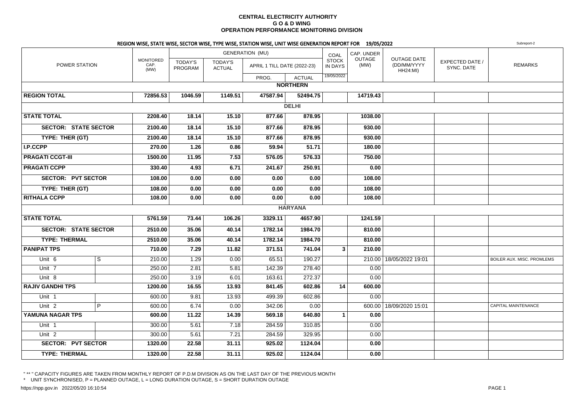#### **CENTRAL ELECTRICITY AUTHORITY G O & D WING OPERATION PERFORMANCE MONITORING DIVISION**

#### REGION WISE, STATE WISE, SECTOR WISE, TYPE WISE, STATION WISE, UNIT WISE GENERATION REPORT FOR 19/05/2022

|                         |                             | REGION WISE, STATE WISE, SECTOR WISE, TYPE WISE, STATION WISE, UNIT WISE GENERATION REPORT FOR 19/05/2022 |                    |                                 |                             |                 |                         |                |                                                      |                                      | Subreport-2                |
|-------------------------|-----------------------------|-----------------------------------------------------------------------------------------------------------|--------------------|---------------------------------|-----------------------------|-----------------|-------------------------|----------------|------------------------------------------------------|--------------------------------------|----------------------------|
|                         |                             |                                                                                                           |                    |                                 | <b>GENERATION (MU)</b>      |                 | COAL                    | CAP. UNDER     |                                                      |                                      |                            |
|                         | POWER STATION               | <b>MONITORED</b><br>CAP.<br>(MW)                                                                          | TODAY'S<br>PROGRAM | <b>TODAY'S</b><br><b>ACTUAL</b> | APRIL 1 TILL DATE (2022-23) |                 | <b>STOCK</b><br>IN DAYS | OUTAGE<br>(MW) | <b>OUTAGE DATE</b><br>(DD/MM/YYYY<br><b>HH24:MI)</b> | <b>EXPECTED DATE /</b><br>SYNC. DATE | <b>REMARKS</b>             |
|                         |                             |                                                                                                           |                    |                                 | PROG.                       | <b>ACTUAL</b>   | 19/05/2022              |                |                                                      |                                      |                            |
|                         |                             |                                                                                                           |                    |                                 |                             | <b>NORTHERN</b> |                         |                |                                                      |                                      |                            |
| <b>REGION TOTAL</b>     |                             | 72856.53                                                                                                  | 1046.59            | 1149.51                         | 47587.94                    | 52494.75        |                         | 14719.43       |                                                      |                                      |                            |
|                         |                             |                                                                                                           |                    |                                 |                             | <b>DELHI</b>    |                         |                |                                                      |                                      |                            |
| <b>STATE TOTAL</b>      |                             | 2208.40                                                                                                   | 18.14              | 15.10                           | 877.66                      | 878.95          |                         | 1038.00        |                                                      |                                      |                            |
|                         | <b>SECTOR: STATE SECTOR</b> | 2100.40                                                                                                   | 18.14              | 15.10                           | 877.66                      | 878.95          |                         | 930.00         |                                                      |                                      |                            |
| TYPE: THER (GT)         |                             | 2100.40                                                                                                   | 18.14              | 15.10                           | 877.66                      | 878.95          |                         | 930.00         |                                                      |                                      |                            |
| I.P.CCPP                |                             | 270.00                                                                                                    | 1.26               | 0.86                            | 59.94                       | 51.71           |                         | 180.00         |                                                      |                                      |                            |
| <b>PRAGATI CCGT-III</b> |                             | 1500.00                                                                                                   | 11.95              | 7.53                            | 576.05                      | 576.33          |                         | 750.00         |                                                      |                                      |                            |
| <b>PRAGATI CCPP</b>     |                             | 330.40                                                                                                    | 4.93               | 6.71                            | 241.67                      | 250.91          |                         | 0.00           |                                                      |                                      |                            |
|                         | <b>SECTOR: PVT SECTOR</b>   | 108.00                                                                                                    | 0.00               | 0.00                            | 0.00                        | 0.00            |                         | 108.00         |                                                      |                                      |                            |
| TYPE: THER (GT)         |                             | 108.00                                                                                                    | 0.00               | 0.00                            | 0.00                        | 0.00            |                         | 108.00         |                                                      |                                      |                            |
| <b>RITHALA CCPP</b>     |                             | 108.00                                                                                                    | 0.00               | 0.00                            | 0.00                        | 0.00            |                         | 108.00         |                                                      |                                      |                            |
|                         |                             |                                                                                                           |                    |                                 |                             | <b>HARYANA</b>  |                         |                |                                                      |                                      |                            |
| <b>STATE TOTAL</b>      |                             | 5761.59                                                                                                   | 73.44              | 106.26                          | 3329.11                     | 4657.90         |                         | 1241.59        |                                                      |                                      |                            |
|                         | <b>SECTOR: STATE SECTOR</b> | 2510.00                                                                                                   | 35.06              | 40.14                           | 1782.14                     | 1984.70         |                         | 810.00         |                                                      |                                      |                            |
| <b>TYPE: THERMAL</b>    |                             | 2510.00                                                                                                   | 35.06              | 40.14                           | 1782.14                     | 1984.70         |                         | 810.00         |                                                      |                                      |                            |
| <b>PANIPAT TPS</b>      |                             | 710.00                                                                                                    | 7.29               | 11.82                           | 371.51                      | 741.04          | 3                       | 210.00         |                                                      |                                      |                            |
| Unit 6                  | S                           | 210.00                                                                                                    | 1.29               | 0.00                            | 65.51                       | 190.27          |                         |                | 210.00   18/05/2022 19:01                            |                                      | BOILER AUX. MISC. PROMLEMS |
| $U$ nit 7               |                             | 250.00                                                                                                    | 2.81               | 5.81                            | 142.39                      | 278.40          |                         | 0.00           |                                                      |                                      |                            |
| Unit 8                  |                             | 250.00                                                                                                    | 3.19               | 6.01                            | 163.61                      | 272.37          |                         | 0.00           |                                                      |                                      |                            |
| <b>RAJIV GANDHI TPS</b> |                             | 1200.00                                                                                                   | 16.55              | 13.93                           | 841.45                      | 602.86          | 14                      | 600.00         |                                                      |                                      |                            |
| Unit 1                  |                             | 600.00                                                                                                    | 9.81               | 13.93                           | 499.39                      | 602.86          |                         | 0.00           |                                                      |                                      |                            |
| Unit $2$                | P                           | 600.00                                                                                                    | 6.74               | 0.00                            | 342.06                      | 0.00            |                         |                | 600.00 18/09/2020 15:01                              |                                      | CAPITAL MAINTENANCE        |
| YAMUNA NAGAR TPS        |                             | 600.00                                                                                                    | 11.22              | 14.39                           | 569.18                      | 640.80          | $\mathbf{1}$            | 0.00           |                                                      |                                      |                            |
| Unit 1                  |                             | 300.00                                                                                                    | 5.61               | 7.18                            | 284.59                      | 310.85          |                         | 0.00           |                                                      |                                      |                            |
| Unit <sub>2</sub>       |                             | 300.00                                                                                                    | 5.61               | 7.21                            | 284.59                      | 329.95          |                         | 0.00           |                                                      |                                      |                            |
|                         | <b>SECTOR: PVT SECTOR</b>   | 1320.00                                                                                                   | 22.58              | 31.11                           | 925.02                      | 1124.04         |                         | 0.00           |                                                      |                                      |                            |
| <b>TYPE: THERMAL</b>    |                             | 1320.00                                                                                                   | 22.58              | 31.11                           | 925.02                      | 1124.04         |                         | 0.00           |                                                      |                                      |                            |

" \*\* " CAPACITY FIGURES ARE TAKEN FROM MONTHLY REPORT OF P.D.M DIVISION AS ON THE LAST DAY OF THE PREVIOUS MONTH \* UNIT SYNCHRONISED, P = PLANNED OUTAGE, L = LONG DURATION OUTAGE, S = SHORT DURATION OUTAGE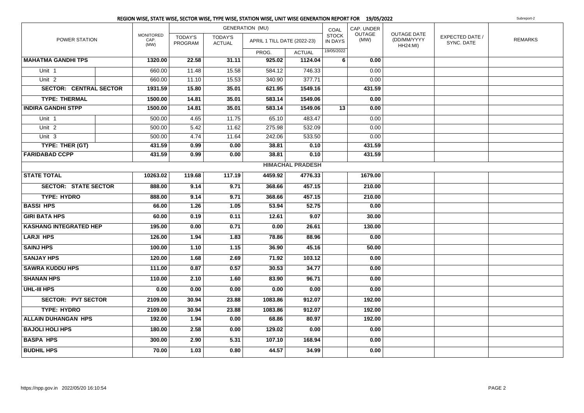|                               |  |                                  |                           |                                 | <b>GENERATION (MU)</b>      |                         | COAL                           | CAP. UNDER     |                                                      |                               |                |
|-------------------------------|--|----------------------------------|---------------------------|---------------------------------|-----------------------------|-------------------------|--------------------------------|----------------|------------------------------------------------------|-------------------------------|----------------|
| POWER STATION                 |  | <b>MONITORED</b><br>CAP.<br>(MW) | <b>TODAY'S</b><br>PROGRAM | <b>TODAY'S</b><br><b>ACTUAL</b> | APRIL 1 TILL DATE (2022-23) |                         | <b>STOCK</b><br><b>IN DAYS</b> | OUTAGE<br>(MW) | <b>OUTAGE DATE</b><br>(DD/MM/YYYY<br><b>HH24:MI)</b> | EXPECTED DATE /<br>SYNC. DATE | <b>REMARKS</b> |
|                               |  |                                  |                           |                                 | PROG.                       | <b>ACTUAL</b>           | 19/05/2022                     |                |                                                      |                               |                |
| <b>MAHATMA GANDHI TPS</b>     |  | 1320.00                          | 22.58                     | 31.11                           | 925.02                      | 1124.04                 | 6                              | 0.00           |                                                      |                               |                |
| Unit <sub>1</sub>             |  | 660.00                           | 11.48                     | 15.58                           | 584.12                      | 746.33                  |                                | 0.00           |                                                      |                               |                |
| Unit <sub>2</sub>             |  | 660.00                           | 11.10                     | 15.53                           | 340.90                      | 377.71                  |                                | 0.00           |                                                      |                               |                |
| <b>SECTOR: CENTRAL SECTOR</b> |  | 1931.59                          | 15.80                     | 35.01                           | 621.95                      | 1549.16                 |                                | 431.59         |                                                      |                               |                |
| <b>TYPE: THERMAL</b>          |  | 1500.00                          | 14.81                     | 35.01                           | 583.14                      | 1549.06                 |                                | 0.00           |                                                      |                               |                |
| <b>INDIRA GANDHI STPP</b>     |  | 1500.00                          | 14.81                     | 35.01                           | 583.14                      | 1549.06                 | 13                             | 0.00           |                                                      |                               |                |
| Unit 1                        |  | 500.00                           | 4.65                      | 11.75                           | 65.10                       | 483.47                  |                                | 0.00           |                                                      |                               |                |
| Unit <sub>2</sub>             |  | 500.00                           | 5.42                      | 11.62                           | 275.98                      | 532.09                  |                                | 0.00           |                                                      |                               |                |
| Unit <sub>3</sub>             |  | 500.00                           | 4.74                      | 11.64                           | 242.06                      | 533.50                  |                                | 0.00           |                                                      |                               |                |
| TYPE: THER (GT)               |  | 431.59                           | 0.99                      | 0.00                            | 38.81                       | 0.10                    |                                | 431.59         |                                                      |                               |                |
| <b>FARIDABAD CCPP</b>         |  | 431.59                           | 0.99                      | 0.00                            | 38.81                       | 0.10                    |                                | 431.59         |                                                      |                               |                |
|                               |  |                                  |                           |                                 |                             | <b>HIMACHAL PRADESH</b> |                                |                |                                                      |                               |                |
| <b>STATE TOTAL</b>            |  | 10263.02                         | 119.68                    | 117.19                          | 4459.92                     | 4776.33                 |                                | 1679.00        |                                                      |                               |                |
| <b>SECTOR: STATE SECTOR</b>   |  | 888.00                           | 9.14                      | 9.71                            | 368.66                      | 457.15                  |                                | 210.00         |                                                      |                               |                |
| <b>TYPE: HYDRO</b>            |  | 888.00                           | 9.14                      | 9.71                            | 368.66                      | 457.15                  |                                | 210.00         |                                                      |                               |                |
| <b>BASSI HPS</b>              |  | 66.00                            | $\overline{1.26}$         | 1.05                            | 53.94                       | 52.75                   |                                | 0.00           |                                                      |                               |                |
| <b>GIRI BATA HPS</b>          |  | 60.00                            | 0.19                      | 0.11                            | 12.61                       | 9.07                    |                                | 30.00          |                                                      |                               |                |
| <b>KASHANG INTEGRATED HEP</b> |  | 195.00                           | 0.00                      | 0.71                            | 0.00                        | 26.61                   |                                | 130.00         |                                                      |                               |                |
| <b>LARJI HPS</b>              |  | 126.00                           | 1.94                      | 1.83                            | 78.86                       | 88.96                   |                                | 0.00           |                                                      |                               |                |
| <b>SAINJ HPS</b>              |  | 100.00                           | 1.10                      | 1.15                            | 36.90                       | 45.16                   |                                | 50.00          |                                                      |                               |                |
| <b>SANJAY HPS</b>             |  | 120.00                           | 1.68                      | 2.69                            | 71.92                       | 103.12                  |                                | 0.00           |                                                      |                               |                |
| <b>SAWRA KUDDU HPS</b>        |  | 111.00                           | 0.87                      | 0.57                            | 30.53                       | 34.77                   |                                | 0.00           |                                                      |                               |                |
| <b>SHANAN HPS</b>             |  | 110.00                           | 2.10                      | 1.60                            | 83.90                       | 96.71                   |                                | 0.00           |                                                      |                               |                |
| UHL-III HPS                   |  | 0.00                             | 0.00                      | 0.00                            | 0.00                        | 0.00                    |                                | 0.00           |                                                      |                               |                |
| <b>SECTOR: PVT SECTOR</b>     |  | 2109.00                          | 30.94                     | 23.88                           | 1083.86                     | 912.07                  |                                | 192.00         |                                                      |                               |                |
| <b>TYPE: HYDRO</b>            |  | 2109.00                          | 30.94                     | 23.88                           | 1083.86                     | 912.07                  |                                | 192.00         |                                                      |                               |                |
| <b>ALLAIN DUHANGAN HPS</b>    |  | 192.00                           | 1.94                      | 0.00                            | 68.86                       | 80.97                   |                                | 192.00         |                                                      |                               |                |
| <b>BAJOLI HOLI HPS</b>        |  | 180.00                           | 2.58                      | 0.00                            | 129.02                      | 0.00                    |                                | 0.00           |                                                      |                               |                |
| <b>BASPA HPS</b>              |  | 300.00                           | 2.90                      | 5.31                            | 107.10                      | 168.94                  |                                | 0.00           |                                                      |                               |                |
| <b>BUDHIL HPS</b>             |  | 70.00                            | 1.03                      | 0.80                            | 44.57                       | 34.99                   |                                | 0.00           |                                                      |                               |                |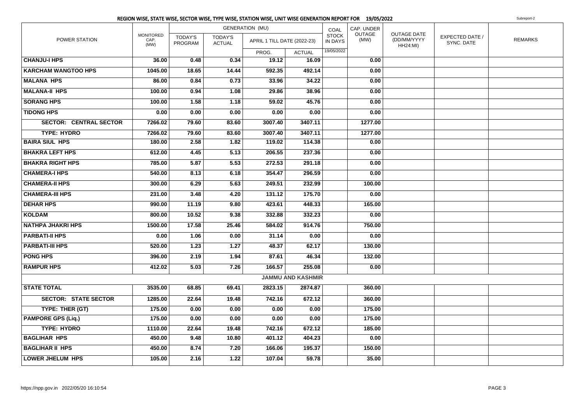|                               |                                  |                           |                                 | REGION WISE, STATE WISE, SECTOR WISE, TYPE WISE, STATION WISE, UNIT WISE GENERATION REPORT FOR 19/05/2022 |                          |                         |                |                                                      |                               | Subreport-2    |
|-------------------------------|----------------------------------|---------------------------|---------------------------------|-----------------------------------------------------------------------------------------------------------|--------------------------|-------------------------|----------------|------------------------------------------------------|-------------------------------|----------------|
|                               |                                  |                           |                                 | <b>GENERATION (MU)</b>                                                                                    |                          | COAL                    | CAP. UNDER     |                                                      |                               |                |
| POWER STATION                 | <b>MONITORED</b><br>CAP.<br>(MW) | <b>TODAY'S</b><br>PROGRAM | <b>TODAY'S</b><br><b>ACTUAL</b> | APRIL 1 TILL DATE (2022-23)                                                                               |                          | <b>STOCK</b><br>IN DAYS | OUTAGE<br>(MW) | <b>OUTAGE DATE</b><br>(DD/MM/YYYY<br><b>HH24:MI)</b> | EXPECTED DATE /<br>SYNC. DATE | <b>REMARKS</b> |
|                               |                                  |                           |                                 | PROG.                                                                                                     | <b>ACTUAL</b>            | 19/05/2022              |                |                                                      |                               |                |
| <b>CHANJU-I HPS</b>           | 36.00                            | 0.48                      | 0.34                            | 19.12                                                                                                     | 16.09                    |                         | 0.00           |                                                      |                               |                |
| <b>KARCHAM WANGTOO HPS</b>    | 1045.00                          | 18.65                     | 14.44                           | 592.35                                                                                                    | 492.14                   |                         | 0.00           |                                                      |                               |                |
| <b>MALANA HPS</b>             | 86.00                            | 0.84                      | 0.73                            | 33.96                                                                                                     | 34.22                    |                         | 0.00           |                                                      |                               |                |
| <b>MALANA-II HPS</b>          | 100.00                           | 0.94                      | 1.08                            | 29.86                                                                                                     | 38.96                    |                         | 0.00           |                                                      |                               |                |
| <b>SORANG HPS</b>             | 100.00                           | 1.58                      | 1.18                            | 59.02                                                                                                     | 45.76                    |                         | 0.00           |                                                      |                               |                |
| <b>TIDONG HPS</b>             | 0.00                             | 0.00                      | 0.00                            | 0.00                                                                                                      | 0.00                     |                         | 0.00           |                                                      |                               |                |
| <b>SECTOR: CENTRAL SECTOR</b> | 7266.02                          | 79.60                     | 83.60                           | 3007.40                                                                                                   | 3407.11                  |                         | 1277.00        |                                                      |                               |                |
| <b>TYPE: HYDRO</b>            | 7266.02                          | 79.60                     | 83.60                           | 3007.40                                                                                                   | 3407.11                  |                         | 1277.00        |                                                      |                               |                |
| <b>BAIRA SIUL HPS</b>         | 180.00                           | 2.58                      | 1.82                            | 119.02                                                                                                    | 114.38                   |                         | 0.00           |                                                      |                               |                |
| <b>BHAKRA LEFT HPS</b>        | 612.00                           | 4.45                      | 5.13                            | 206.55                                                                                                    | 237.36                   |                         | 0.00           |                                                      |                               |                |
| <b>BHAKRA RIGHT HPS</b>       | 785.00                           | 5.87                      | 5.53                            | 272.53                                                                                                    | 291.18                   |                         | 0.00           |                                                      |                               |                |
| <b>CHAMERA-I HPS</b>          | 540.00                           | 8.13                      | 6.18                            | 354.47                                                                                                    | 296.59                   |                         | 0.00           |                                                      |                               |                |
| <b>CHAMERA-II HPS</b>         | 300.00                           | 6.29                      | 5.63                            | 249.51                                                                                                    | 232.99                   |                         | 100.00         |                                                      |                               |                |
| <b>CHAMERA-III HPS</b>        | 231.00                           | 3.48                      | 4.20                            | 131.12                                                                                                    | 175.70                   |                         | 0.00           |                                                      |                               |                |
| <b>DEHAR HPS</b>              | 990.00                           | 11.19                     | 9.80                            | 423.61                                                                                                    | 448.33                   |                         | 165.00         |                                                      |                               |                |
| <b>KOLDAM</b>                 | 800.00                           | 10.52                     | 9.38                            | 332.88                                                                                                    | 332.23                   |                         | 0.00           |                                                      |                               |                |
| <b>NATHPA JHAKRI HPS</b>      | 1500.00                          | 17.58                     | 25.46                           | 584.02                                                                                                    | 914.76                   |                         | 750.00         |                                                      |                               |                |
| <b>PARBATI-II HPS</b>         | 0.00                             | 1.06                      | 0.00                            | 31.14                                                                                                     | 0.00                     |                         | 0.00           |                                                      |                               |                |
| <b>PARBATI-III HPS</b>        | 520.00                           | 1.23                      | 1.27                            | 48.37                                                                                                     | 62.17                    |                         | 130.00         |                                                      |                               |                |
| <b>PONG HPS</b>               | 396.00                           | 2.19                      | 1.94                            | 87.61                                                                                                     | 46.34                    |                         | 132.00         |                                                      |                               |                |
| <b>RAMPUR HPS</b>             | 412.02                           | 5.03                      | 7.26                            | 166.57                                                                                                    | 255.08                   |                         | 0.00           |                                                      |                               |                |
|                               |                                  |                           |                                 |                                                                                                           | <b>JAMMU AND KASHMIR</b> |                         |                |                                                      |                               |                |
| <b>STATE TOTAL</b>            | 3535.00                          | 68.85                     | 69.41                           | 2823.15                                                                                                   | 2874.87                  |                         | 360.00         |                                                      |                               |                |
| <b>SECTOR: STATE SECTOR</b>   | 1285.00                          | 22.64                     | 19.48                           | 742.16                                                                                                    | 672.12                   |                         | 360.00         |                                                      |                               |                |
| TYPE: THER (GT)               | 175.00                           | 0.00                      | 0.00                            | 0.00                                                                                                      | 0.00                     |                         | 175.00         |                                                      |                               |                |
| <b>PAMPORE GPS (Liq.)</b>     | 175.00                           | 0.00                      | 0.00                            | 0.00                                                                                                      | 0.00                     |                         | 175.00         |                                                      |                               |                |
| <b>TYPE: HYDRO</b>            | 1110.00                          | 22.64                     | 19.48                           | 742.16                                                                                                    | 672.12                   |                         | 185.00         |                                                      |                               |                |
| <b>BAGLIHAR HPS</b>           | 450.00                           | 9.48                      | 10.80                           | 401.12                                                                                                    | 404.23                   |                         | 0.00           |                                                      |                               |                |
| <b>BAGLIHAR II HPS</b>        | 450.00                           | 8.74                      | 7.20                            | 166.06                                                                                                    | 195.37                   |                         | 150.00         |                                                      |                               |                |
| <b>LOWER JHELUM HPS</b>       | 105.00                           | 2.16                      | 1.22                            | 107.04                                                                                                    | 59.78                    |                         | 35.00          |                                                      |                               |                |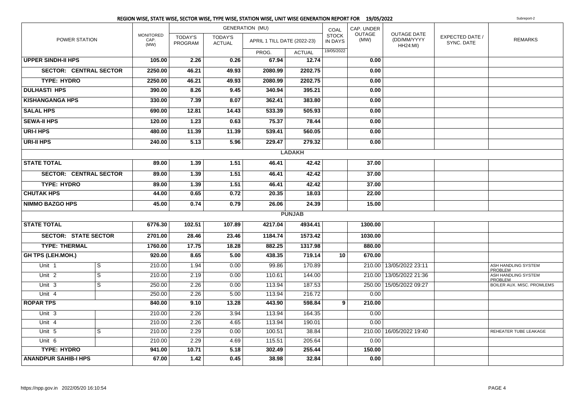|                               |                               |                                  |                           |                                 | REGION WISE, STATE WISE, SECTOR WISE, TYPE WISE, STATION WISE, UNIT WISE GENERATION REPORT FOR 19/05/2022 |               |                                |                       |                                                      |                               | Subreport-2                           |
|-------------------------------|-------------------------------|----------------------------------|---------------------------|---------------------------------|-----------------------------------------------------------------------------------------------------------|---------------|--------------------------------|-----------------------|------------------------------------------------------|-------------------------------|---------------------------------------|
| POWER STATION                 |                               |                                  |                           |                                 | <b>GENERATION (MU)</b>                                                                                    |               | COAL                           | CAP. UNDER            |                                                      |                               |                                       |
|                               |                               | <b>MONITORED</b><br>CAP.<br>(MW) | <b>TODAY'S</b><br>PROGRAM | <b>TODAY'S</b><br><b>ACTUAL</b> | APRIL 1 TILL DATE (2022-23)                                                                               |               | <b>STOCK</b><br><b>IN DAYS</b> | <b>OUTAGE</b><br>(MW) | <b>OUTAGE DATE</b><br>(DD/MM/YYYY<br><b>HH24:MI)</b> | EXPECTED DATE /<br>SYNC. DATE | <b>REMARKS</b>                        |
|                               |                               |                                  |                           |                                 | PROG.                                                                                                     | <b>ACTUAL</b> | 19/05/2022                     |                       |                                                      |                               |                                       |
| <b>UPPER SINDH-II HPS</b>     |                               | 105.00                           | 2.26                      | 0.26                            | 67.94                                                                                                     | 12.74         |                                | 0.00                  |                                                      |                               |                                       |
|                               | <b>SECTOR: CENTRAL SECTOR</b> | 2250.00                          | 46.21                     | 49.93                           | 2080.99                                                                                                   | 2202.75       |                                | 0.00                  |                                                      |                               |                                       |
| <b>TYPE: HYDRO</b>            |                               | 2250.00                          | 46.21                     | 49.93                           | 2080.99                                                                                                   | 2202.75       |                                | 0.00                  |                                                      |                               |                                       |
| <b>DULHASTI HPS</b>           |                               | 390.00                           | 8.26                      | 9.45                            | 340.94                                                                                                    | 395.21        |                                | 0.00                  |                                                      |                               |                                       |
| <b>KISHANGANGA HPS</b>        |                               | 330.00                           | 7.39                      | 8.07                            | 362.41                                                                                                    | 383.80        |                                | 0.00                  |                                                      |                               |                                       |
| <b>SALAL HPS</b>              |                               | 690.00                           | 12.81                     | 14.43                           | 533.39                                                                                                    | 505.93        |                                | 0.00                  |                                                      |                               |                                       |
| <b>SEWA-II HPS</b>            |                               | 120.00                           | 1.23                      | 0.63                            | 75.37                                                                                                     | 78.44         |                                | 0.00                  |                                                      |                               |                                       |
| <b>URI-I HPS</b>              |                               | 480.00                           | 11.39                     | 11.39                           | 539.41                                                                                                    | 560.05        |                                | 0.00                  |                                                      |                               |                                       |
| <b>URI-II HPS</b>             |                               | 240.00                           | 5.13                      | 5.96                            | 229.47                                                                                                    | 279.32        |                                | 0.00                  |                                                      |                               |                                       |
|                               |                               |                                  |                           |                                 |                                                                                                           | <b>LADAKH</b> |                                |                       |                                                      |                               |                                       |
| <b>STATE TOTAL</b>            |                               | 89.00                            | 1.39                      | 1.51                            | 46.41                                                                                                     | 42.42         |                                | 37.00                 |                                                      |                               |                                       |
| <b>SECTOR: CENTRAL SECTOR</b> |                               | 89.00                            | 1.39                      | 1.51                            | 46.41                                                                                                     | 42.42         |                                | 37.00                 |                                                      |                               |                                       |
| <b>TYPE: HYDRO</b>            |                               | 89.00                            | 1.39                      | 1.51                            | 46.41                                                                                                     | 42.42         |                                | 37.00                 |                                                      |                               |                                       |
| <b>CHUTAK HPS</b>             |                               | 44.00                            | 0.65                      | 0.72                            | 20.35                                                                                                     | 18.03         |                                | 22.00                 |                                                      |                               |                                       |
| <b>NIMMO BAZGO HPS</b>        |                               | 45.00                            | 0.74                      | 0.79                            | 26.06                                                                                                     | 24.39         |                                | 15.00                 |                                                      |                               |                                       |
|                               |                               |                                  |                           |                                 |                                                                                                           | <b>PUNJAB</b> |                                |                       |                                                      |                               |                                       |
| <b>STATE TOTAL</b>            |                               | 6776.30                          | 102.51                    | 107.89                          | 4217.04                                                                                                   | 4934.41       |                                | 1300.00               |                                                      |                               |                                       |
|                               | <b>SECTOR: STATE SECTOR</b>   | 2701.00                          | 28.46                     | 23.46                           | 1184.74                                                                                                   | 1573.42       |                                | 1030.00               |                                                      |                               |                                       |
| <b>TYPE: THERMAL</b>          |                               | 1760.00                          | 17.75                     | 18.28                           | 882.25                                                                                                    | 1317.98       |                                | 880.00                |                                                      |                               |                                       |
| <b>GH TPS (LEH.MOH.)</b>      |                               | 920.00                           | 8.65                      | 5.00                            | 438.35                                                                                                    | 719.14        | 10                             | 670.00                |                                                      |                               |                                       |
| Unit 1                        | S                             | 210.00                           | 1.94                      | 0.00                            | 99.86                                                                                                     | 170.89        |                                |                       | 210.00 13/05/2022 23:11                              |                               | ASH HANDLING SYSTEM<br>PROBLEM        |
| Unit <sub>2</sub>             | $\overline{s}$                | 210.00                           | 2.19                      | 0.00                            | 110.61                                                                                                    | 144.00        |                                |                       | 210.00   13/05/2022 21:36                            |                               | ASH HANDLING SYSTEM<br><b>PROBLEM</b> |
| Unit 3                        | $\overline{s}$                | 250.00                           | 2.26                      | 0.00                            | 113.94                                                                                                    | 187.53        |                                |                       | 250.00   15/05/2022 09:27                            |                               | BOILER AUX. MISC. PROMLEMS            |
| Unit 4                        |                               | 250.00                           | 2.26                      | 5.00                            | 113.94                                                                                                    | 216.72        |                                | 0.00                  |                                                      |                               |                                       |
| <b>ROPAR TPS</b>              |                               | 840.00                           | 9.10                      | 13.28                           | 443.90                                                                                                    | 598.84        | 9                              | 210.00                |                                                      |                               |                                       |
| Unit <sub>3</sub>             |                               | 210.00                           | 2.26                      | 3.94                            | 113.94                                                                                                    | 164.35        |                                | 0.00                  |                                                      |                               |                                       |
| Unit 4                        |                               | 210.00                           | 2.26                      | 4.65                            | 113.94                                                                                                    | 190.01        |                                | 0.00                  |                                                      |                               |                                       |
| Unit 5                        | S                             | 210.00                           | 2.29                      | 0.00                            | 100.51                                                                                                    | 38.84         |                                |                       | 210.00 16/05/2022 19:40                              |                               | REHEATER TUBE LEAKAGE                 |
| Unit 6                        |                               | 210.00                           | 2.29                      | 4.69                            | 115.51                                                                                                    | 205.64        |                                | 0.00                  |                                                      |                               |                                       |
| <b>TYPE: HYDRO</b>            |                               | 941.00                           | 10.71                     | 5.18                            | 302.49                                                                                                    | 255.44        |                                | 150.00                |                                                      |                               |                                       |
| <b>ANANDPUR SAHIB-I HPS</b>   |                               | 67.00                            | 1.42                      | 0.45                            | 38.98                                                                                                     | 32.84         |                                | 0.00                  |                                                      |                               |                                       |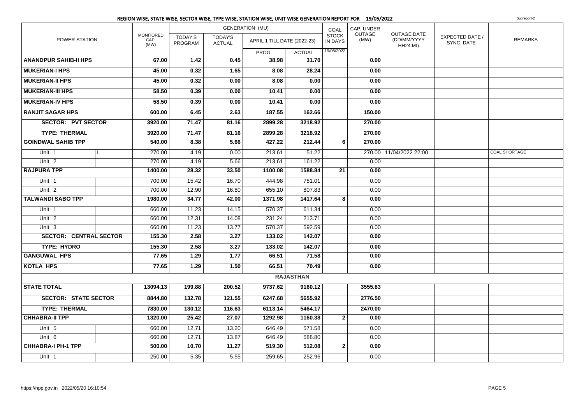|                               |  |                                  |                           |                                 | REGION WISE, STATE WISE, SECTOR WISE, TYPE WISE, STATION WISE, UNIT WISE GENERATION REPORT FOR 19/05/2022 |                  |                                |                |                                                      |                               | Subreport-2    |
|-------------------------------|--|----------------------------------|---------------------------|---------------------------------|-----------------------------------------------------------------------------------------------------------|------------------|--------------------------------|----------------|------------------------------------------------------|-------------------------------|----------------|
| POWER STATION                 |  |                                  |                           |                                 | <b>GENERATION (MU)</b>                                                                                    |                  | COAL                           | CAP. UNDER     |                                                      |                               |                |
|                               |  | <b>MONITORED</b><br>CAP.<br>(MW) | <b>TODAY'S</b><br>PROGRAM | <b>TODAY'S</b><br><b>ACTUAL</b> | APRIL 1 TILL DATE (2022-23)                                                                               |                  | <b>STOCK</b><br><b>IN DAYS</b> | OUTAGE<br>(MW) | <b>OUTAGE DATE</b><br>(DD/MM/YYYY<br><b>HH24:MI)</b> | EXPECTED DATE /<br>SYNC. DATE | <b>REMARKS</b> |
|                               |  |                                  |                           |                                 | PROG.                                                                                                     | <b>ACTUAL</b>    | 19/05/2022                     |                |                                                      |                               |                |
| <b>ANANDPUR SAHIB-II HPS</b>  |  | 67.00                            | 1.42                      | 0.45                            | 38.98                                                                                                     | 31.70            |                                | 0.00           |                                                      |                               |                |
| <b>MUKERIAN-I HPS</b>         |  | 45.00                            | 0.32                      | 1.65                            | 8.08                                                                                                      | 28.24            |                                | 0.00           |                                                      |                               |                |
| <b>MUKERIAN-II HPS</b>        |  | 45.00                            | 0.32                      | 0.00                            | 8.08                                                                                                      | 0.00             |                                | 0.00           |                                                      |                               |                |
| <b>MUKERIAN-III HPS</b>       |  | 58.50                            | 0.39                      | 0.00                            | 10.41                                                                                                     | 0.00             |                                | 0.00           |                                                      |                               |                |
| <b>MUKERIAN-IV HPS</b>        |  | 58.50                            | 0.39                      | 0.00                            | 10.41                                                                                                     | 0.00             |                                | 0.00           |                                                      |                               |                |
| <b>RANJIT SAGAR HPS</b>       |  | 600.00                           | 6.45                      | 2.63                            | 187.55                                                                                                    | 162.66           |                                | 150.00         |                                                      |                               |                |
| <b>SECTOR: PVT SECTOR</b>     |  | 3920.00                          | 71.47                     | 81.16                           | 2899.28                                                                                                   | 3218.92          |                                | 270.00         |                                                      |                               |                |
| <b>TYPE: THERMAL</b>          |  | 3920.00                          | 71.47                     | 81.16                           | 2899.28                                                                                                   | 3218.92          |                                | 270.00         |                                                      |                               |                |
| <b>GOINDWAL SAHIB TPP</b>     |  | 540.00                           | 8.38                      | 5.66                            | 427.22                                                                                                    | 212.44           | 6                              | 270.00         |                                                      |                               |                |
| Unit 1                        |  | 270.00                           | 4.19                      | 0.00                            | 213.61                                                                                                    | 51.22            |                                |                | 270.00 11/04/2022 22:00                              |                               | COAL SHORTAGE  |
| Unit <sub>2</sub>             |  | 270.00                           | 4.19                      | 5.66                            | 213.61                                                                                                    | 161.22           |                                | 0.00           |                                                      |                               |                |
| <b>RAJPURA TPP</b>            |  | 1400.00                          | 28.32                     | 33.50                           | 1100.08                                                                                                   | 1588.84          | 21                             | 0.00           |                                                      |                               |                |
| Unit <sub>1</sub>             |  | 700.00                           | 15.42                     | 16.70                           | 444.98                                                                                                    | 781.01           |                                | 0.00           |                                                      |                               |                |
| Unit $2$                      |  | 700.00                           | 12.90                     | 16.80                           | 655.10                                                                                                    | 807.83           |                                | 0.00           |                                                      |                               |                |
| <b>TALWANDI SABO TPP</b>      |  | 1980.00                          | 34.77                     | 42.00                           | 1371.98                                                                                                   | 1417.64          | 8                              | 0.00           |                                                      |                               |                |
| Unit 1                        |  | 660.00                           | 11.23                     | 14.15                           | 570.37                                                                                                    | 611.34           |                                | 0.00           |                                                      |                               |                |
| Unit <sub>2</sub>             |  | 660.00                           | 12.31                     | 14.08                           | 231.24                                                                                                    | 213.71           |                                | 0.00           |                                                      |                               |                |
| Unit 3                        |  | 660.00                           | 11.23                     | 13.77                           | 570.37                                                                                                    | 592.59           |                                | 0.00           |                                                      |                               |                |
| <b>SECTOR: CENTRAL SECTOR</b> |  | 155.30                           | 2.58                      | 3.27                            | 133.02                                                                                                    | 142.07           |                                | 0.00           |                                                      |                               |                |
| TYPE: HYDRO                   |  | 155.30                           | 2.58                      | $\overline{\mathbf{3.27}}$      | 133.02                                                                                                    | 142.07           |                                | 0.00           |                                                      |                               |                |
| <b>GANGUWAL HPS</b>           |  | 77.65                            | $\overline{1.29}$         | 1.77                            | 66.51                                                                                                     | 71.58            |                                | 0.00           |                                                      |                               |                |
| <b>KOTLA HPS</b>              |  | 77.65                            | 1.29                      | 1.50                            | 66.51                                                                                                     | 70.49            |                                | 0.00           |                                                      |                               |                |
|                               |  |                                  |                           |                                 |                                                                                                           | <b>RAJASTHAN</b> |                                |                |                                                      |                               |                |
| <b>STATE TOTAL</b>            |  | 13094.13                         | 199.88                    | 200.52                          | 9737.62                                                                                                   | 9160.12          |                                | 3555.83        |                                                      |                               |                |
| <b>SECTOR: STATE SECTOR</b>   |  | 8844.80                          | 132.78                    | 121.55                          | 6247.68                                                                                                   | 5655.92          |                                | 2776.50        |                                                      |                               |                |
| <b>TYPE: THERMAL</b>          |  | 7830.00                          | 130.12                    | 116.63                          | 6113.14                                                                                                   | 5464.17          |                                | 2470.00        |                                                      |                               |                |
| <b>CHHABRA-II TPP</b>         |  | 1320.00                          | 25.42                     | 27.07                           | 1292.98                                                                                                   | 1160.38          | $\mathbf{2}$                   | 0.00           |                                                      |                               |                |
| Unit 5                        |  | 660.00                           | 12.71                     | 13.20                           | 646.49                                                                                                    | 571.58           |                                | 0.00           |                                                      |                               |                |
| Unit 6                        |  | 660.00                           | 12.71                     | 13.87                           | 646.49                                                                                                    | 588.80           |                                | 0.00           |                                                      |                               |                |
| <b>CHHABRA-I PH-1 TPP</b>     |  | 500.00                           | 10.70                     | 11.27                           | 519.30                                                                                                    | 512.08           | $\mathbf{2}$                   | 0.00           |                                                      |                               |                |
| Unit 1                        |  | 250.00                           | 5.35                      | 5.55                            | 259.65                                                                                                    | 252.96           |                                | 0.00           |                                                      |                               |                |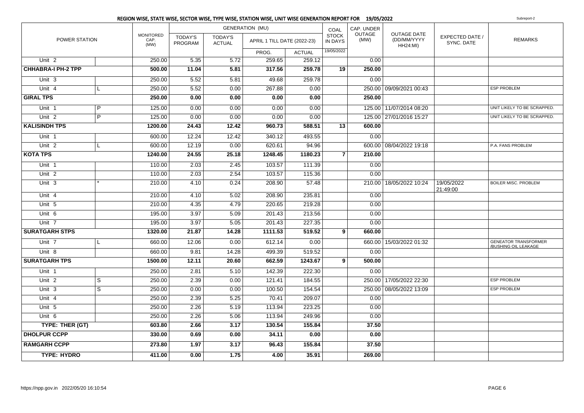|                           |                |                                  |                    |                          | REGION WISE, STATE WISE, SECTOR WISE, TYPE WISE, STATION WISE, UNIT WISE GENERATION REPORT FOR 19/05/2022 |               |                         |                       |                                                      |                               | Subreport-2                                         |
|---------------------------|----------------|----------------------------------|--------------------|--------------------------|-----------------------------------------------------------------------------------------------------------|---------------|-------------------------|-----------------------|------------------------------------------------------|-------------------------------|-----------------------------------------------------|
|                           |                |                                  |                    |                          | <b>GENERATION (MU)</b>                                                                                    |               | COAL                    | CAP. UNDER            |                                                      |                               |                                                     |
| POWER STATION             |                | <b>MONITORED</b><br>CAP.<br>(MW) | TODAY'S<br>PROGRAM | TODAY'S<br><b>ACTUAL</b> | APRIL 1 TILL DATE (2022-23)                                                                               |               | <b>STOCK</b><br>IN DAYS | <b>OUTAGE</b><br>(MW) | <b>OUTAGE DATE</b><br>(DD/MM/YYYY<br><b>HH24:MI)</b> | EXPECTED DATE /<br>SYNC. DATE | <b>REMARKS</b>                                      |
|                           |                |                                  |                    |                          | PROG.                                                                                                     | <b>ACTUAL</b> | 19/05/2022              |                       |                                                      |                               |                                                     |
| Unit <sub>2</sub>         |                | 250.00                           | 5.35               | 5.72                     | 259.65                                                                                                    | 259.12        |                         | 0.00                  |                                                      |                               |                                                     |
| <b>CHHABRA-I PH-2 TPP</b> |                | 500.00                           | 11.04              | 5.81                     | 317.56                                                                                                    | 259.78        | 19                      | 250.00                |                                                      |                               |                                                     |
| Unit 3                    |                | 250.00                           | 5.52               | 5.81                     | 49.68                                                                                                     | 259.78        |                         | 0.00                  |                                                      |                               |                                                     |
| Unit $4$                  | L              | 250.00                           | 5.52               | 0.00                     | 267.88                                                                                                    | 0.00          |                         |                       | 250.00 09/09/2021 00:43                              |                               | <b>ESP PROBLEM</b>                                  |
| <b>GIRAL TPS</b>          |                | 250.00                           | 0.00               | 0.00                     | 0.00                                                                                                      | 0.00          |                         | 250.00                |                                                      |                               |                                                     |
| Unit 1                    | $\overline{P}$ | 125.00                           | 0.00               | 0.00                     | 0.00                                                                                                      | 0.00          |                         |                       | 125.00 11/07/2014 08:20                              |                               | UNIT LIKELY TO BE SCRAPPED.                         |
| Unit <sub>2</sub>         | $\overline{P}$ | 125.00                           | 0.00               | 0.00                     | 0.00                                                                                                      | 0.00          |                         |                       | 125.00 27/01/2016 15:27                              |                               | UNIT LIKELY TO BE SCRAPPED.                         |
| <b>KALISINDH TPS</b>      |                | 1200.00                          | 24.43              | 12.42                    | 960.73                                                                                                    | 588.51        | 13                      | 600.00                |                                                      |                               |                                                     |
| Unit <sub>1</sub>         |                | 600.00                           | 12.24              | 12.42                    | 340.12                                                                                                    | 493.55        |                         | 0.00                  |                                                      |                               |                                                     |
| Unit 2                    | L              | 600.00                           | 12.19              | 0.00                     | 620.61                                                                                                    | 94.96         |                         |                       | 600.00 08/04/2022 19:18                              |                               | P.A. FANS PROBLEM                                   |
| <b>KOTA TPS</b>           |                | 1240.00                          | 24.55              | 25.18                    | 1248.45                                                                                                   | 1180.23       | $\overline{7}$          | 210.00                |                                                      |                               |                                                     |
| Unit 1                    |                | 110.00                           | 2.03               | 2.45                     | 103.57                                                                                                    | 111.39        |                         | 0.00                  |                                                      |                               |                                                     |
| Unit 2                    |                | 110.00                           | 2.03               | 2.54                     | 103.57                                                                                                    | 115.36        |                         | 0.00                  |                                                      |                               |                                                     |
| Unit <sub>3</sub>         |                | 210.00                           | 4.10               | 0.24                     | 208.90                                                                                                    | 57.48         |                         |                       | 210.00 18/05/2022 10:24                              | 19/05/2022<br>21:49:00        | <b>BOILER MISC. PROBLEM</b>                         |
| Unit 4                    |                | 210.00                           | 4.10               | 5.02                     | 208.90                                                                                                    | 235.81        |                         | 0.00                  |                                                      |                               |                                                     |
| Unit 5                    |                | 210.00                           | 4.35               | 4.79                     | 220.65                                                                                                    | 219.28        |                         | 0.00                  |                                                      |                               |                                                     |
| Unit 6                    |                | 195.00                           | 3.97               | 5.09                     | 201.43                                                                                                    | 213.56        |                         | 0.00                  |                                                      |                               |                                                     |
| Unit <sub>7</sub>         |                | 195.00                           | 3.97               | 5.05                     | 201.43                                                                                                    | 227.35        |                         | 0.00                  |                                                      |                               |                                                     |
| <b>SURATGARH STPS</b>     |                | 1320.00                          | 21.87              | 14.28                    | 1111.53                                                                                                   | 519.52        | 9 <sup>1</sup>          | 660.00                |                                                      |                               |                                                     |
| Unit 7                    | L              | 660.00                           | 12.06              | 0.00                     | 612.14                                                                                                    | 0.00          |                         |                       | 660.00   15/03/2022 01:32                            |                               | <b>GENEATOR TRANSFORMER</b><br>/BUSHING OIL LEAKAGE |
| Unit 8                    |                | 660.00                           | 9.81               | 14.28                    | 499.39                                                                                                    | 519.52        |                         | 0.00                  |                                                      |                               |                                                     |
| <b>SURATGARH TPS</b>      |                | 1500.00                          | 12.11              | 20.60                    | 662.59                                                                                                    | 1243.67       | $\overline{9}$          | 500.00                |                                                      |                               |                                                     |
| Unit 1                    |                | 250.00                           | 2.81               | 5.10                     | 142.39                                                                                                    | 222.30        |                         | 0.00                  |                                                      |                               |                                                     |
| Unit <sub>2</sub>         | S              | 250.00                           | 2.39               | 0.00                     | 121.41                                                                                                    | 184.55        |                         |                       | 250.00 17/05/2022 22:30                              |                               | <b>ESP PROBLEM</b>                                  |
| Unit 3                    | S              | 250.00                           | 0.00               | 0.00                     | 100.50                                                                                                    | 154.54        |                         |                       | 250.00 08/05/2022 13:09                              |                               | <b>ESP PROBLEM</b>                                  |
| Unit 4                    |                | 250.00                           | 2.39               | 5.25                     | 70.41                                                                                                     | 209.07        |                         | 0.00                  |                                                      |                               |                                                     |
| Unit 5                    |                | 250.00                           | 2.26               | 5.19                     | 113.94                                                                                                    | 223.25        |                         | 0.00                  |                                                      |                               |                                                     |
| $\overline{Unit}$ 6       |                | 250.00                           | 2.26               | 5.06                     | 113.94                                                                                                    | 249.96        |                         | 0.00                  |                                                      |                               |                                                     |
| TYPE: THER (GT)           |                | 603.80                           | 2.66               | 3.17                     | 130.54                                                                                                    | 155.84        |                         | 37.50                 |                                                      |                               |                                                     |
| <b>DHOLPUR CCPP</b>       |                | 330.00                           | 0.69               | 0.00                     | 34.11                                                                                                     | 0.00          |                         | 0.00                  |                                                      |                               |                                                     |
| <b>RAMGARH CCPP</b>       |                | 273.80                           | 1.97               | 3.17                     | 96.43                                                                                                     | 155.84        |                         | 37.50                 |                                                      |                               |                                                     |
| <b>TYPE: HYDRO</b>        |                | 411.00                           | 0.00               | 1.75                     | 4.00                                                                                                      | 35.91         |                         | 269.00                |                                                      |                               |                                                     |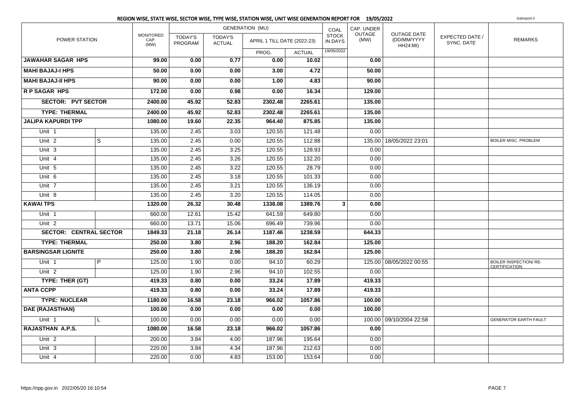|                               |                |                                  |                           |                                 | <b>GENERATION (MU)</b>      |               | COAL                           | CAP. UNDER     |                                                      |                               |                                                       |
|-------------------------------|----------------|----------------------------------|---------------------------|---------------------------------|-----------------------------|---------------|--------------------------------|----------------|------------------------------------------------------|-------------------------------|-------------------------------------------------------|
| POWER STATION                 |                | <b>MONITORED</b><br>CAP.<br>(MW) | <b>TODAY'S</b><br>PROGRAM | <b>TODAY'S</b><br><b>ACTUAL</b> | APRIL 1 TILL DATE (2022-23) |               | <b>STOCK</b><br><b>IN DAYS</b> | OUTAGE<br>(MW) | <b>OUTAGE DATE</b><br>(DD/MM/YYYY<br><b>HH24:MI)</b> | EXPECTED DATE /<br>SYNC. DATE | <b>REMARKS</b>                                        |
|                               |                |                                  |                           |                                 | PROG.                       | <b>ACTUAL</b> | 19/05/2022                     |                |                                                      |                               |                                                       |
| <b>JAWAHAR SAGAR HPS</b>      |                | 99.00                            | 0.00                      | 0.77                            | 0.00                        | 10.02         |                                | 0.00           |                                                      |                               |                                                       |
| <b>MAHI BAJAJ-I HPS</b>       |                | 50.00                            | 0.00                      | 0.00                            | 3.00                        | 4.72          |                                | 50.00          |                                                      |                               |                                                       |
| <b>MAHI BAJAJ-II HPS</b>      |                | 90.00                            | 0.00                      | 0.00                            | 1.00                        | 4.83          |                                | 90.00          |                                                      |                               |                                                       |
| <b>RP SAGAR HPS</b>           |                | 172.00                           | 0.00                      | 0.98                            | 0.00                        | 16.34         |                                | 129.00         |                                                      |                               |                                                       |
| <b>SECTOR: PVT SECTOR</b>     |                | 2400.00                          | 45.92                     | 52.83                           | 2302.48                     | 2265.61       |                                | 135.00         |                                                      |                               |                                                       |
| <b>TYPE: THERMAL</b>          |                | 2400.00                          | 45.92                     | 52.83                           | 2302.48                     | 2265.61       |                                | 135.00         |                                                      |                               |                                                       |
| <b>JALIPA KAPURDI TPP</b>     |                | 1080.00                          | 19.60                     | 22.35                           | 964.40                      | 875.85        |                                | 135.00         |                                                      |                               |                                                       |
| Unit 1                        |                | 135.00                           | 2.45                      | 3.03                            | 120.55                      | 121.48        |                                | 0.00           |                                                      |                               |                                                       |
| Unit <sub>2</sub>             | S              | 135.00                           | 2.45                      | 0.00                            | 120.55                      | 112.88        |                                |                | 135.00   18/05/2022 23:01                            |                               | <b>BOILER MISC. PROBLEM</b>                           |
| Unit 3                        |                | 135.00                           | 2.45                      | 3.25                            | 120.55                      | 128.93        |                                | 0.00           |                                                      |                               |                                                       |
| Unit 4                        |                | 135.00                           | 2.45                      | 3.26                            | 120.55                      | 132.20        |                                | 0.00           |                                                      |                               |                                                       |
| Unit 5                        |                | 135.00                           | 2.45                      | 3.22                            | 120.55                      | 28.79         |                                | 0.00           |                                                      |                               |                                                       |
| Unit 6                        |                | 135.00                           | 2.45                      | 3.18                            | 120.55                      | 101.33        |                                | 0.00           |                                                      |                               |                                                       |
| Unit 7                        |                | 135.00                           | 2.45                      | 3.21                            | 120.55                      | 136.19        |                                | 0.00           |                                                      |                               |                                                       |
| Unit <sub>8</sub>             |                | 135.00                           | 2.45                      | 3.20                            | 120.55                      | 114.05        |                                | 0.00           |                                                      |                               |                                                       |
| <b>KAWAI TPS</b>              |                | 1320.00                          | 26.32                     | 30.48                           | 1338.08                     | 1389.76       | $\mathbf{3}$                   | 0.00           |                                                      |                               |                                                       |
| Unit 1                        |                | 660.00                           | 12.61                     | 15.42                           | 641.59                      | 649.80        |                                | 0.00           |                                                      |                               |                                                       |
| Unit <sub>2</sub>             |                | 660.00                           | 13.71                     | 15.06                           | 696.49                      | 739.96        |                                | 0.00           |                                                      |                               |                                                       |
| <b>SECTOR: CENTRAL SECTOR</b> |                | 1849.33                          | 21.18                     | 26.14                           | 1187.46                     | 1238.59       |                                | 644.33         |                                                      |                               |                                                       |
| <b>TYPE: THERMAL</b>          |                | 250.00                           | 3.80                      | 2.96                            | 188.20                      | 162.84        |                                | 125.00         |                                                      |                               |                                                       |
| <b>BARSINGSAR LIGNITE</b>     |                | 250.00                           | 3.80                      | 2.96                            | 188.20                      | 162.84        |                                | 125.00         |                                                      |                               |                                                       |
| Unit 1                        | $\overline{P}$ | 125.00                           | 1.90                      | 0.00                            | 94.10                       | 60.29         |                                |                | 125.00 08/05/2022 00:55                              |                               | <b>BOILER INSPECTION/ RE-</b><br><b>CERTIFICATION</b> |
| Unit <sub>2</sub>             |                | 125.00                           | 1.90                      | 2.96                            | 94.10                       | 102.55        |                                | 0.00           |                                                      |                               |                                                       |
| TYPE: THER (GT)               |                | 419.33                           | 0.80                      | 0.00                            | 33.24                       | 17.89         |                                | 419.33         |                                                      |                               |                                                       |
| <b>ANTA CCPP</b>              |                | 419.33                           | 0.80                      | 0.00                            | 33.24                       | 17.89         |                                | 419.33         |                                                      |                               |                                                       |
| <b>TYPE: NUCLEAR</b>          |                | 1180.00                          | 16.58                     | 23.18                           | 966.02                      | 1057.86       |                                | 100.00         |                                                      |                               |                                                       |
| DAE (RAJASTHAN)               |                | 100.00                           | 0.00                      | 0.00                            | 0.00                        | 0.00          |                                | 100.00         |                                                      |                               |                                                       |
| Unit 1                        | L              | 100.00                           | 0.00                      | 0.00                            | 0.00                        | 0.00          |                                |                | 100.00 09/10/2004 22:58                              |                               | <b>GENERATOR EARTH FAULT</b>                          |
| <b>RAJASTHAN A.P.S.</b>       |                | 1080.00                          | 16.58                     | 23.18                           | 966.02                      | 1057.86       |                                | 0.00           |                                                      |                               |                                                       |
| Unit <sub>2</sub>             |                | 200.00                           | 3.84                      | 4.00                            | 187.96                      | 195.64        |                                | 0.00           |                                                      |                               |                                                       |
| Unit 3                        |                | 220.00                           | 3.84                      | 4.34                            | 187.96                      | 212.63        |                                | 0.00           |                                                      |                               |                                                       |
| Unit 4                        |                | 220.00                           | 0.00                      | 4.83                            | 153.00                      | 153.64        |                                | 0.00           |                                                      |                               |                                                       |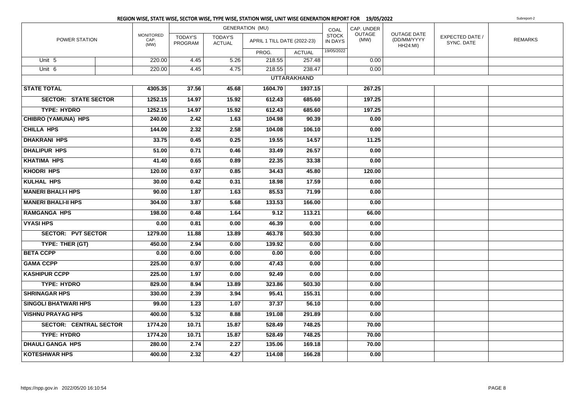|                               |                           |                                  |                                 | REGION WISE, STATE WISE, SECTOR WISE, TYPE WISE, STATION WISE, UNIT WISE GENERATION REPORT FOR 19/05/2022 |                    |                         |                |                                                      |                               | Subreport-2    |
|-------------------------------|---------------------------|----------------------------------|---------------------------------|-----------------------------------------------------------------------------------------------------------|--------------------|-------------------------|----------------|------------------------------------------------------|-------------------------------|----------------|
|                               |                           |                                  |                                 | <b>GENERATION (MU)</b>                                                                                    |                    | COAL                    | CAP. UNDER     |                                                      |                               |                |
| POWER STATION                 | MONITORED<br>CAP.<br>(MW) | <b>TODAY'S</b><br><b>PROGRAM</b> | <b>TODAY'S</b><br><b>ACTUAL</b> | APRIL 1 TILL DATE (2022-23)                                                                               |                    | <b>STOCK</b><br>IN DAYS | OUTAGE<br>(MW) | <b>OUTAGE DATE</b><br>(DD/MM/YYYY<br><b>HH24:MI)</b> | EXPECTED DATE /<br>SYNC. DATE | <b>REMARKS</b> |
|                               |                           |                                  |                                 | PROG.                                                                                                     | <b>ACTUAL</b>      | 19/05/2022              |                |                                                      |                               |                |
| Unit 5                        | 220.00                    | 4.45                             | 5.26                            | 218.55                                                                                                    | 257.48             |                         | 0.00           |                                                      |                               |                |
| Unit 6                        | 220.00                    | 4.45                             | 4.75                            | 218.55                                                                                                    | 238.47             |                         | 0.00           |                                                      |                               |                |
|                               |                           |                                  |                                 |                                                                                                           | <b>UTTARAKHAND</b> |                         |                |                                                      |                               |                |
| <b>STATE TOTAL</b>            | 4305.35                   | 37.56                            | 45.68                           | 1604.70                                                                                                   | 1937.15            |                         | 267.25         |                                                      |                               |                |
| <b>SECTOR: STATE SECTOR</b>   | 1252.15                   | 14.97                            | 15.92                           | 612.43                                                                                                    | 685.60             |                         | 197.25         |                                                      |                               |                |
| <b>TYPE: HYDRO</b>            | 1252.15                   | 14.97                            | 15.92                           | 612.43                                                                                                    | 685.60             |                         | 197.25         |                                                      |                               |                |
| <b>CHIBRO (YAMUNA) HPS</b>    | 240.00                    | 2.42                             | 1.63                            | 104.98                                                                                                    | 90.39              |                         | 0.00           |                                                      |                               |                |
| <b>CHILLA HPS</b>             | 144.00                    | 2.32                             | 2.58                            | 104.08                                                                                                    | 106.10             |                         | 0.00           |                                                      |                               |                |
| <b>DHAKRANI HPS</b>           | 33.75                     | 0.45                             | 0.25                            | 19.55                                                                                                     | 14.57              |                         | 11.25          |                                                      |                               |                |
| <b>DHALIPUR HPS</b>           | 51.00                     | 0.71                             | 0.46                            | 33.49                                                                                                     | 26.57              |                         | 0.00           |                                                      |                               |                |
| <b>KHATIMA HPS</b>            | 41.40                     | 0.65                             | 0.89                            | 22.35                                                                                                     | 33.38              |                         | 0.00           |                                                      |                               |                |
| <b>KHODRI HPS</b>             | 120.00                    | 0.97                             | 0.85                            | 34.43                                                                                                     | 45.80              |                         | 120.00         |                                                      |                               |                |
| <b>KULHAL HPS</b>             | 30.00                     | 0.42                             | 0.31                            | 18.98                                                                                                     | 17.59              |                         | 0.00           |                                                      |                               |                |
| <b>MANERI BHALI-I HPS</b>     | 90.00                     | 1.87                             | 1.63                            | 85.53                                                                                                     | 71.99              |                         | 0.00           |                                                      |                               |                |
| <b>MANERI BHALI-II HPS</b>    | 304.00                    | 3.87                             | 5.68                            | 133.53                                                                                                    | 166.00             |                         | 0.00           |                                                      |                               |                |
| <b>RAMGANGA HPS</b>           | 198.00                    | 0.48                             | 1.64                            | 9.12                                                                                                      | 113.21             |                         | 66.00          |                                                      |                               |                |
| <b>VYASI HPS</b>              | 0.00                      | 0.81                             | 0.00                            | 46.39                                                                                                     | 0.00               |                         | 0.00           |                                                      |                               |                |
| <b>SECTOR: PVT SECTOR</b>     | 1279.00                   | 11.88                            | 13.89                           | 463.78                                                                                                    | 503.30             |                         | 0.00           |                                                      |                               |                |
| TYPE: THER (GT)               | 450.00                    | 2.94                             | 0.00                            | 139.92                                                                                                    | 0.00               |                         | 0.00           |                                                      |                               |                |
| <b>BETA CCPP</b>              | 0.00                      | 0.00                             | 0.00                            | 0.00                                                                                                      | 0.00               |                         | 0.00           |                                                      |                               |                |
| <b>GAMA CCPP</b>              | 225.00                    | 0.97                             | 0.00                            | 47.43                                                                                                     | 0.00               |                         | 0.00           |                                                      |                               |                |
| <b>KASHIPUR CCPP</b>          | 225.00                    | 1.97                             | 0.00                            | 92.49                                                                                                     | 0.00               |                         | 0.00           |                                                      |                               |                |
| <b>TYPE: HYDRO</b>            | 829.00                    | 8.94                             | 13.89                           | 323.86                                                                                                    | 503.30             |                         | 0.00           |                                                      |                               |                |
| <b>SHRINAGAR HPS</b>          | 330.00                    | 2.39                             | 3.94                            | 95.41                                                                                                     | 155.31             |                         | 0.00           |                                                      |                               |                |
| <b>SINGOLI BHATWARI HPS</b>   | 99.00                     | 1.23                             | 1.07                            | 37.37                                                                                                     | 56.10              |                         | 0.00           |                                                      |                               |                |
| <b>VISHNU PRAYAG HPS</b>      | 400.00                    | 5.32                             | 8.88                            | 191.08                                                                                                    | 291.89             |                         | 0.00           |                                                      |                               |                |
| <b>SECTOR: CENTRAL SECTOR</b> | 1774.20                   | 10.71                            | 15.87                           | 528.49                                                                                                    | 748.25             |                         | 70.00          |                                                      |                               |                |
| <b>TYPE: HYDRO</b>            | 1774.20                   | 10.71                            | 15.87                           | 528.49                                                                                                    | 748.25             |                         | 70.00          |                                                      |                               |                |
| <b>DHAULI GANGA HPS</b>       | 280.00                    | 2.74                             | 2.27                            | 135.06                                                                                                    | 169.18             |                         | 70.00          |                                                      |                               |                |
| <b>KOTESHWAR HPS</b>          | 400.00                    | 2.32                             | 4.27                            | 114.08                                                                                                    | 166.28             |                         | 0.00           |                                                      |                               |                |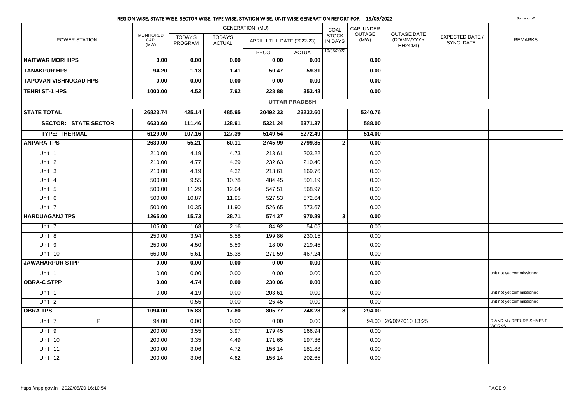|                              |                |                                  |                    |                                 | REGION WISE, STATE WISE, SECTOR WISE, TYPE WISE, STATION WISE, UNIT WISE GENERATION REPORT FOR 19/05/2022 |                      |                         |                |                                                      |                               | Subreport-2                             |
|------------------------------|----------------|----------------------------------|--------------------|---------------------------------|-----------------------------------------------------------------------------------------------------------|----------------------|-------------------------|----------------|------------------------------------------------------|-------------------------------|-----------------------------------------|
|                              |                |                                  |                    |                                 | <b>GENERATION (MU)</b>                                                                                    |                      | COAL                    | CAP. UNDER     |                                                      |                               |                                         |
| POWER STATION                |                | <b>MONITORED</b><br>CAP.<br>(MW) | TODAY'S<br>PROGRAM | <b>TODAY'S</b><br><b>ACTUAL</b> | APRIL 1 TILL DATE (2022-23)                                                                               |                      | <b>STOCK</b><br>IN DAYS | OUTAGE<br>(MW) | <b>OUTAGE DATE</b><br>(DD/MM/YYYY<br><b>HH24:MI)</b> | EXPECTED DATE /<br>SYNC. DATE | <b>REMARKS</b>                          |
|                              |                |                                  |                    |                                 | PROG.                                                                                                     | <b>ACTUAL</b>        | 19/05/2022              |                |                                                      |                               |                                         |
| <b>NAITWAR MORI HPS</b>      |                | 0.00                             | 0.00               | 0.00                            | 0.00                                                                                                      | 0.00                 |                         | 0.00           |                                                      |                               |                                         |
| <b>TANAKPUR HPS</b>          |                | 94.20                            | 1.13               | 1.41                            | 50.47                                                                                                     | 59.31                |                         | 0.00           |                                                      |                               |                                         |
| <b>TAPOVAN VISHNUGAD HPS</b> |                | 0.00                             | 0.00               | 0.00                            | 0.00                                                                                                      | 0.00                 |                         | 0.00           |                                                      |                               |                                         |
| <b>TEHRI ST-1 HPS</b>        |                | 1000.00                          | 4.52               | 7.92                            | 228.88                                                                                                    | 353.48               |                         | 0.00           |                                                      |                               |                                         |
|                              |                |                                  |                    |                                 |                                                                                                           | <b>UTTAR PRADESH</b> |                         |                |                                                      |                               |                                         |
| <b>STATE TOTAL</b>           |                | 26823.74                         | 425.14             | 485.95                          | 20492.33                                                                                                  | 23232.60             |                         | 5240.76        |                                                      |                               |                                         |
| <b>SECTOR: STATE SECTOR</b>  |                | 6630.60                          | 111.46             | 128.91                          | 5321.24                                                                                                   | 5371.37              |                         | 588.00         |                                                      |                               |                                         |
| <b>TYPE: THERMAL</b>         |                | 6129.00                          | 107.16             | 127.39                          | 5149.54                                                                                                   | 5272.49              |                         | 514.00         |                                                      |                               |                                         |
| <b>ANPARA TPS</b>            |                | 2630.00                          | 55.21              | 60.11                           | 2745.99                                                                                                   | 2799.85              | $\overline{2}$          | 0.00           |                                                      |                               |                                         |
| Unit 1                       |                | 210.00                           | 4.19               | 4.73                            | 213.61                                                                                                    | 203.22               |                         | 0.00           |                                                      |                               |                                         |
| Unit <sub>2</sub>            |                | 210.00                           | 4.77               | 4.39                            | 232.63                                                                                                    | 210.40               |                         | 0.00           |                                                      |                               |                                         |
| Unit 3                       |                | 210.00                           | 4.19               | 4.32                            | 213.61                                                                                                    | 169.76               |                         | 0.00           |                                                      |                               |                                         |
| Unit 4                       |                | 500.00                           | 9.55               | 10.78                           | 484.45                                                                                                    | 501.19               |                         | 0.00           |                                                      |                               |                                         |
| Unit 5                       |                | 500.00                           | 11.29              | 12.04                           | 547.51                                                                                                    | 568.97               |                         | 0.00           |                                                      |                               |                                         |
| Unit 6                       |                | 500.00                           | 10.87              | 11.95                           | 527.53                                                                                                    | 572.64               |                         | 0.00           |                                                      |                               |                                         |
| Unit 7                       |                | 500.00                           | 10.35              | 11.90                           | 526.65                                                                                                    | 573.67               |                         | 0.00           |                                                      |                               |                                         |
| <b>HARDUAGANJ TPS</b>        |                | 1265.00                          | 15.73              | 28.71                           | 574.37                                                                                                    | 970.89               | $\overline{3}$          | 0.00           |                                                      |                               |                                         |
| Unit <sub>7</sub>            |                | 105.00                           | 1.68               | 2.16                            | 84.92                                                                                                     | 54.05                |                         | 0.00           |                                                      |                               |                                         |
| Unit 8                       |                | 250.00                           | 3.94               | 5.58                            | 199.86                                                                                                    | 230.15               |                         | 0.00           |                                                      |                               |                                         |
| Unit 9                       |                | 250.00                           | 4.50               | 5.59                            | 18.00                                                                                                     | 219.45               |                         | 0.00           |                                                      |                               |                                         |
| Unit 10                      |                | 660.00                           | 5.61               | 15.38                           | 271.59                                                                                                    | 467.24               |                         | 0.00           |                                                      |                               |                                         |
| <b>JAWAHARPUR STPP</b>       |                | 0.00                             | 0.00               | 0.00                            | 0.00                                                                                                      | 0.00                 |                         | 0.00           |                                                      |                               |                                         |
| Unit 1                       |                | 0.00                             | 0.00               | 0.00                            | 0.00                                                                                                      | 0.00                 |                         | 0.00           |                                                      |                               | unit not yet commissioned               |
| <b>OBRA-C STPP</b>           |                | 0.00                             | 4.74               | 0.00                            | 230.06                                                                                                    | 0.00                 |                         | 0.00           |                                                      |                               |                                         |
| Unit <sub>1</sub>            |                | 0.00                             | 4.19               | 0.00                            | 203.61                                                                                                    | 0.00                 |                         | 0.00           |                                                      |                               | unit not yet commissioned               |
| Unit <sub>2</sub>            |                |                                  | 0.55               | 0.00                            | 26.45                                                                                                     | 0.00                 |                         | 0.00           |                                                      |                               | unit not yet commissioned               |
| <b>OBRA TPS</b>              |                | 1094.00                          | 15.83              | 17.80                           | 805.77                                                                                                    | 748.28               | 8                       | 294.00         |                                                      |                               |                                         |
| Unit 7                       | $\overline{P}$ | 94.00                            | 0.00               | 0.00                            | 0.00                                                                                                      | 0.00                 |                         |                | 94.00 26/06/2010 13:25                               |                               | R AND M / REFURBISHMENT<br><b>WORKS</b> |
| Unit 9                       |                | 200.00                           | 3.55               | 3.97                            | 179.45                                                                                                    | 166.94               |                         | 0.00           |                                                      |                               |                                         |
| Unit 10                      |                | 200.00                           | 3.35               | 4.49                            | 171.65                                                                                                    | 197.36               |                         | 0.00           |                                                      |                               |                                         |
| Unit 11                      |                | 200.00                           | 3.06               | 4.72                            | 156.14                                                                                                    | 181.33               |                         | 0.00           |                                                      |                               |                                         |
| Unit 12                      |                | 200.00                           | 3.06               | 4.62                            | 156.14                                                                                                    | 202.65               |                         | 0.00           |                                                      |                               |                                         |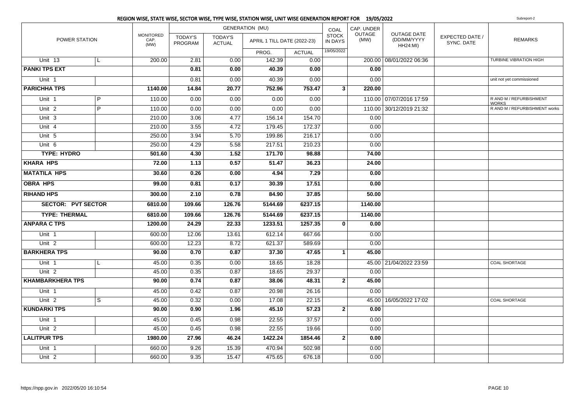|                           |                | REGION WISE, STATE WISE, SECTOR WISE, TYPE WISE, STATION WISE, UNIT WISE GENERATION REPORT FOR 19/05/2022 |                    |                                 |                             |               |                                |                |                                        |                               | Subreport-2                             |
|---------------------------|----------------|-----------------------------------------------------------------------------------------------------------|--------------------|---------------------------------|-----------------------------|---------------|--------------------------------|----------------|----------------------------------------|-------------------------------|-----------------------------------------|
|                           |                |                                                                                                           |                    |                                 | <b>GENERATION (MU)</b>      |               | COAL                           | CAP. UNDER     |                                        |                               |                                         |
| POWER STATION             |                | <b>MONITORED</b><br>CAP.<br>(MW)                                                                          | TODAY'S<br>PROGRAM | <b>TODAY'S</b><br><b>ACTUAL</b> | APRIL 1 TILL DATE (2022-23) |               | <b>STOCK</b><br><b>IN DAYS</b> | OUTAGE<br>(MW) | OUTAGE DATE<br>(DD/MM/YYYY<br>HH24:MI) | EXPECTED DATE /<br>SYNC. DATE | <b>REMARKS</b>                          |
|                           |                |                                                                                                           |                    |                                 | PROG.                       | <b>ACTUAL</b> | 19/05/2022                     |                |                                        |                               |                                         |
| Unit 13                   | L              | 200.00                                                                                                    | 2.81               | 0.00                            | 142.39                      | 0.00          |                                |                | 200.00 08/01/2022 06:36                |                               | TURBINE VIBRATION HIGH                  |
| <b>PANKI TPS EXT</b>      |                |                                                                                                           | 0.81               | 0.00                            | 40.39                       | 0.00          |                                | 0.00           |                                        |                               |                                         |
| Unit 1                    |                |                                                                                                           | 0.81               | 0.00                            | 40.39                       | 0.00          |                                | 0.00           |                                        |                               | unit not yet commissioned               |
| <b>PARICHHA TPS</b>       |                | 1140.00                                                                                                   | 14.84              | 20.77                           | 752.96                      | 753.47        | 3                              | 220.00         |                                        |                               |                                         |
| Unit 1                    | $\overline{P}$ | 110.00                                                                                                    | 0.00               | 0.00                            | 0.00                        | 0.00          |                                |                | 110.00 07/07/2016 17:59                |                               | R AND M / REFURBISHMENT<br><b>WORKS</b> |
| Unit <sub>2</sub>         | $\overline{P}$ | 110.00                                                                                                    | 0.00               | 0.00                            | 0.00                        | 0.00          |                                |                | 110.00 30/12/2019 21:32                |                               | R AND M / REFURBISHMENT works           |
| Unit 3                    |                | 210.00                                                                                                    | 3.06               | 4.77                            | 156.14                      | 154.70        |                                | 0.00           |                                        |                               |                                         |
| Unit 4                    |                | 210.00                                                                                                    | 3.55               | 4.72                            | 179.45                      | 172.37        |                                | 0.00           |                                        |                               |                                         |
| Unit 5                    |                | 250.00                                                                                                    | 3.94               | 5.70                            | 199.86                      | 216.17        |                                | 0.00           |                                        |                               |                                         |
| Unit 6                    |                | 250.00                                                                                                    | 4.29               | 5.58                            | 217.51                      | 210.23        |                                | 0.00           |                                        |                               |                                         |
| <b>TYPE: HYDRO</b>        |                | 501.60                                                                                                    | 4.30               | $\overline{1.52}$               | 171.70                      | 98.88         |                                | 74.00          |                                        |                               |                                         |
| <b>KHARA HPS</b>          |                |                                                                                                           | 1.13               | 0.57                            | 51.47                       | 36.23         |                                | 24.00          |                                        |                               |                                         |
| <b>MATATILA HPS</b>       |                | 30.60                                                                                                     | 0.26               | 0.00                            | 4.94                        | 7.29          |                                | 0.00           |                                        |                               |                                         |
| <b>OBRA HPS</b>           |                | 99.00                                                                                                     | 0.81               | 0.17                            | 30.39                       | 17.51         |                                | 0.00           |                                        |                               |                                         |
| <b>RIHAND HPS</b>         |                | 300.00                                                                                                    | 2.10               | 0.78                            | 84.90                       | 37.85         |                                | 50.00          |                                        |                               |                                         |
| <b>SECTOR: PVT SECTOR</b> |                | 6810.00                                                                                                   | 109.66             | 126.76                          | 5144.69                     | 6237.15       |                                | 1140.00        |                                        |                               |                                         |
| <b>TYPE: THERMAL</b>      |                | 6810.00                                                                                                   | 109.66             | 126.76                          | 5144.69                     | 6237.15       |                                | 1140.00        |                                        |                               |                                         |
| <b>ANPARA C TPS</b>       |                | 1200.00                                                                                                   | 24.29              | 22.33                           | 1233.51                     | 1257.35       | $\mathbf{0}$                   | 0.00           |                                        |                               |                                         |
| Unit 1                    |                | 600.00                                                                                                    | 12.06              | 13.61                           | 612.14                      | 667.66        |                                | 0.00           |                                        |                               |                                         |
| Unit <sub>2</sub>         |                | 600.00                                                                                                    | 12.23              | 8.72                            | 621.37                      | 589.69        |                                | 0.00           |                                        |                               |                                         |
| <b>BARKHERA TPS</b>       |                | 90.00                                                                                                     | 0.70               | 0.87                            | 37.30                       | 47.65         | $\mathbf{1}$                   | 45.00          |                                        |                               |                                         |
| Unit 1                    | L              | 45.00                                                                                                     | 0.35               | 0.00                            | 18.65                       | 18.28         |                                |                | 45.00 21/04/2022 23:59                 |                               | COAL SHORTAGE                           |
| Unit <sub>2</sub>         |                | 45.00                                                                                                     | 0.35               | 0.87                            | 18.65                       | 29.37         |                                | 0.00           |                                        |                               |                                         |
| <b>KHAMBARKHERA TPS</b>   |                | 90.00                                                                                                     | 0.74               | 0.87                            | 38.06                       | 48.31         | $\mathbf{2}$                   | 45.00          |                                        |                               |                                         |
| Unit 1                    |                | 45.00                                                                                                     | 0.42               | 0.87                            | 20.98                       | 26.16         |                                | 0.00           |                                        |                               |                                         |
| Unit 2                    | $\overline{s}$ | 45.00                                                                                                     | 0.32               | 0.00                            | 17.08                       | 22.15         |                                |                | 45.00 16/05/2022 17:02                 |                               | <b>COAL SHORTAGE</b>                    |
| <b>KUNDARKI TPS</b>       |                | 90.00                                                                                                     | 0.90               | 1.96                            | 45.10                       | 57.23         | 2                              | 0.00           |                                        |                               |                                         |
| Unit 1                    |                | 45.00                                                                                                     | 0.45               | 0.98                            | 22.55                       | 37.57         |                                | 0.00           |                                        |                               |                                         |
| Unit <sub>2</sub>         |                | 45.00                                                                                                     | 0.45               | 0.98                            | 22.55                       | 19.66         |                                | 0.00           |                                        |                               |                                         |
| <b>LALITPUR TPS</b>       |                | 1980.00                                                                                                   | 27.96              | 46.24                           | 1422.24                     | 1854.46       | $\overline{2}$                 | 0.00           |                                        |                               |                                         |
| Unit 1                    |                | 660.00                                                                                                    | 9.26               | 15.39                           | 470.94                      | 502.98        |                                | 0.00           |                                        |                               |                                         |
| Unit 2                    |                | 660.00                                                                                                    | 9.35               | 15.47                           | 475.65                      | 676.18        |                                | 0.00           |                                        |                               |                                         |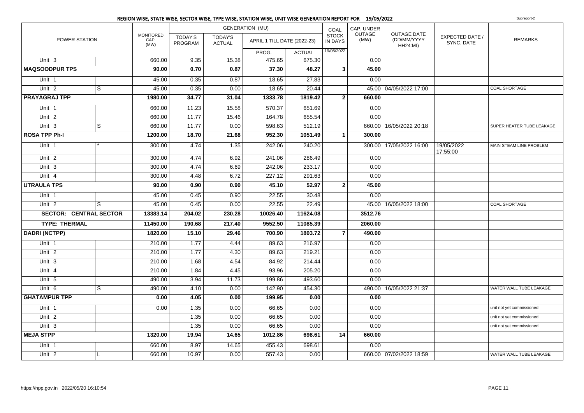|                               |                |                                  |                           |                                 | <b>GENERATION (MU)</b>      |               | COAL                           | CAP. UNDER     |                                                      |                                      |                           |
|-------------------------------|----------------|----------------------------------|---------------------------|---------------------------------|-----------------------------|---------------|--------------------------------|----------------|------------------------------------------------------|--------------------------------------|---------------------------|
| POWER STATION                 |                | <b>MONITORED</b><br>CAP.<br>(MW) | <b>TODAY'S</b><br>PROGRAM | <b>TODAY'S</b><br><b>ACTUAL</b> | APRIL 1 TILL DATE (2022-23) |               | <b>STOCK</b><br><b>IN DAYS</b> | OUTAGE<br>(MW) | <b>OUTAGE DATE</b><br>(DD/MM/YYYY<br><b>HH24:MI)</b> | <b>EXPECTED DATE /</b><br>SYNC. DATE | <b>REMARKS</b>            |
|                               |                |                                  |                           |                                 | PROG.                       | <b>ACTUAL</b> | 19/05/2022                     |                |                                                      |                                      |                           |
| Unit <sub>3</sub>             |                | 660.00                           | 9.35                      | 15.38                           | 475.65                      | 675.30        |                                | 0.00           |                                                      |                                      |                           |
| <b>MAQSOODPUR TPS</b>         |                | 90.00                            | 0.70                      | 0.87                            | 37.30                       | 48.27         | 3 <sup>1</sup>                 | 45.00          |                                                      |                                      |                           |
| Unit 1                        |                | 45.00                            | 0.35                      | 0.87                            | 18.65                       | 27.83         |                                | 0.00           |                                                      |                                      |                           |
| Unit <sub>2</sub>             | $\overline{s}$ | 45.00                            | 0.35                      | 0.00                            | 18.65                       | 20.44         |                                |                | 45.00 04/05/2022 17:00                               |                                      | <b>COAL SHORTAGE</b>      |
| <b>PRAYAGRAJ TPP</b>          |                | 1980.00                          | 34.77                     | 31.04                           | 1333.78                     | 1819.42       | $\mathbf{2}$                   | 660.00         |                                                      |                                      |                           |
| Unit 1                        |                | 660.00                           | 11.23                     | 15.58                           | 570.37                      | 651.69        |                                | 0.00           |                                                      |                                      |                           |
| Unit <sub>2</sub>             |                | 660.00                           | 11.77                     | 15.46                           | 164.78                      | 655.54        |                                | 0.00           |                                                      |                                      |                           |
| Unit 3                        | S              | 660.00                           | 11.77                     | 0.00                            | 598.63                      | 512.19        |                                |                | 660.00   16/05/2022 20:18                            |                                      | SUPER HEATER TUBE LEAKAGE |
| <b>ROSA TPP Ph-I</b>          |                | 1200.00                          | 18.70                     | 21.68                           | 952.30                      | 1051.49       | 1 <sup>1</sup>                 | 300.00         |                                                      |                                      |                           |
| Unit 1                        |                | 300.00                           | 4.74                      | 1.35                            | 242.06                      | 240.20        |                                |                | 300.00 17/05/2022 16:00                              | 19/05/2022<br>17:55:00               | MAIN STEAM LINE PROBLEM   |
| Unit <sub>2</sub>             |                | 300.00                           | 4.74                      | 6.92                            | 241.06                      | 286.49        |                                | 0.00           |                                                      |                                      |                           |
| Unit 3                        |                | 300.00                           | 4.74                      | 6.69                            | 242.06                      | 233.17        |                                | 0.00           |                                                      |                                      |                           |
| Unit $4$                      |                | 300.00                           | 4.48                      | 6.72                            | 227.12                      | 291.63        |                                | 0.00           |                                                      |                                      |                           |
| <b>UTRAULA TPS</b>            |                | 90.00                            | 0.90                      | 0.90                            | 45.10                       | 52.97         | $\overline{2}$                 | 45.00          |                                                      |                                      |                           |
| Unit 1                        |                | 45.00                            | 0.45                      | 0.90                            | 22.55                       | 30.48         |                                | 0.00           |                                                      |                                      |                           |
| Unit <sub>2</sub>             | S              | 45.00                            | 0.45                      | 0.00                            | 22.55                       | 22.49         |                                |                | 45.00 16/05/2022 18:00                               |                                      | <b>COAL SHORTAGE</b>      |
| <b>SECTOR: CENTRAL SECTOR</b> |                | 13383.14                         | 204.02                    | 230.28                          | 10026.40                    | 11624.08      |                                | 3512.76        |                                                      |                                      |                           |
| <b>TYPE: THERMAL</b>          |                | 11450.00                         | 190.68                    | 217.40                          | 9552.50                     | 11085.39      |                                | 2060.00        |                                                      |                                      |                           |
| <b>DADRI (NCTPP)</b>          |                | 1820.00                          | 15.10                     | 29.46                           | 700.90                      | 1803.72       | $\overline{7}$                 | 490.00         |                                                      |                                      |                           |
| Unit 1                        |                | 210.00                           | 1.77                      | 4.44                            | 89.63                       | 216.97        |                                | 0.00           |                                                      |                                      |                           |
| Unit <sub>2</sub>             |                | 210.00                           | 1.77                      | 4.30                            | 89.63                       | 219.21        |                                | 0.00           |                                                      |                                      |                           |
| Unit 3                        |                | 210.00                           | 1.68                      | 4.54                            | 84.92                       | 214.44        |                                | 0.00           |                                                      |                                      |                           |
| Unit 4                        |                | 210.00                           | 1.84                      | 4.45                            | 93.96                       | 205.20        |                                | 0.00           |                                                      |                                      |                           |
| Unit 5                        |                | 490.00                           | 3.94                      | 11.73                           | 199.86                      | 493.60        |                                | 0.00           |                                                      |                                      |                           |
| Unit 6                        | S              | 490.00                           | 4.10                      | 0.00                            | 142.90                      | 454.30        |                                |                | 490.00   16/05/2022 21:37                            |                                      | WATER WALL TUBE LEAKAGE   |
| <b>GHATAMPUR TPP</b>          |                | 0.00                             | 4.05                      | 0.00                            | 199.95                      | 0.00          |                                | 0.00           |                                                      |                                      |                           |
| Unit 1                        |                | 0.00                             | 1.35                      | 0.00                            | 66.65                       | 0.00          |                                | 0.00           |                                                      |                                      | unit not yet commissioned |
| Unit 2                        |                |                                  | 1.35                      | 0.00                            | 66.65                       | 0.00          |                                | 0.00           |                                                      |                                      | unit not yet commissioned |
| Unit 3                        |                |                                  | 1.35                      | 0.00                            | 66.65                       | 0.00          |                                | 0.00           |                                                      |                                      | unit not yet commissioned |
| <b>MEJA STPP</b>              |                | 1320.00                          | 19.94                     | 14.65                           | 1012.86                     | 698.61        | 14                             | 660.00         |                                                      |                                      |                           |
| Unit <sub>1</sub>             |                | 660.00                           | 8.97                      | 14.65                           | 455.43                      | 698.61        |                                | 0.00           |                                                      |                                      |                           |
| Unit 2                        |                | 660.00                           | 10.97                     | 0.00                            | 557.43                      | 0.00          |                                |                | 660.00 07/02/2022 18:59                              |                                      | WATER WALL TUBE LEAKAGE   |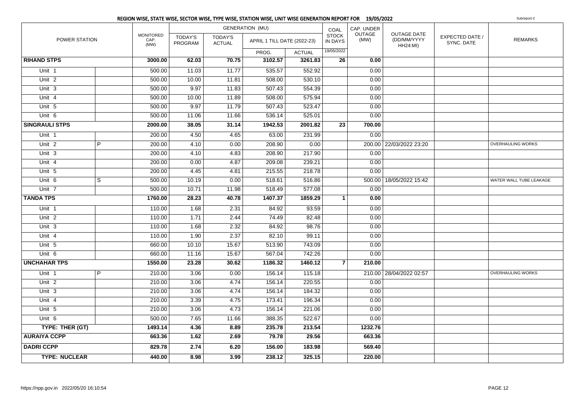|                       |                |                                  |                           |                                 | <b>GENERATION (MU)</b>      |               | COAL                           | CAP. UNDER     |                                                      |                                      |                         |
|-----------------------|----------------|----------------------------------|---------------------------|---------------------------------|-----------------------------|---------------|--------------------------------|----------------|------------------------------------------------------|--------------------------------------|-------------------------|
| POWER STATION         |                | <b>MONITORED</b><br>CAP.<br>(MW) | <b>TODAY'S</b><br>PROGRAM | <b>TODAY'S</b><br><b>ACTUAL</b> | APRIL 1 TILL DATE (2022-23) |               | <b>STOCK</b><br><b>IN DAYS</b> | OUTAGE<br>(MW) | <b>OUTAGE DATE</b><br>(DD/MM/YYYY<br><b>HH24:MI)</b> | <b>EXPECTED DATE /</b><br>SYNC. DATE | <b>REMARKS</b>          |
|                       |                |                                  |                           |                                 | PROG.                       | <b>ACTUAL</b> | 19/05/2022                     |                |                                                      |                                      |                         |
| <b>RIHAND STPS</b>    |                | 3000.00                          | 62.03                     | 70.75                           | 3102.57                     | 3261.83       | 26                             | 0.00           |                                                      |                                      |                         |
| Unit 1                |                | 500.00                           | 11.03                     | 11.77                           | 535.57                      | 552.92        |                                | 0.00           |                                                      |                                      |                         |
| Unit <sub>2</sub>     |                | 500.00                           | 10.00                     | 11.81                           | 508.00                      | 530.10        |                                | 0.00           |                                                      |                                      |                         |
| Unit 3                |                | 500.00                           | 9.97                      | 11.83                           | 507.43                      | 554.39        |                                | 0.00           |                                                      |                                      |                         |
| Unit 4                |                | 500.00                           | 10.00                     | 11.89                           | 508.00                      | 575.94        |                                | 0.00           |                                                      |                                      |                         |
| Unit 5                |                | 500.00                           | 9.97                      | 11.79                           | 507.43                      | 523.47        |                                | 0.00           |                                                      |                                      |                         |
| Unit 6                |                | 500.00                           | 11.06                     | 11.66                           | 536.14                      | 525.01        |                                | 0.00           |                                                      |                                      |                         |
| <b>SINGRAULI STPS</b> |                | 2000.00                          | 38.05                     | 31.14                           | 1942.53                     | 2001.82       | 23                             | 700.00         |                                                      |                                      |                         |
| Unit 1                |                | 200.00                           | 4.50                      | 4.65                            | 63.00                       | 231.99        |                                | 0.00           |                                                      |                                      |                         |
| Unit <sub>2</sub>     | $\overline{P}$ | 200.00                           | 4.10                      | 0.00                            | 208.90                      | 0.00          |                                |                | 200.00 22/03/2022 23:20                              |                                      | OVERHAULING WORKS       |
| Unit 3                |                | 200.00                           | 4.10                      | 4.83                            | 208.90                      | 217.90        |                                | 0.00           |                                                      |                                      |                         |
| Unit 4                |                | 200.00                           | 0.00                      | 4.87                            | 209.08                      | 239.21        |                                | 0.00           |                                                      |                                      |                         |
| Unit 5                |                | 200.00                           | 4.45                      | 4.81                            | 215.55                      | 218.78        |                                | 0.00           |                                                      |                                      |                         |
| Unit $6$              | S              | 500.00                           | 10.19                     | 0.00                            | 518.61                      | 516.86        |                                |                | 500.00 18/05/2022 15:42                              |                                      | WATER WALL TUBE LEAKAGE |
| Unit 7                |                | 500.00                           | 10.71                     | 11.98                           | 518.49                      | 577.08        |                                | 0.00           |                                                      |                                      |                         |
| <b>TANDA TPS</b>      |                | 1760.00                          | 28.23                     | 40.78                           | 1407.37                     | 1859.29       | $\mathbf{1}$                   | 0.00           |                                                      |                                      |                         |
| Unit 1                |                | 110.00                           | 1.68                      | 2.31                            | 84.92                       | 93.59         |                                | 0.00           |                                                      |                                      |                         |
| Unit <sub>2</sub>     |                | 110.00                           | 1.71                      | 2.44                            | 74.49                       | 82.48         |                                | 0.00           |                                                      |                                      |                         |
| Unit 3                |                | 110.00                           | 1.68                      | 2.32                            | 84.92                       | 98.76         |                                | 0.00           |                                                      |                                      |                         |
| Unit 4                |                | 110.00                           | 1.90                      | 2.37                            | 82.10                       | 99.11         |                                | 0.00           |                                                      |                                      |                         |
| Unit 5                |                | 660.00                           | 10.10                     | 15.67                           | 513.90                      | 743.09        |                                | 0.00           |                                                      |                                      |                         |
| Unit 6                |                | 660.00                           | 11.16                     | 15.67                           | 567.04                      | 742.26        |                                | 0.00           |                                                      |                                      |                         |
| <b>UNCHAHAR TPS</b>   |                | 1550.00                          | 23.28                     | 30.62                           | 1186.32                     | 1460.12       | $\overline{7}$                 | 210.00         |                                                      |                                      |                         |
| Unit 1                | P              | 210.00                           | 3.06                      | 0.00                            | 156.14                      | 115.18        |                                |                | 210.00   28/04/2022 02:57                            |                                      | OVERHAULING WORKS       |
| Unit <sub>2</sub>     |                | 210.00                           | 3.06                      | 4.74                            | 156.14                      | 220.55        |                                | 0.00           |                                                      |                                      |                         |
| Unit 3                |                | 210.00                           | 3.06                      | 4.74                            | 156.14                      | 184.32        |                                | 0.00           |                                                      |                                      |                         |
| Unit 4                |                | 210.00                           | 3.39                      | 4.75                            | 173.41                      | 196.34        |                                | 0.00           |                                                      |                                      |                         |
| Unit 5                |                | 210.00                           | 3.06                      | 4.73                            | 156.14                      | 221.06        |                                | 0.00           |                                                      |                                      |                         |
| Unit 6                |                | 500.00                           | 7.65                      | 11.66                           | 388.35                      | 522.67        |                                | 0.00           |                                                      |                                      |                         |
| TYPE: THER (GT)       |                | 1493.14                          | 4.36                      | 8.89                            | 235.78                      | 213.54        |                                | 1232.76        |                                                      |                                      |                         |
| <b>AURAIYA CCPP</b>   |                | 663.36                           | 1.62                      | 2.69                            | 79.78                       | 29.56         |                                | 663.36         |                                                      |                                      |                         |
| <b>DADRI CCPP</b>     |                | 829.78                           | 2.74                      | 6.20                            | 156.00                      | 183.98        |                                | 569.40         |                                                      |                                      |                         |
| <b>TYPE: NUCLEAR</b>  |                | 440.00                           | 8.98                      | 3.99                            | 238.12                      | 325.15        |                                | 220.00         |                                                      |                                      |                         |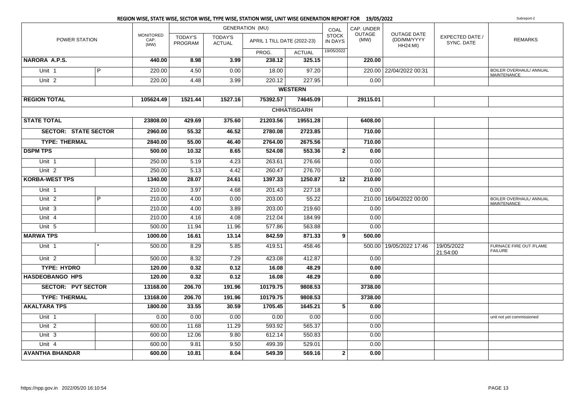#### REGION WISE, STATE WISE, SECTOR WISE, TYPE WISE, STATION WISE, UNIT WISE GENERATION REPORT FOR 19/05/2022**2** Subreport-2 POWER STATIONMONITOREDCAP. (MW)TODAY'S PROGRAMGENERATION (MU)TODAY'S ACTUAL**PROG**  ACTUAL $325.15$ COAL STOCK IN DAYSCAP. UNDEROUTAGE(MW)OUTAGE DATE (DD/MM/YYYYHH24:MI) EXPECTED DATE /SYNC. DATEAPRIL 1 TILL DATE (2022-23) IN DAYS (MW) CD/MM/YYYY  $\left| \begin{array}{cc} \text{EXERCISE 1} & \text{EXERCISE 2} \\ \text{XNIC} & \text{EXERCISE 2} \end{array} \right|$ 19/05/2022**NARORA A.P.S. 440.00 8.98 3.99 238.12 325.15 220.00** Unit 1 220.00 4.50 0.00 18.00 97.20 220.00 22/04/2022 00:31 BOILER OVERHAUL/ ANNUAL MAINTENANCE t 1 | P Unit 22 | | 220.00 | 4.48 | 3.99 | 220.12 | 227.95 | | 0.00 **WESTERNREGION TOTAL 105624.49 1521.44 1527.16 75392.57 74645.09 29115.01 CHHATISGARHSTATE TOTAL 23808.00 429.69 375.60 21203.56 19551.28 6408.00 SECTOR: STATE SECTOR 2960.00 55.32 46.52 2780.08 2723.85 710.00 TYPE: THERMAL 2840.00 55.00 46.40 2764.00 2675.56 710.00 DSPM TPS 500.00 10.32 8.65 524.08 553.36 <sup>2</sup> 0.00** Unit 11 250.00 | 5.19 | 4.23 | 263.61 | 276.66 | 0.00 Unit 2 250.00 5.13 4.42 260.47 276.70 0.00 **KORBA-WEST TPS 1340.00 28.07 24.61 1397.33 1250.87 <sup>12</sup> 210.00** Unit 11 210.00 | 3.97 | 4.68 | 201.43 | 227.18 | 0.00 2Unit P 210.00 4.00 0.00 203.00 55.22 210.00 16/04/2022 00:00 BOILER OVERHAUL/ ANNUAL **MAINTENANCE** Unit 3 210.00 4.00 3.89 203.00 219.60 0.00 Unit 44 | | 210.00 | 4.16 | 4.08 | 212.04 | 184.99 | | 0.00 Unit 55 | | 500.00| 11.94 | 11.96 | 577.86 | 563.88 | | 0.00 **MARWA TPS 1000.00 16.61 13.14 842.59 871.33 <sup>9</sup> 500.00** 1Unit \*1 |\* 500.00 | 8.29 | 5.85 | 419.51 | 458.46 | | 500.00 | 19/05/2022 17:46 | 19/05/2022 21:54:00FURNACE FIRE OUT /FLAMEFAILUREUnit 2 500.00 8.32 7.29 423.08 412.87 0.00  **TYPE: HYDRO 120.00 0.32 0.12 16.08 48.29 0.00 HASDEOBANGO HPS 120.00 0.32 0.12 16.08 48.29 0.00 SECTOR: PVT SECTOR 13168.00 206.70 191.96 10179.75 9808.53 3738.00 TYPE: THERMAL 13168.00 206.70 191.96 10179.75 9808.53 3738.00 AKALTARA TPS 1800.00 33.55 30.59 1705.45 1645.21 <sup>5</sup> 0.00** Unit 1 0.00 0.00 0.00 0.00 0.00 0.00 unit not yet commissioned Unit 22 | | 600.00| 11.68| 11.29| 593.92| 565.37 | | 0.00 Unit 3 $\begin{array}{|c|c|c|c|c|c|c|c|} \hline \end{array} \hspace{1.2cm} , \hspace{1.2cm} \begin{array}{|c|c|c|c|c|c|c|c|} \hline \end{array} \hspace{1.2cm} , \hspace{1.2cm} \begin{array}{|c|c|c|c|c|c|c|} \hline \end{array} \hspace{1.2cm} , \hspace{1.2cm} \begin{array}{|c|c|c|c|c|c|} \hline \end{array} \hspace{1.2cm} , \hspace{1.2cm} \begin{array}{|c|c|c|c|c|c|} \hline \end{array$ Unit 44 | | 600.00| 9.81 | 9.50 | 499.39 | 529.01 | | 0.00 **AVANTHA BHANDAR600.00 10.81 8.04 549.39 569.16 <sup>2</sup> 0.00**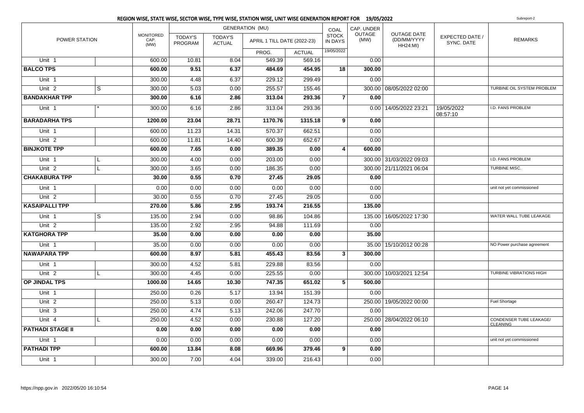|                         |   |                                  |                           |                                 | <b>GENERATION (MU)</b>      |               | COAL                           | CAP. UNDER     |                                                      |                               |                                                   |
|-------------------------|---|----------------------------------|---------------------------|---------------------------------|-----------------------------|---------------|--------------------------------|----------------|------------------------------------------------------|-------------------------------|---------------------------------------------------|
| <b>POWER STATION</b>    |   | <b>MONITORED</b><br>CAP.<br>(MW) | <b>TODAY'S</b><br>PROGRAM | <b>TODAY'S</b><br><b>ACTUAL</b> | APRIL 1 TILL DATE (2022-23) |               | <b>STOCK</b><br><b>IN DAYS</b> | OUTAGE<br>(MW) | <b>OUTAGE DATE</b><br>(DD/MM/YYYY<br><b>HH24:MI)</b> | EXPECTED DATE /<br>SYNC, DATE | <b>REMARKS</b>                                    |
|                         |   |                                  |                           |                                 | PROG.                       | <b>ACTUAL</b> | 19/05/2022                     |                |                                                      |                               |                                                   |
| Unit <sub>1</sub>       |   | 600.00                           | 10.81                     | 8.04                            | 549.39                      | 569.16        |                                | 0.00           |                                                      |                               |                                                   |
| <b>BALCO TPS</b>        |   | 600.00                           | 9.51                      | 6.37                            | 484.69                      | 454.95        | 18                             | 300.00         |                                                      |                               |                                                   |
| Unit 1                  |   | 300.00                           | 4.48                      | 6.37                            | 229.12                      | 299.49        |                                | 0.00           |                                                      |                               |                                                   |
| Unit 2                  | S | 300.00                           | 5.03                      | 0.00                            | 255.57                      | 155.46        |                                |                | 300.00 08/05/2022 02:00                              |                               | TURBINE OIL SYSTEM PROBLEM                        |
| <b>BANDAKHAR TPP</b>    |   | 300.00                           | 6.16                      | 2.86                            | 313.04                      | 293.36        | $\overline{7}$                 | 0.00           |                                                      |                               |                                                   |
| Unit 1                  |   | 300.00                           | 6.16                      | 2.86                            | 313.04                      | 293.36        |                                |                | 0.00 14/05/2022 23:21                                | 19/05/2022<br>08:57:10        | I.D. FANS PROBLEM                                 |
| <b>BARADARHA TPS</b>    |   | 1200.00                          | 23.04                     | 28.71                           | 1170.76                     | 1315.18       | 9                              | 0.00           |                                                      |                               |                                                   |
| Unit 1                  |   | 600.00                           | 11.23                     | 14.31                           | 570.37                      | 662.51        |                                | 0.00           |                                                      |                               |                                                   |
| Unit <sub>2</sub>       |   | 600.00                           | 11.81                     | 14.40                           | 600.39                      | 652.67        |                                | 0.00           |                                                      |                               |                                                   |
| <b>BINJKOTE TPP</b>     |   | 600.00                           | 7.65                      | 0.00                            | 389.35                      | 0.00          | 4                              | 600.00         |                                                      |                               |                                                   |
| Unit 1                  | L | 300.00                           | 4.00                      | 0.00                            | 203.00                      | 0.00          |                                |                | 300.00 31/03/2022 09:03                              |                               | I.D. FANS PROBLEM                                 |
| Unit <sub>2</sub>       | L | 300.00                           | 3.65                      | 0.00                            | 186.35                      | 0.00          |                                |                | 300.00 21/11/2021 06:04                              |                               | <b>TURBINE MISC.</b>                              |
| <b>CHAKABURA TPP</b>    |   | 30.00                            | 0.55                      | 0.70                            | 27.45                       | 29.05         |                                | 0.00           |                                                      |                               |                                                   |
| Unit 1                  |   | 0.00                             | 0.00                      | 0.00                            | 0.00                        | 0.00          |                                | 0.00           |                                                      |                               | unit not yet commissioned                         |
| Unit <sub>2</sub>       |   | 30.00                            | 0.55                      | 0.70                            | 27.45                       | 29.05         |                                | 0.00           |                                                      |                               |                                                   |
| <b>KASAIPALLI TPP</b>   |   | 270.00                           | 5.86                      | 2.95                            | 193.74                      | 216.55        |                                | 135.00         |                                                      |                               |                                                   |
| Unit 1                  | S | 135.00                           | 2.94                      | 0.00                            | 98.86                       | 104.86        |                                |                | 135.00 16/05/2022 17:30                              |                               | WATER WALL TUBE LEAKAGE                           |
| Unit <sub>2</sub>       |   | 135.00                           | 2.92                      | 2.95                            | 94.88                       | 111.69        |                                | 0.00           |                                                      |                               |                                                   |
| <b>KATGHORA TPP</b>     |   | 35.00                            | 0.00                      | 0.00                            | 0.00                        | 0.00          |                                | 35.00          |                                                      |                               |                                                   |
| Unit 1                  |   | 35.00                            | 0.00                      | 0.00                            | 0.00                        | 0.00          |                                |                | 35.00   15/10/2012 00:28                             |                               | NO Power purchase agreement                       |
| <b>NAWAPARA TPP</b>     |   | 600.00                           | 8.97                      | 5.81                            | 455.43                      | 83.56         | $\mathbf{3}$                   | 300.00         |                                                      |                               |                                                   |
| Unit 1                  |   | 300.00                           | 4.52                      | 5.81                            | 229.88                      | 83.56         |                                | 0.00           |                                                      |                               |                                                   |
| Unit 2                  | L | 300.00                           | 4.45                      | 0.00                            | 225.55                      | 0.00          |                                |                | 300.00   10/03/2021 12:54                            |                               | <b>TURBINE VIBRATIONS HIGH</b>                    |
| OP JINDAL TPS           |   | 1000.00                          | 14.65                     | 10.30                           | 747.35                      | 651.02        | 5                              | 500.00         |                                                      |                               |                                                   |
| Unit <sub>1</sub>       |   | 250.00                           | 0.26                      | 5.17                            | 13.94                       | 151.39        |                                | 0.00           |                                                      |                               |                                                   |
| Unit <sub>2</sub>       |   | 250.00                           | 5.13                      | 0.00                            | 260.47                      | 124.73        |                                |                | 250.00   19/05/2022 00:00                            |                               | Fuel Shortage                                     |
| Unit 3                  |   | 250.00                           | 4.74                      | 5.13                            | 242.06                      | 247.70        |                                | 0.00           |                                                      |                               |                                                   |
| Unit 4                  | L | 250.00                           | 4.52                      | 0.00                            | 230.88                      | 127.20        |                                |                | 250.00   28/04/2022 06:10                            |                               | <b>CONDENSER TUBE LEAKAGE/</b><br><b>CLEANING</b> |
| <b>PATHADI STAGE II</b> |   | 0.00                             | 0.00                      | 0.00                            | 0.00                        | 0.00          |                                | 0.00           |                                                      |                               |                                                   |
| Unit 1                  |   | 0.00                             | 0.00                      | 0.00                            | 0.00                        | 0.00          |                                | 0.00           |                                                      |                               | unit not yet commissioned                         |
| <b>PATHADI TPP</b>      |   | 600.00                           | 13.84                     | 8.08                            | 669.96                      | 379.46        | 9                              | 0.00           |                                                      |                               |                                                   |
| Unit <sub>1</sub>       |   | 300.00                           | 7.00                      | 4.04                            | 339.00                      | 216.43        |                                | 0.00           |                                                      |                               |                                                   |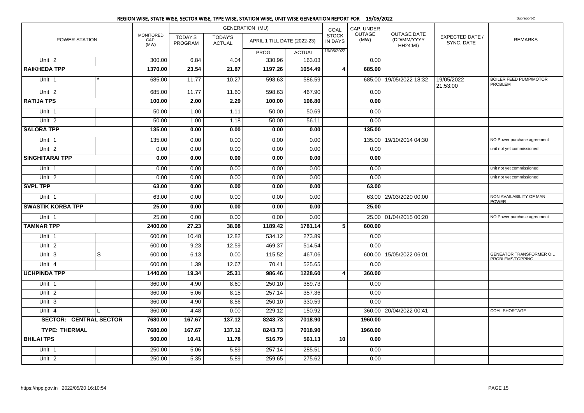|                               |              |                                  |                           |                          | <b>GENERATION (MU)</b>      |               | COAL                    | CAP. UNDER            |                                                      |                                      |                                                     |
|-------------------------------|--------------|----------------------------------|---------------------------|--------------------------|-----------------------------|---------------|-------------------------|-----------------------|------------------------------------------------------|--------------------------------------|-----------------------------------------------------|
| POWER STATION                 |              | <b>MONITORED</b><br>CAP.<br>(MW) | <b>TODAY'S</b><br>PROGRAM | TODAY'S<br><b>ACTUAL</b> | APRIL 1 TILL DATE (2022-23) |               | <b>STOCK</b><br>IN DAYS | <b>OUTAGE</b><br>(MW) | <b>OUTAGE DATE</b><br>(DD/MM/YYYY<br><b>HH24:MI)</b> | <b>EXPECTED DATE /</b><br>SYNC. DATE | <b>REMARKS</b>                                      |
|                               |              |                                  |                           |                          | PROG.                       | <b>ACTUAL</b> | 19/05/2022              |                       |                                                      |                                      |                                                     |
| Unit <sub>2</sub>             |              | 300.00                           | 6.84                      | 4.04                     | 330.96                      | 163.03        |                         | 0.00                  |                                                      |                                      |                                                     |
| <b>RAIKHEDA TPP</b>           |              | 1370.00                          | 23.54                     | 21.87                    | 1197.26                     | 1054.49       | $\vert$ 4               | 685.00                |                                                      |                                      |                                                     |
| Unit 1                        |              | 685.00                           | 11.77                     | 10.27                    | 598.63                      | 586.59        |                         |                       | 685.00 19/05/2022 18:32                              | 19/05/2022<br>21:53:00               | <b>BOILER FEED PUMP/MOTOR</b><br>PROBLEM            |
| Unit <sub>2</sub>             |              | 685.00                           | 11.77                     | 11.60                    | 598.63                      | 467.90        |                         | 0.00                  |                                                      |                                      |                                                     |
| <b>RATIJA TPS</b>             |              | 100.00                           | 2.00                      | 2.29                     | 100.00                      | 106.80        |                         | 0.00                  |                                                      |                                      |                                                     |
| Unit 1                        |              | 50.00                            | 1.00                      | 1.11                     | 50.00                       | 50.69         |                         | 0.00                  |                                                      |                                      |                                                     |
| Unit <sub>2</sub>             |              | 50.00                            | 1.00                      | 1.18                     | 50.00                       | 56.11         |                         | 0.00                  |                                                      |                                      |                                                     |
| <b>SALORA TPP</b>             |              | 135.00                           | 0.00                      | 0.00                     | 0.00                        | 0.00          |                         | 135.00                |                                                      |                                      |                                                     |
| Unit <sub>1</sub>             |              | 135.00                           | 0.00                      | 0.00                     | 0.00                        | 0.00          |                         |                       | 135.00 19/10/2014 04:30                              |                                      | NO Power purchase agreement                         |
| Unit <sub>2</sub>             |              | 0.00                             | 0.00                      | 0.00                     | 0.00                        | 0.00          |                         | 0.00                  |                                                      |                                      | unit not yet commissioned                           |
| <b>SINGHITARAI TPP</b>        |              | 0.00                             | 0.00                      | 0.00                     | 0.00                        | 0.00          |                         | 0.00                  |                                                      |                                      |                                                     |
| Unit 1                        |              | 0.00                             | 0.00                      | 0.00                     | 0.00                        | 0.00          |                         | 0.00                  |                                                      |                                      | unit not yet commissioned                           |
| Unit <sub>2</sub>             |              | 0.00                             | 0.00                      | 0.00                     | 0.00                        | 0.00          |                         | 0.00                  |                                                      |                                      | unit not yet commissioned                           |
| <b>SVPL TPP</b>               |              | 63.00                            | 0.00                      | 0.00                     | 0.00                        | 0.00          |                         | 63.00                 |                                                      |                                      |                                                     |
| Unit 1                        |              | 63.00                            | 0.00                      | 0.00                     | 0.00                        | 0.00          |                         |                       | 63.00 29/03/2020 00:00                               |                                      | NON AVAILABILITY OF MAN<br><b>POWER</b>             |
| <b>SWASTIK KORBA TPP</b>      |              | 25.00                            | 0.00                      | 0.00                     | 0.00                        | 0.00          |                         | 25.00                 |                                                      |                                      |                                                     |
| Unit 1                        |              | 25.00                            | 0.00                      | 0.00                     | 0.00                        | 0.00          |                         |                       | 25.00 01/04/2015 00:20                               |                                      | NO Power purchase agreement                         |
| <b>TAMNAR TPP</b>             |              | 2400.00                          | 27.23                     | 38.08                    | 1189.42                     | 1781.14       | $\overline{5}$          | 600.00                |                                                      |                                      |                                                     |
| Unit <sub>1</sub>             |              | 600.00                           | 10.48                     | 12.82                    | 534.12                      | 273.89        |                         | 0.00                  |                                                      |                                      |                                                     |
| Unit <sub>2</sub>             |              | 600.00                           | 9.23                      | 12.59                    | 469.37                      | 514.54        |                         | 0.00                  |                                                      |                                      |                                                     |
| Unit <sub>3</sub>             | S            | 600.00                           | 6.13                      | 0.00                     | 115.52                      | 467.06        |                         |                       | 600.00 15/05/2022 06:01                              |                                      | <b>GENEATOR TRANSFORMER OIL</b><br>PROBLEMS/TOPPING |
| Unit 4                        |              | 600.00                           | 1.39                      | 12.67                    | 70.41                       | 525.65        |                         | 0.00                  |                                                      |                                      |                                                     |
| <b>UCHPINDA TPP</b>           |              | 1440.00                          | 19.34                     | 25.31                    | 986.46                      | 1228.60       | 4                       | 360.00                |                                                      |                                      |                                                     |
| Unit 1                        |              | 360.00                           | 4.90                      | 8.60                     | 250.10                      | 389.73        |                         | 0.00                  |                                                      |                                      |                                                     |
| Unit <sub>2</sub>             |              | 360.00                           | 5.06                      | 8.15                     | 257.14                      | 357.36        |                         | 0.00                  |                                                      |                                      |                                                     |
| Unit 3                        |              | 360.00                           | 4.90                      | 8.56                     | 250.10                      | 330.59        |                         | 0.00                  |                                                      |                                      |                                                     |
| Unit 4                        | $\mathbf{I}$ | 360.00                           | 4.48                      | 0.00                     | 229.12                      | 150.92        |                         |                       | 360.00   20/04/2022 00:41                            |                                      | <b>COAL SHORTAGE</b>                                |
| <b>SECTOR: CENTRAL SECTOR</b> |              | 7680.00                          | 167.67                    | 137.12                   | 8243.73                     | 7018.90       |                         | 1960.00               |                                                      |                                      |                                                     |
| <b>TYPE: THERMAL</b>          |              | 7680.00                          | 167.67                    | 137.12                   | 8243.73                     | 7018.90       |                         | 1960.00               |                                                      |                                      |                                                     |
| <b>BHILAI TPS</b>             |              | 500.00                           | 10.41                     | 11.78                    | 516.79                      | 561.13        | 10                      | 0.00                  |                                                      |                                      |                                                     |
| Unit 1                        |              | 250.00                           | 5.06                      | 5.89                     | 257.14                      | 285.51        |                         | 0.00                  |                                                      |                                      |                                                     |
| Unit 2                        |              | 250.00                           | 5.35                      | 5.89                     | 259.65                      | 275.62        |                         | 0.00                  |                                                      |                                      |                                                     |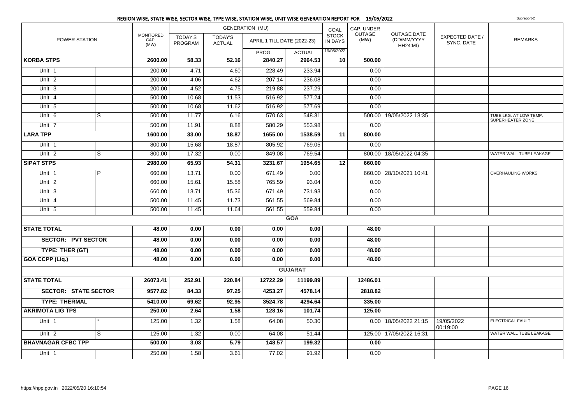|                             |              |                                  |                           |                                 | <b>GENERATION (MU)</b>      |                | COAL                           | CAP. UNDER            |                                                      |                               |                                                   |
|-----------------------------|--------------|----------------------------------|---------------------------|---------------------------------|-----------------------------|----------------|--------------------------------|-----------------------|------------------------------------------------------|-------------------------------|---------------------------------------------------|
| POWER STATION               |              | <b>MONITORED</b><br>CAP.<br>(MW) | <b>TODAY'S</b><br>PROGRAM | <b>TODAY'S</b><br><b>ACTUAL</b> | APRIL 1 TILL DATE (2022-23) |                | <b>STOCK</b><br><b>IN DAYS</b> | <b>OUTAGE</b><br>(MW) | <b>OUTAGE DATE</b><br>(DD/MM/YYYY<br><b>HH24:MI)</b> | EXPECTED DATE /<br>SYNC. DATE | <b>REMARKS</b>                                    |
|                             |              |                                  |                           |                                 | PROG.                       | <b>ACTUAL</b>  | 19/05/2022                     |                       |                                                      |                               |                                                   |
| <b>KORBA STPS</b>           |              | 2600.00                          | 58.33                     | 52.16                           | 2840.27                     | 2964.53        | 10 <sup>1</sup>                | 500.00                |                                                      |                               |                                                   |
| Unit 1                      |              | 200.00                           | 4.71                      | 4.60                            | 228.49                      | 233.94         |                                | 0.00                  |                                                      |                               |                                                   |
| Unit <sub>2</sub>           |              | 200.00                           | 4.06                      | 4.62                            | 207.14                      | 236.08         |                                | 0.00                  |                                                      |                               |                                                   |
| Unit 3                      |              | 200.00                           | 4.52                      | 4.75                            | 219.88                      | 237.29         |                                | 0.00                  |                                                      |                               |                                                   |
| Unit 4                      |              | 500.00                           | 10.68                     | 11.53                           | 516.92                      | 577.24         |                                | 0.00                  |                                                      |                               |                                                   |
| Unit 5                      |              | 500.00                           | 10.68                     | 11.62                           | 516.92                      | 577.69         |                                | 0.00                  |                                                      |                               |                                                   |
| Unit <sub>6</sub>           | S            | 500.00                           | 11.77                     | 6.16                            | 570.63                      | 548.31         |                                |                       | 500.00   19/05/2022 13:35                            |                               | TUBE LKG. AT LOW TEMP.<br><b>SUPERHEATER ZONE</b> |
| Unit <sub>7</sub>           |              | 500.00                           | 11.91                     | 8.88                            | 580.29                      | 553.98         |                                | 0.00                  |                                                      |                               |                                                   |
| <b>LARA TPP</b>             |              | 1600.00                          | 33.00                     | 18.87                           | 1655.00                     | 1538.59        | 11                             | 800.00                |                                                      |                               |                                                   |
| Unit 1                      |              | 800.00                           | 15.68                     | 18.87                           | 805.92                      | 769.05         |                                | 0.00                  |                                                      |                               |                                                   |
| Unit <sub>2</sub>           | S            | 800.00                           | 17.32                     | 0.00                            | 849.08                      | 769.54         |                                |                       | 800.00   18/05/2022 04:35                            |                               | WATER WALL TUBE LEAKAGE                           |
| <b>SIPAT STPS</b>           |              | 2980.00                          | 65.93                     | 54.31                           | 3231.67                     | 1954.65        | 12                             | 660.00                |                                                      |                               |                                                   |
| Unit <sub>1</sub>           | P            | 660.00                           | 13.71                     | 0.00                            | 671.49                      | 0.00           |                                |                       | 660.00 28/10/2021 10:41                              |                               | <b>OVERHAULING WORKS</b>                          |
| Unit $2$                    |              | 660.00                           | 15.61                     | 15.58                           | 765.59                      | 93.04          |                                | 0.00                  |                                                      |                               |                                                   |
| Unit 3                      |              | 660.00                           | 13.71                     | 15.36                           | 671.49                      | 731.93         |                                | 0.00                  |                                                      |                               |                                                   |
| Unit 4                      |              | 500.00                           | 11.45                     | 11.73                           | 561.55                      | 569.84         |                                | 0.00                  |                                                      |                               |                                                   |
| Unit 5                      |              | 500.00                           | 11.45                     | 11.64                           | 561.55                      | 559.84         |                                | 0.00                  |                                                      |                               |                                                   |
|                             |              |                                  |                           |                                 |                             | <b>GOA</b>     |                                |                       |                                                      |                               |                                                   |
| <b>STATE TOTAL</b>          |              | 48.00                            | 0.00                      | 0.00                            | 0.00                        | 0.00           |                                | 48.00                 |                                                      |                               |                                                   |
| <b>SECTOR: PVT SECTOR</b>   |              | 48.00                            | 0.00                      | 0.00                            | 0.00                        | 0.00           |                                | 48.00                 |                                                      |                               |                                                   |
| TYPE: THER (GT)             |              | 48.00                            | 0.00                      | 0.00                            | 0.00                        | 0.00           |                                | 48.00                 |                                                      |                               |                                                   |
| <b>GOA CCPP (Liq.)</b>      |              | 48.00                            | 0.00                      | 0.00                            | 0.00                        | 0.00           |                                | 48.00                 |                                                      |                               |                                                   |
|                             |              |                                  |                           |                                 |                             | <b>GUJARAT</b> |                                |                       |                                                      |                               |                                                   |
| <b>STATE TOTAL</b>          |              | 26073.41                         | 252.91                    | 220.84                          | 12722.29                    | 11199.89       |                                | 12486.01              |                                                      |                               |                                                   |
| <b>SECTOR: STATE SECTOR</b> |              | 9577.82                          | 84.33                     | 97.25                           | 4253.27                     | 4578.14        |                                | 2818.82               |                                                      |                               |                                                   |
| <b>TYPE: THERMAL</b>        |              | 5410.00                          | 69.62                     | 92.95                           | 3524.78                     | 4294.64        |                                | 335.00                |                                                      |                               |                                                   |
| <b>AKRIMOTA LIG TPS</b>     |              | 250.00                           | 2.64                      | 1.58                            | 128.16                      | 101.74         |                                | 125.00                |                                                      |                               |                                                   |
| Unit 1                      |              | 125.00                           | 1.32                      | 1.58                            | 64.08                       | 50.30          |                                |                       | 0.00 18/05/2022 21:15                                | 19/05/2022<br>00:19:00        | ELECTRICAL FAULT                                  |
| Unit <sub>2</sub>           | <sub>S</sub> | 125.00                           | 1.32                      | 0.00                            | 64.08                       | 51.44          |                                |                       | 125.00 17/05/2022 16:31                              |                               | WATER WALL TUBE LEAKAGE                           |
| <b>BHAVNAGAR CFBC TPP</b>   |              | 500.00                           | 3.03                      | 5.79                            | 148.57                      | 199.32         |                                | 0.00                  |                                                      |                               |                                                   |
| Unit 1                      |              | 250.00                           | 1.58                      | 3.61                            | 77.02                       | 91.92          |                                | 0.00                  |                                                      |                               |                                                   |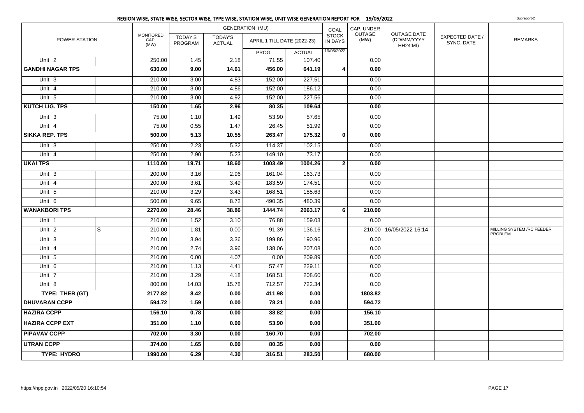|                         |                         |                                  |                           | <b>GENERATION (MU)</b>   |                             | COAL          | CAP. UNDER                     |                       |                                                      |                               |                                       |
|-------------------------|-------------------------|----------------------------------|---------------------------|--------------------------|-----------------------------|---------------|--------------------------------|-----------------------|------------------------------------------------------|-------------------------------|---------------------------------------|
| POWER STATION           |                         | <b>MONITORED</b><br>CAP.<br>(MW) | <b>TODAY'S</b><br>PROGRAM | TODAY'S<br><b>ACTUAL</b> | APRIL 1 TILL DATE (2022-23) |               | <b>STOCK</b><br><b>IN DAYS</b> | <b>OUTAGE</b><br>(MW) | <b>OUTAGE DATE</b><br>(DD/MM/YYYY<br><b>HH24:MI)</b> | EXPECTED DATE /<br>SYNC. DATE | <b>REMARKS</b>                        |
|                         |                         |                                  |                           |                          | PROG.                       | <b>ACTUAL</b> | 19/05/2022                     |                       |                                                      |                               |                                       |
| Unit <sub>2</sub>       |                         | 250.00                           | 1.45                      | 2.18                     | 71.55                       | 107.40        |                                | 0.00                  |                                                      |                               |                                       |
| <b>GANDHI NAGAR TPS</b> |                         | 630.00                           | 9.00                      | 14.61                    | 456.00                      | 641.19        | $\overline{4}$                 | 0.00                  |                                                      |                               |                                       |
| Unit 3                  |                         | 210.00                           | 3.00                      | 4.83                     | 152.00                      | 227.51        |                                | 0.00                  |                                                      |                               |                                       |
| Unit 4                  |                         | 210.00                           | 3.00                      | 4.86                     | 152.00                      | 186.12        |                                | 0.00                  |                                                      |                               |                                       |
| Unit 5                  |                         | 210.00                           | 3.00                      | 4.92                     | 152.00                      | 227.56        |                                | 0.00                  |                                                      |                               |                                       |
| <b>KUTCH LIG. TPS</b>   |                         | 150.00                           | 1.65                      | 2.96                     | 80.35                       | 109.64        |                                | 0.00                  |                                                      |                               |                                       |
| Unit 3                  |                         | 75.00                            | 1.10                      | 1.49                     | 53.90                       | 57.65         |                                | 0.00                  |                                                      |                               |                                       |
| Unit 4                  |                         | 75.00                            | 0.55                      | 1.47                     | 26.45                       | 51.99         |                                | 0.00                  |                                                      |                               |                                       |
| <b>SIKKA REP. TPS</b>   |                         | 500.00                           | 5.13                      | 10.55                    | 263.47                      | 175.32        | $\mathbf{0}$                   | 0.00                  |                                                      |                               |                                       |
| Unit 3                  |                         | 250.00                           | 2.23                      | 5.32                     | 114.37                      | 102.15        |                                | 0.00                  |                                                      |                               |                                       |
| Unit 4                  |                         | 250.00                           | 2.90                      | 5.23                     | 149.10                      | 73.17         |                                | 0.00                  |                                                      |                               |                                       |
| <b>UKAI TPS</b>         |                         | 1110.00                          | 19.71                     | 18.60                    | 1003.49                     | 1004.26       | $\mathbf{2}$                   | 0.00                  |                                                      |                               |                                       |
| Unit 3                  |                         | 200.00                           | 3.16                      | 2.96                     | 161.04                      | 163.73        |                                | 0.00                  |                                                      |                               |                                       |
| Unit 4                  |                         | 200.00                           | 3.61                      | 3.49                     | 183.59                      | 174.51        |                                | 0.00                  |                                                      |                               |                                       |
| Unit 5                  |                         | 210.00                           | 3.29                      | 3.43                     | 168.51                      | 185.63        |                                | 0.00                  |                                                      |                               |                                       |
| Unit 6                  |                         | 500.00                           | 9.65                      | 8.72                     | 490.35                      | 480.39        |                                | 0.00                  |                                                      |                               |                                       |
| <b>WANAKBORI TPS</b>    |                         | 2270.00                          | 28.46                     | 38.86                    | 1444.74                     | 2063.17       | 6                              | 210.00                |                                                      |                               |                                       |
| Unit <sub>1</sub>       |                         | 210.00                           | 1.52                      | 3.10                     | 76.88                       | 159.03        |                                | 0.00                  |                                                      |                               |                                       |
| Unit <sub>2</sub>       | $\overline{\mathbf{s}}$ | 210.00                           | 1.81                      | 0.00                     | 91.39                       | 136.16        |                                | 210.00                | 16/05/2022 16:14                                     |                               | MILLING SYSTEM / RC FEEDER<br>PROBLEM |
| Unit 3                  |                         | 210.00                           | 3.94                      | 3.36                     | 199.86                      | 190.96        |                                | 0.00                  |                                                      |                               |                                       |
| Unit 4                  |                         | 210.00                           | 2.74                      | 3.96                     | 138.06                      | 207.08        |                                | 0.00                  |                                                      |                               |                                       |
| Unit 5                  |                         | 210.00                           | 0.00                      | 4.07                     | 0.00                        | 209.89        |                                | 0.00                  |                                                      |                               |                                       |
| Unit 6                  |                         | 210.00                           | 1.13                      | 4.41                     | 57.47                       | 229.11        |                                | 0.00                  |                                                      |                               |                                       |
| Unit 7                  |                         | 210.00                           | 3.29                      | 4.18                     | 168.51                      | 208.60        |                                | 0.00                  |                                                      |                               |                                       |
| Unit 8                  |                         | 800.00                           | 14.03                     | 15.78                    | 712.57                      | 722.34        |                                | 0.00                  |                                                      |                               |                                       |
| TYPE: THER (GT)         |                         | 2177.82                          | 8.42                      | 0.00                     | 411.98                      | 0.00          |                                | 1803.82               |                                                      |                               |                                       |
| <b>DHUVARAN CCPP</b>    |                         | 594.72                           | $\overline{1.59}$         | 0.00                     | 78.21                       | 0.00          |                                | 594.72                |                                                      |                               |                                       |
| <b>HAZIRA CCPP</b>      |                         | 156.10                           | 0.78                      | 0.00                     | 38.82                       | 0.00          |                                | 156.10                |                                                      |                               |                                       |
| <b>HAZIRA CCPP EXT</b>  |                         | 351.00                           | 1.10                      | 0.00                     | 53.90                       | 0.00          |                                | 351.00                |                                                      |                               |                                       |
| <b>PIPAVAV CCPP</b>     |                         | 702.00                           | 3.30                      | 0.00                     | 160.70                      | 0.00          |                                | 702.00                |                                                      |                               |                                       |
| <b>UTRAN CCPP</b>       |                         | 374.00                           | 1.65                      | 0.00                     | 80.35                       | 0.00          |                                | 0.00                  |                                                      |                               |                                       |
| <b>TYPE: HYDRO</b>      |                         | 1990.00                          | 6.29                      | 4.30                     | 316.51                      | 283.50        |                                | 680.00                |                                                      |                               |                                       |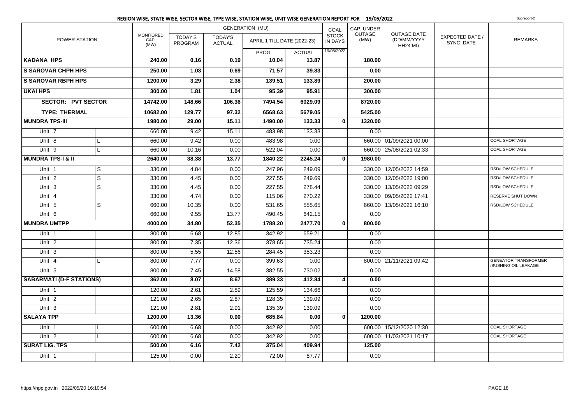|                                 |   |                                  |                           |                                 | <b>GENERATION (MU)</b>      |               | COAL                           | CAP. UNDER            |                                                      |                               |                                                     |
|---------------------------------|---|----------------------------------|---------------------------|---------------------------------|-----------------------------|---------------|--------------------------------|-----------------------|------------------------------------------------------|-------------------------------|-----------------------------------------------------|
| POWER STATION                   |   | <b>MONITORED</b><br>CAP.<br>(MW) | <b>TODAY'S</b><br>PROGRAM | <b>TODAY'S</b><br><b>ACTUAL</b> | APRIL 1 TILL DATE (2022-23) |               | <b>STOCK</b><br><b>IN DAYS</b> | <b>OUTAGE</b><br>(MW) | <b>OUTAGE DATE</b><br>(DD/MM/YYYY<br><b>HH24:MI)</b> | EXPECTED DATE /<br>SYNC. DATE | <b>REMARKS</b>                                      |
|                                 |   |                                  |                           |                                 | PROG.                       | <b>ACTUAL</b> | 19/05/2022                     |                       |                                                      |                               |                                                     |
| <b>KADANA HPS</b>               |   | 240.00                           | 0.16                      | 0.19                            | 10.04                       | 13.87         |                                | 180.00                |                                                      |                               |                                                     |
| <b>S SAROVAR CHPH HPS</b>       |   | 250.00                           | 1.03                      | 0.69                            | 71.57                       | 39.83         |                                | 0.00                  |                                                      |                               |                                                     |
| <b>S SAROVAR RBPH HPS</b>       |   | 1200.00                          | 3.29                      | 2.38                            | 139.51                      | 133.89        |                                | 200.00                |                                                      |                               |                                                     |
| <b>UKAI HPS</b>                 |   | 300.00                           | 1.81                      | 1.04                            | 95.39                       | 95.91         |                                | 300.00                |                                                      |                               |                                                     |
| <b>SECTOR: PVT SECTOR</b>       |   | 14742.00                         | 148.66                    | 106.36                          | 7494.54                     | 6029.09       |                                | 8720.00               |                                                      |                               |                                                     |
| <b>TYPE: THERMAL</b>            |   | 10682.00                         | 129.77                    | 97.32                           | 6568.63                     | 5679.05       |                                | 5425.00               |                                                      |                               |                                                     |
| <b>MUNDRA TPS-III</b>           |   | 1980.00                          | 29.00                     | 15.11                           | 1490.00                     | 133.33        | $\mathbf{0}$                   | 1320.00               |                                                      |                               |                                                     |
| Unit 7                          |   | 660.00                           | 9.42                      | 15.11                           | 483.98                      | 133.33        |                                | 0.00                  |                                                      |                               |                                                     |
| Unit 8                          | L | 660.00                           | 9.42                      | 0.00                            | 483.98                      | 0.00          |                                |                       | 660.00 01/09/2021 00:00                              |                               | <b>COAL SHORTAGE</b>                                |
| Unit 9                          | L | 660.00                           | 10.16                     | 0.00                            | 522.04                      | 0.00          |                                |                       | 660.00   25/08/2021 02:33                            |                               | <b>COAL SHORTAGE</b>                                |
| <b>MUNDRA TPS-I &amp; II</b>    |   | 2640.00                          | 38.38                     | 13.77                           | 1840.22                     | 2245.24       | $\mathbf{0}$                   | 1980.00               |                                                      |                               |                                                     |
| Unit <sub>1</sub>               | S | 330.00                           | 4.84                      | 0.00                            | 247.96                      | 249.09        |                                |                       | 330.00 12/05/2022 14:59                              |                               | RSD/LOW SCHEDULE                                    |
| Unit <sub>2</sub>               | S | 330.00                           | 4.45                      | 0.00                            | 227.55                      | 249.69        |                                |                       | 330.00 12/05/2022 19:00                              |                               | RSD/LOW SCHEDULE                                    |
| Unit 3                          | S | 330.00                           | 4.45                      | 0.00                            | 227.55                      | 278.44        |                                |                       | 330.00   13/05/2022 09:29                            |                               | RSD/LOW SCHEDULE                                    |
| Unit 4                          |   | 330.00                           | 4.74                      | 0.00                            | 115.06                      | 270.22        |                                |                       | 330.00 09/05/2022 17:41                              |                               | RESERVE SHUT DOWN                                   |
| Unit 5                          | S | 660.00                           | 10.35                     | 0.00                            | 531.65                      | 555.65        |                                |                       | 660.00 13/05/2022 16:10                              |                               | RSD/LOW SCHEDULE                                    |
| Unit 6                          |   | 660.00                           | 9.55                      | 13.77                           | 490.45                      | 642.15        |                                | 0.00                  |                                                      |                               |                                                     |
| <b>MUNDRA UMTPP</b>             |   | 4000.00                          | 34.80                     | 52.35                           | 1788.20                     | 2477.70       | $\mathbf{0}$                   | 800.00                |                                                      |                               |                                                     |
| Unit <sub>1</sub>               |   | 800.00                           | 6.68                      | 12.85                           | 342.92                      | 659.21        |                                | 0.00                  |                                                      |                               |                                                     |
| Unit 2                          |   | 800.00                           | 7.35                      | 12.36                           | 378.65                      | 735.24        |                                | 0.00                  |                                                      |                               |                                                     |
| Unit <sub>3</sub>               |   | 800.00                           | 5.55                      | 12.56                           | 284.45                      | 353.23        |                                | 0.00                  |                                                      |                               |                                                     |
| Unit 4                          | L | 800.00                           | 7.77                      | 0.00                            | 399.63                      | 0.00          |                                |                       | 800.00 21/11/2021 09:42                              |                               | <b>GENEATOR TRANSFORMER</b><br>/BUSHING OIL LEAKAGE |
| Unit 5                          |   | 800.00                           | 7.45                      | 14.58                           | 382.55                      | 730.02        |                                | 0.00                  |                                                      |                               |                                                     |
| <b>SABARMATI (D-F STATIONS)</b> |   | 362.00                           | 8.07                      | 8.67                            | 389.33                      | 412.84        | 4                              | 0.00                  |                                                      |                               |                                                     |
| Unit 1                          |   | 120.00                           | 2.61                      | 2.89                            | 125.59                      | 134.66        |                                | 0.00                  |                                                      |                               |                                                     |
| Unit <sub>2</sub>               |   | 121.00                           | 2.65                      | 2.87                            | 128.35                      | 139.09        |                                | 0.00                  |                                                      |                               |                                                     |
| Unit 3                          |   | 121.00                           | 2.81                      | 2.91                            | 135.39                      | 139.09        |                                | 0.00                  |                                                      |                               |                                                     |
| <b>SALAYA TPP</b>               |   | 1200.00                          | 13.36                     | 0.00                            | 685.84                      | 0.00          | $\mathbf{0}$                   | 1200.00               |                                                      |                               |                                                     |
| Unit 1                          | L | 600.00                           | 6.68                      | 0.00                            | 342.92                      | 0.00          |                                |                       | 600.00 15/12/2020 12:30                              |                               | <b>COAL SHORTAGE</b>                                |
| Unit <sub>2</sub>               | L | 600.00                           | 6.68                      | 0.00                            | 342.92                      | 0.00          |                                |                       | 600.00   11/03/2021 10:17                            |                               | <b>COAL SHORTAGE</b>                                |
| <b>SURAT LIG. TPS</b>           |   | 500.00                           | 6.16                      | 7.42                            | 375.04                      | 409.94        |                                | 125.00                |                                                      |                               |                                                     |
| Unit 1                          |   | 125.00                           | 0.00                      | 2.20                            | 72.00                       | 87.77         |                                | 0.00                  |                                                      |                               |                                                     |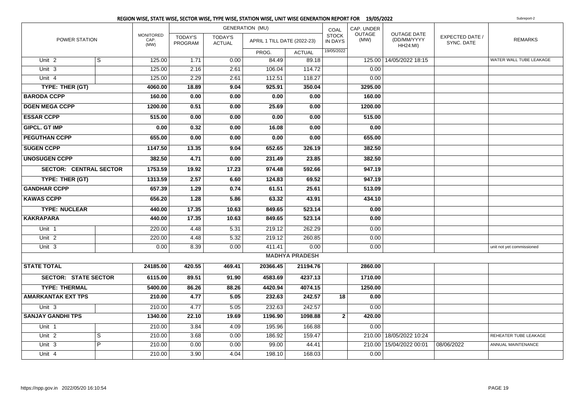|                               |                |                                  |                           |                                 | <b>GENERATION (MU)</b>      |                       | COAL                           | CAP. UNDER            |                                               |                                      |                           |
|-------------------------------|----------------|----------------------------------|---------------------------|---------------------------------|-----------------------------|-----------------------|--------------------------------|-----------------------|-----------------------------------------------|--------------------------------------|---------------------------|
| POWER STATION                 |                | <b>MONITORED</b><br>CAP.<br>(MW) | <b>TODAY'S</b><br>PROGRAM | <b>TODAY'S</b><br><b>ACTUAL</b> | APRIL 1 TILL DATE (2022-23) |                       | <b>STOCK</b><br><b>IN DAYS</b> | <b>OUTAGE</b><br>(MW) | <b>OUTAGE DATE</b><br>(DD/MM/YYYY<br>HH24:MI) | <b>EXPECTED DATE /</b><br>SYNC. DATE | <b>REMARKS</b>            |
|                               |                |                                  |                           |                                 | PROG.                       | <b>ACTUAL</b>         | 19/05/2022                     |                       |                                               |                                      |                           |
| Unit <sub>2</sub>             | S              | 125.00                           | 1.71                      | 0.00                            | 84.49                       | 89.18                 |                                |                       | 125.00 14/05/2022 18:15                       |                                      | WATER WALL TUBE LEAKAGE   |
| Unit <sub>3</sub>             |                | 125.00                           | 2.16                      | 2.61                            | 106.04                      | 114.72                |                                | 0.00                  |                                               |                                      |                           |
| Unit 4                        |                | 125.00                           | 2.29                      | 2.61                            | 112.51                      | 118.27                |                                | 0.00                  |                                               |                                      |                           |
| TYPE: THER (GT)               |                | 4060.00                          | 18.89                     | 9.04                            | 925.91                      | 350.04                |                                | 3295.00               |                                               |                                      |                           |
| <b>BARODA CCPP</b>            |                | 160.00                           | 0.00                      | 0.00                            | 0.00                        | 0.00                  |                                | 160.00                |                                               |                                      |                           |
| <b>DGEN MEGA CCPP</b>         |                | 1200.00                          | 0.51                      | 0.00                            | 25.69                       | 0.00                  |                                | 1200.00               |                                               |                                      |                           |
| <b>ESSAR CCPP</b>             |                | 515.00                           | 0.00                      | 0.00                            | 0.00                        | 0.00                  |                                | 515.00                |                                               |                                      |                           |
| <b>GIPCL. GT IMP</b>          |                | 0.00                             | 0.32                      | 0.00                            | 16.08                       | 0.00                  |                                | 0.00                  |                                               |                                      |                           |
| <b>PEGUTHAN CCPP</b>          |                | 655.00                           | 0.00                      | 0.00                            | 0.00                        | 0.00                  |                                | 655.00                |                                               |                                      |                           |
| <b>SUGEN CCPP</b>             |                | 1147.50                          | 13.35                     | 9.04                            | 652.65                      | 326.19                |                                | 382.50                |                                               |                                      |                           |
| <b>UNOSUGEN CCPP</b>          |                | 382.50                           | 4.71                      | 0.00                            | 231.49                      | 23.85                 |                                | 382.50                |                                               |                                      |                           |
| <b>SECTOR: CENTRAL SECTOR</b> |                | 1753.59                          | 19.92                     | 17.23                           | 974.48                      | 592.66                |                                | 947.19                |                                               |                                      |                           |
| TYPE: THER (GT)               |                | 1313.59                          | 2.57                      | 6.60                            | 124.83                      | 69.52                 |                                | 947.19                |                                               |                                      |                           |
| <b>GANDHAR CCPP</b>           |                | 657.39                           | 1.29                      | 0.74                            | 61.51                       | 25.61                 |                                | 513.09                |                                               |                                      |                           |
| <b>KAWAS CCPP</b>             |                | 656.20                           | 1.28                      | 5.86                            | 63.32                       | 43.91                 |                                | 434.10                |                                               |                                      |                           |
| <b>TYPE: NUCLEAR</b>          |                | 440.00                           | 17.35                     | 10.63                           | 849.65                      | 523.14                |                                | 0.00                  |                                               |                                      |                           |
| <b>KAKRAPARA</b>              |                | 440.00                           | 17.35                     | 10.63                           | 849.65                      | 523.14                |                                | 0.00                  |                                               |                                      |                           |
| Unit 1                        |                | 220.00                           | 4.48                      | 5.31                            | 219.12                      | 262.29                |                                | 0.00                  |                                               |                                      |                           |
| Unit 2                        |                | 220.00                           | 4.48                      | 5.32                            | 219.12                      | 260.85                |                                | 0.00                  |                                               |                                      |                           |
| Unit 3                        |                | 0.00                             | 8.39                      | 0.00                            | 411.41                      | 0.00                  |                                | 0.00                  |                                               |                                      | unit not yet commissioned |
|                               |                |                                  |                           |                                 |                             | <b>MADHYA PRADESH</b> |                                |                       |                                               |                                      |                           |
| <b>STATE TOTAL</b>            |                | 24185.00                         | 420.55                    | 469.41                          | 20366.45                    | 21194.76              |                                | 2860.00               |                                               |                                      |                           |
| <b>SECTOR: STATE SECTOR</b>   |                | 6115.00                          | 89.51                     | 91.90                           | 4583.69                     | 4237.13               |                                | 1710.00               |                                               |                                      |                           |
| <b>TYPE: THERMAL</b>          |                | 5400.00                          | 86.26                     | 88.26                           | 4420.94                     | 4074.15               |                                | 1250.00               |                                               |                                      |                           |
| <b>AMARKANTAK EXT TPS</b>     |                | 210.00                           | 4.77                      | 5.05                            | 232.63                      | 242.57                | 18                             | 0.00                  |                                               |                                      |                           |
| Unit 3                        |                | 210.00                           | 4.77                      | 5.05                            | 232.63                      | 242.57                |                                | 0.00                  |                                               |                                      |                           |
| <b>SANJAY GANDHI TPS</b>      |                | 1340.00                          | 22.10                     | 19.69                           | 1196.90                     | 1098.88               | $\overline{2}$                 | 420.00                |                                               |                                      |                           |
| Unit 1                        |                | 210.00                           | 3.84                      | 4.09                            | 195.96                      | 166.88                |                                | 0.00                  |                                               |                                      |                           |
| Unit <sub>2</sub>             | S              | 210.00                           | 3.68                      | 0.00                            | 186.92                      | 159.47                |                                |                       | 210.00 18/05/2022 10:24                       |                                      | REHEATER TUBE LEAKAGE     |
| Unit 3                        | $\overline{P}$ | 210.00                           | 0.00                      | 0.00                            | 99.00                       | 44.41                 |                                |                       | 210.00   15/04/2022 00:01                     | 08/06/2022                           | ANNUAL MAINTENANCE        |
| Unit 4                        |                | 210.00                           | 3.90                      | 4.04                            | 198.10                      | 168.03                |                                | 0.00                  |                                               |                                      |                           |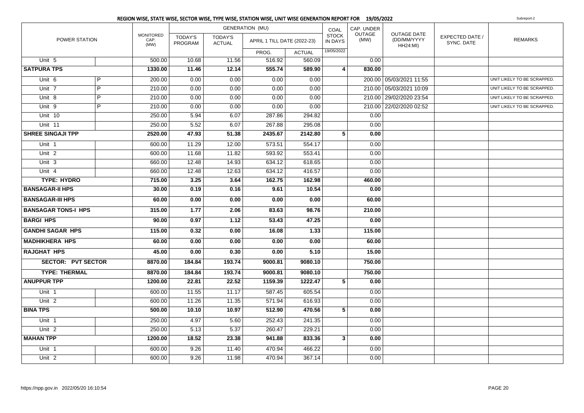|                            |   |                                  |                           |                                 | <b>GENERATION (MU)</b>      |               | COAL                           | CAP. UNDER            |                                                      |                               |                             |
|----------------------------|---|----------------------------------|---------------------------|---------------------------------|-----------------------------|---------------|--------------------------------|-----------------------|------------------------------------------------------|-------------------------------|-----------------------------|
| POWER STATION              |   | <b>MONITORED</b><br>CAP.<br>(MW) | <b>TODAY'S</b><br>PROGRAM | <b>TODAY'S</b><br><b>ACTUAL</b> | APRIL 1 TILL DATE (2022-23) |               | <b>STOCK</b><br><b>IN DAYS</b> | <b>OUTAGE</b><br>(MW) | <b>OUTAGE DATE</b><br>(DD/MM/YYYY<br><b>HH24:MI)</b> | EXPECTED DATE /<br>SYNC. DATE | <b>REMARKS</b>              |
|                            |   |                                  |                           |                                 | PROG.                       | <b>ACTUAL</b> | 19/05/2022                     |                       |                                                      |                               |                             |
| Unit 5                     |   | 500.00                           | 10.68                     | 11.56                           | 516.92                      | 560.09        |                                | 0.00                  |                                                      |                               |                             |
| <b>SATPURA TPS</b>         |   | 1330.00                          | 11.46                     | 12.14                           | 555.74                      | 589.90        | $\vert$ 4                      | 830.00                |                                                      |                               |                             |
| Unit 6                     | P | 200.00                           | 0.00                      | 0.00                            | 0.00                        | 0.00          |                                |                       | 200.00 05/03/2021 11:55                              |                               | UNIT LIKELY TO BE SCRAPPED. |
| Unit 7                     | P | 210.00                           | 0.00                      | 0.00                            | 0.00                        | 0.00          |                                |                       | 210.00 05/03/2021 10:09                              |                               | UNIT LIKELY TO BE SCRAPPED. |
| Unit 8                     | P | 210.00                           | 0.00                      | 0.00                            | 0.00                        | 0.00          |                                |                       | 210.00 29/02/2020 23:54                              |                               | UNIT LIKELY TO BE SCRAPPED. |
| Unit 9                     | P | 210.00                           | 0.00                      | 0.00                            | 0.00                        | 0.00          |                                |                       | 210.00 22/02/2020 02:52                              |                               | UNIT LIKELY TO BE SCRAPPED. |
| Unit 10                    |   | 250.00                           | 5.94                      | 6.07                            | 287.86                      | 294.82        |                                | 0.00                  |                                                      |                               |                             |
| Unit 11                    |   | 250.00                           | 5.52                      | 6.07                            | 267.88                      | 295.08        |                                | 0.00                  |                                                      |                               |                             |
| <b>SHREE SINGAJI TPP</b>   |   | 2520.00                          | 47.93                     | 51.38                           | 2435.67                     | 2142.80       | 5                              | 0.00                  |                                                      |                               |                             |
| Unit <sub>1</sub>          |   | 600.00                           | 11.29                     | 12.00                           | 573.51                      | 554.17        |                                | 0.00                  |                                                      |                               |                             |
| Unit <sub>2</sub>          |   | 600.00                           | 11.68                     | 11.82                           | 593.92                      | 553.41        |                                | 0.00                  |                                                      |                               |                             |
| Unit 3                     |   | 660.00                           | 12.48                     | 14.93                           | 634.12                      | 618.65        |                                | 0.00                  |                                                      |                               |                             |
| Unit 4                     |   | 660.00                           | 12.48                     | 12.63                           | 634.12                      | 416.57        |                                | 0.00                  |                                                      |                               |                             |
| <b>TYPE: HYDRO</b>         |   | 715.00                           | 3.25                      | 3.64                            | 162.75                      | 162.98        |                                | 460.00                |                                                      |                               |                             |
| <b>BANSAGAR-II HPS</b>     |   | 30.00                            | 0.19                      | 0.16                            | 9.61                        | 10.54         |                                | 0.00                  |                                                      |                               |                             |
| <b>BANSAGAR-III HPS</b>    |   | 60.00                            | 0.00                      | 0.00                            | 0.00                        | 0.00          |                                | 60.00                 |                                                      |                               |                             |
| <b>BANSAGAR TONS-I HPS</b> |   | 315.00                           | 1.77                      | 2.06                            | 83.63                       | 98.76         |                                | 210.00                |                                                      |                               |                             |
| <b>BARGI HPS</b>           |   | 90.00                            | 0.97                      | 1.12                            | 53.43                       | 47.25         |                                | 0.00                  |                                                      |                               |                             |
| <b>GANDHI SAGAR HPS</b>    |   | 115.00                           | 0.32                      | 0.00                            | 16.08                       | 1.33          |                                | 115.00                |                                                      |                               |                             |
| <b>MADHIKHERA HPS</b>      |   | 60.00                            | 0.00                      | 0.00                            | 0.00                        | 0.00          |                                | 60.00                 |                                                      |                               |                             |
| <b>RAJGHAT HPS</b>         |   | 45.00                            | 0.00                      | 0.30                            | 0.00                        | 5.10          |                                | 15.00                 |                                                      |                               |                             |
| <b>SECTOR: PVT SECTOR</b>  |   | 8870.00                          | 184.84                    | 193.74                          | 9000.81                     | 9080.10       |                                | 750.00                |                                                      |                               |                             |
| <b>TYPE: THERMAL</b>       |   | 8870.00                          | 184.84                    | 193.74                          | 9000.81                     | 9080.10       |                                | 750.00                |                                                      |                               |                             |
| <b>ANUPPUR TPP</b>         |   | 1200.00                          | 22.81                     | 22.52                           | 1159.39                     | 1222.47       | 5                              | 0.00                  |                                                      |                               |                             |
| Unit 1                     |   | 600.00                           | 11.55                     | 11.17                           | 587.45                      | 605.54        |                                | 0.00                  |                                                      |                               |                             |
| Unit <sub>2</sub>          |   | 600.00                           | 11.26                     | 11.35                           | 571.94                      | 616.93        |                                | 0.00                  |                                                      |                               |                             |
| <b>BINA TPS</b>            |   | 500.00                           | 10.10                     | 10.97                           | 512.90                      | 470.56        | 5                              | 0.00                  |                                                      |                               |                             |
| Unit 1                     |   | 250.00                           | 4.97                      | 5.60                            | 252.43                      | 241.35        |                                | 0.00                  |                                                      |                               |                             |
| Unit <sub>2</sub>          |   | 250.00                           | 5.13                      | 5.37                            | 260.47                      | 229.21        |                                | 0.00                  |                                                      |                               |                             |
| <b>MAHAN TPP</b>           |   | 1200.00                          | 18.52                     | 23.38                           | 941.88                      | 833.36        | $\mathbf{3}$                   | 0.00                  |                                                      |                               |                             |
| Unit 1                     |   | 600.00                           | 9.26                      | 11.40                           | 470.94                      | 466.22        |                                | 0.00                  |                                                      |                               |                             |
| Unit <sub>2</sub>          |   | 600.00                           | 9.26                      | 11.98                           | 470.94                      | 367.14        |                                | 0.00                  |                                                      |                               |                             |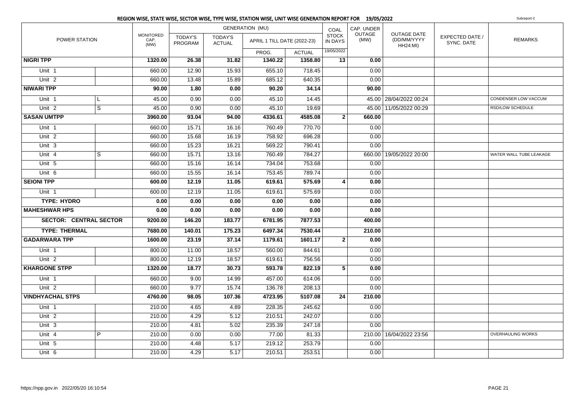|                               |                         |                                  |                    |                          | <b>GENERATION (MU)</b>      |               | COAL                           | CAP. UNDER     |                                                      |                               |                          |
|-------------------------------|-------------------------|----------------------------------|--------------------|--------------------------|-----------------------------|---------------|--------------------------------|----------------|------------------------------------------------------|-------------------------------|--------------------------|
| POWER STATION                 |                         | <b>MONITORED</b><br>CAP.<br>(MW) | TODAY'S<br>PROGRAM | TODAY'S<br><b>ACTUAL</b> | APRIL 1 TILL DATE (2022-23) |               | <b>STOCK</b><br><b>IN DAYS</b> | OUTAGE<br>(MW) | <b>OUTAGE DATE</b><br>(DD/MM/YYYY<br><b>HH24:MI)</b> | EXPECTED DATE /<br>SYNC. DATE | <b>REMARKS</b>           |
|                               |                         |                                  |                    |                          | PROG.                       | <b>ACTUAL</b> | 19/05/2022                     |                |                                                      |                               |                          |
| <b>NIGRI TPP</b>              |                         | 1320.00                          | 26.38              | 31.82                    | 1340.22                     | 1358.80       | 13                             | 0.00           |                                                      |                               |                          |
| Unit 1                        |                         | 660.00                           | 12.90              | 15.93                    | 655.10                      | 718.45        |                                | 0.00           |                                                      |                               |                          |
| Unit <sub>2</sub>             |                         | 660.00                           | 13.48              | 15.89                    | 685.12                      | 640.35        |                                | 0.00           |                                                      |                               |                          |
| <b>NIWARI TPP</b>             |                         | 90.00                            | 1.80               | 0.00                     | 90.20                       | 34.14         |                                | 90.00          |                                                      |                               |                          |
| Unit 1                        | L                       | 45.00                            | 0.90               | 0.00                     | 45.10                       | 14.45         |                                |                | 45.00   28/04/2022 00:24                             |                               | CONDENSER LOW VACCUM     |
| Unit <sub>2</sub>             | $\overline{s}$          | 45.00                            | 0.90               | 0.00                     | 45.10                       | 19.69         |                                |                | 45.00   11/05/2022 00:29                             |                               | RSD/LOW SCHEDULE         |
| <b>SASAN UMTPP</b>            |                         | 3960.00                          | 93.04              | 94.00                    | 4336.61                     | 4585.08       | 2 <sup>1</sup>                 | 660.00         |                                                      |                               |                          |
| Unit 1                        |                         | 660.00                           | 15.71              | 16.16                    | 760.49                      | 770.70        |                                | 0.00           |                                                      |                               |                          |
| Unit $2$                      |                         | 660.00                           | 15.68              | 16.19                    | 758.92                      | 696.28        |                                | 0.00           |                                                      |                               |                          |
| Unit 3                        |                         | 660.00                           | 15.23              | 16.21                    | 569.22                      | 790.41        |                                | 0.00           |                                                      |                               |                          |
| Unit 4                        | $\overline{\mathbf{s}}$ | 660.00                           | 15.71              | 13.16                    | 760.49                      | 784.27        |                                |                | 660.00 19/05/2022 20:00                              |                               | WATER WALL TUBE LEAKAGE  |
| Unit 5                        |                         | 660.00                           | 15.16              | 16.14                    | 734.04                      | 753.68        |                                | 0.00           |                                                      |                               |                          |
| Unit 6                        |                         | 660.00                           | 15.55              | 16.14                    | 753.45                      | 789.74        |                                | 0.00           |                                                      |                               |                          |
| <b>SEIONI TPP</b>             |                         | 600.00                           | 12.19              | 11.05                    | 619.61                      | 575.69        | 4                              | 0.00           |                                                      |                               |                          |
| Unit <sub>1</sub>             |                         | 600.00                           | 12.19              | 11.05                    | 619.61                      | 575.69        |                                | 0.00           |                                                      |                               |                          |
| <b>TYPE: HYDRO</b>            |                         | 0.00                             | 0.00               | 0.00                     | 0.00                        | 0.00          |                                | 0.00           |                                                      |                               |                          |
| <b>MAHESHWAR HPS</b>          |                         | 0.00                             | 0.00               | 0.00                     | 0.00                        | 0.00          |                                | 0.00           |                                                      |                               |                          |
| <b>SECTOR: CENTRAL SECTOR</b> |                         | 9200.00                          | 146.20             | 183.77                   | 6781.95                     | 7877.53       |                                | 400.00         |                                                      |                               |                          |
| <b>TYPE: THERMAL</b>          |                         | 7680.00                          | 140.01             | 175.23                   | 6497.34                     | 7530.44       |                                | 210.00         |                                                      |                               |                          |
| <b>GADARWARA TPP</b>          |                         | 1600.00                          | 23.19              | 37.14                    | 1179.61                     | 1601.17       | 2 <sup>1</sup>                 | 0.00           |                                                      |                               |                          |
| Unit 1                        |                         | 800.00                           | 11.00              | 18.57                    | 560.00                      | 844.61        |                                | 0.00           |                                                      |                               |                          |
| Unit <sub>2</sub>             |                         | 800.00                           | 12.19              | 18.57                    | 619.61                      | 756.56        |                                | 0.00           |                                                      |                               |                          |
| <b>KHARGONE STPP</b>          |                         | 1320.00                          | 18.77              | 30.73                    | 593.78                      | 822.19        | 5 <sup>1</sup>                 | 0.00           |                                                      |                               |                          |
| Unit 1                        |                         | 660.00                           | 9.00               | 14.99                    | 457.00                      | 614.06        |                                | 0.00           |                                                      |                               |                          |
| Unit $2$                      |                         | 660.00                           | 9.77               | 15.74                    | 136.78                      | 208.13        |                                | 0.00           |                                                      |                               |                          |
| <b>VINDHYACHAL STPS</b>       |                         | 4760.00                          | 98.05              | 107.36                   | 4723.95                     | 5107.08       | 24                             | 210.00         |                                                      |                               |                          |
| Unit 1                        |                         | 210.00                           | 4.65               | 4.89                     | 228.35                      | 245.62        |                                | 0.00           |                                                      |                               |                          |
| Unit <sub>2</sub>             |                         | 210.00                           | 4.29               | 5.12                     | 210.51                      | 242.07        |                                | 0.00           |                                                      |                               |                          |
| Unit 3                        |                         | 210.00                           | 4.81               | 5.02                     | 235.39                      | 247.18        |                                | 0.00           |                                                      |                               |                          |
| Unit 4                        | $\overline{P}$          | 210.00                           | 0.00               | 0.00                     | 77.00                       | 81.33         |                                | 210.00         | 16/04/2022 23:56                                     |                               | <b>OVERHAULING WORKS</b> |
| Unit $5$                      |                         | 210.00                           | 4.48               | 5.17                     | 219.12                      | 253.79        |                                | 0.00           |                                                      |                               |                          |
| Unit 6                        |                         | 210.00                           | 4.29               | 5.17                     | 210.51                      | 253.51        |                                | 0.00           |                                                      |                               |                          |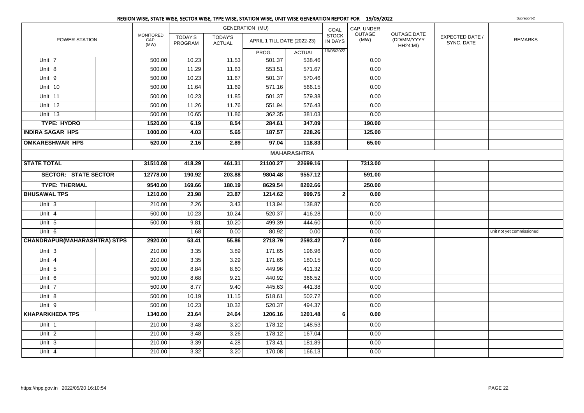|                                         | REGION WISE, STATE WISE, SECTOR WISE, TYPE WISE, STATION WISE, UNIT WISE GENERATION REPORT FOR 19/05/2022 |                           |                          |                             |                    |                         |                |                                                      |                               | Subreport-2               |
|-----------------------------------------|-----------------------------------------------------------------------------------------------------------|---------------------------|--------------------------|-----------------------------|--------------------|-------------------------|----------------|------------------------------------------------------|-------------------------------|---------------------------|
|                                         |                                                                                                           |                           |                          | <b>GENERATION (MU)</b>      |                    | COAL                    | CAP. UNDER     |                                                      |                               |                           |
| POWER STATION                           | MONITORED<br>CAP.<br>(MW)                                                                                 | TODAY'S<br><b>PROGRAM</b> | TODAY'S<br><b>ACTUAL</b> | APRIL 1 TILL DATE (2022-23) |                    | <b>STOCK</b><br>IN DAYS | OUTAGE<br>(MW) | <b>OUTAGE DATE</b><br>(DD/MM/YYYY<br><b>HH24:MI)</b> | EXPECTED DATE /<br>SYNC, DATE | <b>REMARKS</b>            |
|                                         |                                                                                                           |                           |                          | PROG.                       | <b>ACTUAL</b>      | 19/05/2022              |                |                                                      |                               |                           |
| Unit 7                                  | 500.00                                                                                                    | 10.23                     | 11.53                    | 501.37                      | 538.46             |                         | 0.00           |                                                      |                               |                           |
| Unit $8$                                | 500.00                                                                                                    | 11.29                     | 11.63                    | 553.51                      | 571.67             |                         | 0.00           |                                                      |                               |                           |
| Unit $9$                                | 500.00                                                                                                    | 10.23                     | 11.67                    | 501.37                      | 570.46             |                         | 0.00           |                                                      |                               |                           |
| Unit 10                                 | 500.00                                                                                                    | 11.64                     | 11.69                    | 571.16                      | 566.15             |                         | 0.00           |                                                      |                               |                           |
| Unit 11                                 | 500.00                                                                                                    | 10.23                     | 11.85                    | 501.37                      | 579.38             |                         | 0.00           |                                                      |                               |                           |
| Unit 12                                 | 500.00                                                                                                    | 11.26                     | 11.76                    | 551.94                      | 576.43             |                         | 0.00           |                                                      |                               |                           |
| Unit $13$                               | 500.00                                                                                                    | 10.65                     | 11.86                    | 362.35                      | 381.03             |                         | 0.00           |                                                      |                               |                           |
| <b>TYPE: HYDRO</b>                      | 1520.00                                                                                                   | 6.19                      | 8.54                     | 284.61                      | 347.09             |                         | 190.00         |                                                      |                               |                           |
| <b>INDIRA SAGAR HPS</b>                 | 1000.00                                                                                                   | 4.03                      | 5.65                     | 187.57                      | 228.26             |                         | 125.00         |                                                      |                               |                           |
| <b>OMKARESHWAR HPS</b>                  | 520.00                                                                                                    | 2.16                      | 2.89                     | 97.04                       | 118.83             |                         | 65.00          |                                                      |                               |                           |
|                                         |                                                                                                           |                           |                          |                             | <b>MAHARASHTRA</b> |                         |                |                                                      |                               |                           |
| <b>STATE TOTAL</b>                      | 31510.08                                                                                                  | 418.29                    | 461.31                   | 21100.27                    | 22699.16           |                         | 7313.00        |                                                      |                               |                           |
| <b>SECTOR: STATE SECTOR</b><br>12778.00 |                                                                                                           | 190.92                    | 203.88                   | 9804.48                     | 9557.12            |                         | 591.00         |                                                      |                               |                           |
| <b>TYPE: THERMAL</b>                    | 9540.00                                                                                                   | 169.66                    | 180.19                   | 8629.54                     | 8202.66            |                         | 250.00         |                                                      |                               |                           |
| <b>BHUSAWAL TPS</b>                     | 1210.00                                                                                                   | 23.98                     | 23.87                    | 1214.62                     | 999.75             | 2 <sup>1</sup>          | 0.00           |                                                      |                               |                           |
| Unit 3                                  | 210.00                                                                                                    | 2.26                      | 3.43                     | 113.94                      | 138.87             |                         | 0.00           |                                                      |                               |                           |
| Unit 4                                  | 500.00                                                                                                    | 10.23                     | 10.24                    | 520.37                      | 416.28             |                         | 0.00           |                                                      |                               |                           |
| Unit 5                                  | 500.00                                                                                                    | 9.81                      | 10.20                    | 499.39                      | 444.60             |                         | 0.00           |                                                      |                               |                           |
| Unit 6                                  |                                                                                                           | 1.68                      | 0.00                     | 80.92                       | 0.00               |                         | 0.00           |                                                      |                               | unit not yet commissioned |
| <b>CHANDRAPUR(MAHARASHTRA) STPS</b>     | 2920.00                                                                                                   | 53.41                     | 55.86                    | 2718.79                     | 2593.42            | $\overline{7}$          | 0.00           |                                                      |                               |                           |
| Unit <sub>3</sub>                       | 210.00                                                                                                    | 3.35                      | 3.89                     | 171.65                      | 196.96             |                         | 0.00           |                                                      |                               |                           |
| Unit $4$                                | 210.00                                                                                                    | 3.35                      | 3.29                     | 171.65                      | 180.15             |                         | 0.00           |                                                      |                               |                           |
| Unit 5                                  | 500.00                                                                                                    | 8.84                      | 8.60                     | 449.96                      | 411.32             |                         | 0.00           |                                                      |                               |                           |
| Unit $6$                                | 500.00                                                                                                    | 8.68                      | 9.21                     | 440.92                      | 366.52             |                         | 0.00           |                                                      |                               |                           |
| Unit <sub>7</sub>                       | 500.00                                                                                                    | 8.77                      | 9.40                     | 445.63                      | 441.38             |                         | 0.00           |                                                      |                               |                           |
| $U$ nit 8                               | 500.00                                                                                                    | 10.19                     | 11.15                    | 518.61                      | 502.72             |                         | 0.00           |                                                      |                               |                           |
| Unit $9$                                | 500.00                                                                                                    | 10.23                     | 10.32                    | 520.37                      | 494.37             |                         | 0.00           |                                                      |                               |                           |
| <b>KHAPARKHEDA TPS</b>                  | 1340.00                                                                                                   | 23.64                     | 24.64                    | 1206.16                     | 1201.48            | 6                       | 0.00           |                                                      |                               |                           |
| Unit 1                                  | 210.00                                                                                                    | 3.48                      | 3.20                     | 178.12                      | 148.53             |                         | 0.00           |                                                      |                               |                           |
| Unit <sub>2</sub>                       | 210.00                                                                                                    | 3.48                      | 3.26                     | 178.12                      | 167.04             |                         | 0.00           |                                                      |                               |                           |
| Unit $3$                                | 210.00                                                                                                    | 3.39                      | 4.28                     | 173.41                      | 181.89             |                         | 0.00           |                                                      |                               |                           |
| Unit 4                                  | 210.00                                                                                                    | 3.32                      | 3.20                     | 170.08                      | 166.13             |                         | 0.00           |                                                      |                               |                           |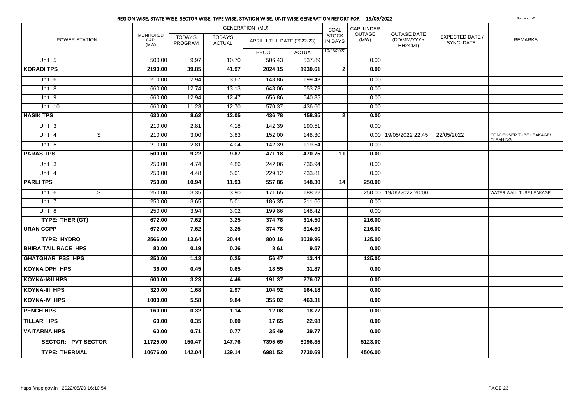|                            |                |                                  |                           |                                 | <b>GENERATION (MU)</b>      |               | COAL                    | CAP. UNDER     |                                                      |                               |                                            |
|----------------------------|----------------|----------------------------------|---------------------------|---------------------------------|-----------------------------|---------------|-------------------------|----------------|------------------------------------------------------|-------------------------------|--------------------------------------------|
| <b>POWER STATION</b>       |                | <b>MONITORED</b><br>CAP.<br>(MW) | <b>TODAY'S</b><br>PROGRAM | <b>TODAY'S</b><br><b>ACTUAL</b> | APRIL 1 TILL DATE (2022-23) |               | <b>STOCK</b><br>IN DAYS | OUTAGE<br>(MW) | <b>OUTAGE DATE</b><br>(DD/MM/YYYY<br><b>HH24:MI)</b> | EXPECTED DATE /<br>SYNC. DATE | <b>REMARKS</b>                             |
|                            |                |                                  |                           |                                 | PROG.                       | <b>ACTUAL</b> | 19/05/2022              |                |                                                      |                               |                                            |
| Unit 5                     |                | 500.00                           | 9.97                      | 10.70                           | 506.43                      | 537.89        |                         | 0.00           |                                                      |                               |                                            |
| <b>KORADI TPS</b>          |                | 2190.00                          | 39.85                     | 41.97                           | 2024.15                     | 1930.61       | $\mathbf{2}$            | 0.00           |                                                      |                               |                                            |
| Unit 6                     |                | 210.00                           | 2.94                      | 3.67                            | 148.86                      | 199.43        |                         | 0.00           |                                                      |                               |                                            |
| Unit 8                     |                | 660.00                           | 12.74                     | 13.13                           | 648.06                      | 653.73        |                         | 0.00           |                                                      |                               |                                            |
| Unit 9                     |                | 660.00                           | 12.94                     | 12.47                           | 656.86                      | 640.85        |                         | 0.00           |                                                      |                               |                                            |
| Unit 10                    |                | 660.00                           | 11.23                     | 12.70                           | 570.37                      | 436.60        |                         | 0.00           |                                                      |                               |                                            |
| <b>NASIK TPS</b>           |                | 630.00                           | 8.62                      | 12.05                           | 436.78                      | 458.35        | $\mathbf{2}$            | 0.00           |                                                      |                               |                                            |
| Unit 3                     |                | 210.00                           | 2.81                      | 4.18                            | 142.39                      | 190.51        |                         | 0.00           |                                                      |                               |                                            |
| Unit 4                     | $\overline{s}$ | 210.00                           | 3.00                      | 3.83                            | 152.00                      | 148.30        |                         |                | 0.00   19/05/2022 22:45                              | 22/05/2022                    | CONDENSER TUBE LEAKAGE/<br><b>CLEANING</b> |
| Unit 5                     |                | 210.00                           | 2.81                      | 4.04                            | 142.39                      | 119.54        |                         | 0.00           |                                                      |                               |                                            |
| <b>PARAS TPS</b>           |                | 500.00                           | 9.22                      | 9.87                            | 471.18                      | 470.75        | 11                      | 0.00           |                                                      |                               |                                            |
| Unit <sub>3</sub>          |                | 250.00                           | 4.74                      | 4.86                            | 242.06                      | 236.94        |                         | 0.00           |                                                      |                               |                                            |
| Unit 4                     |                | 250.00                           | 4.48                      | 5.01                            | 229.12                      | 233.81        |                         | 0.00           |                                                      |                               |                                            |
| <b>PARLITPS</b>            |                | 750.00                           | 10.94                     | 11.93                           | 557.86                      | 548.30        | 14                      | 250.00         |                                                      |                               |                                            |
| Unit 6                     | $\overline{s}$ | 250.00                           | 3.35                      | 3.90                            | 171.65                      | 188.22        |                         |                | 250.00   19/05/2022 20:00                            |                               | WATER WALL TUBE LEAKAGE                    |
| Unit 7                     |                | 250.00                           | 3.65                      | 5.01                            | 186.35                      | 211.66        |                         | 0.00           |                                                      |                               |                                            |
| Unit 8                     |                | 250.00                           | 3.94                      | 3.02                            | 199.86                      | 148.42        |                         | 0.00           |                                                      |                               |                                            |
| TYPE: THER (GT)            |                | 672.00                           | 7.62                      | 3.25                            | 374.78                      | 314.50        |                         | 216.00         |                                                      |                               |                                            |
| <b>URAN CCPP</b>           |                | 672.00                           | 7.62                      | 3.25                            | 374.78                      | 314.50        |                         | 216.00         |                                                      |                               |                                            |
| <b>TYPE: HYDRO</b>         |                | 2566.00                          | 13.64                     | 20.44                           | 800.16                      | 1039.96       |                         | 125.00         |                                                      |                               |                                            |
| <b>BHIRA TAIL RACE HPS</b> |                | 80.00                            | 0.19                      | 0.36                            | 8.61                        | 9.57          |                         | 0.00           |                                                      |                               |                                            |
| <b>GHATGHAR PSS HPS</b>    |                | 250.00                           | 1.13                      | 0.25                            | 56.47                       | 13.44         |                         | 125.00         |                                                      |                               |                                            |
| <b>KOYNA DPH HPS</b>       |                | 36.00                            | 0.45                      | 0.65                            | 18.55                       | 31.87         |                         | 0.00           |                                                      |                               |                                            |
| <b>KOYNA-I&amp;II HPS</b>  |                | 600.00                           | 3.23                      | 4.46                            | 191.37                      | 276.07        |                         | 0.00           |                                                      |                               |                                            |
| <b>KOYNA-III HPS</b>       |                | 320.00                           | 1.68                      | 2.97                            | 104.92                      | 164.18        |                         | 0.00           |                                                      |                               |                                            |
| <b>KOYNA-IV HPS</b>        |                | 1000.00                          | 5.58                      | 9.84                            | 355.02                      | 463.31        |                         | 0.00           |                                                      |                               |                                            |
| <b>PENCH HPS</b>           |                | 160.00                           | 0.32                      | 1.14                            | 12.08                       | 18.77         |                         | 0.00           |                                                      |                               |                                            |
| <b>TILLARI HPS</b>         |                | 60.00                            | 0.35                      | 0.00                            | 17.65                       | 22.98         |                         | 0.00           |                                                      |                               |                                            |
| <b>VAITARNA HPS</b>        |                | 60.00                            | 0.71                      | 0.77                            | 35.49                       | 39.77         |                         | 0.00           |                                                      |                               |                                            |
| <b>SECTOR: PVT SECTOR</b>  |                | 11725.00                         | 150.47                    | 147.76                          | 7395.69                     | 8096.35       |                         | 5123.00        |                                                      |                               |                                            |
| <b>TYPE: THERMAL</b>       |                | 10676.00                         | 142.04                    | 139.14                          | 6981.52                     | 7730.69       |                         | 4506.00        |                                                      |                               |                                            |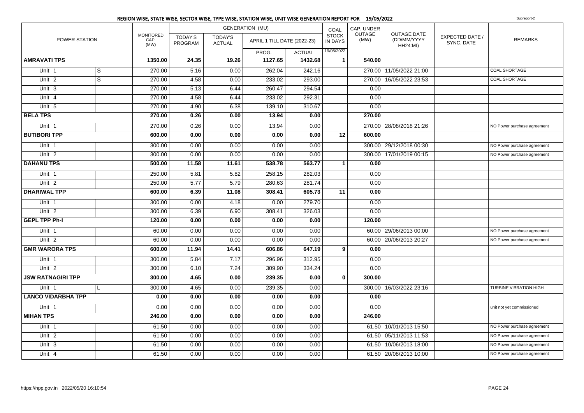|                           |                |                                  |                           |                                 | REGION WISE, STATE WISE, SECTOR WISE, TYPE WISE, STATION WISE, UNIT WISE GENERATION REPORT FOR 19/05/2022 |               |                                |                |                                                      |                               | Subreport-2                   |
|---------------------------|----------------|----------------------------------|---------------------------|---------------------------------|-----------------------------------------------------------------------------------------------------------|---------------|--------------------------------|----------------|------------------------------------------------------|-------------------------------|-------------------------------|
|                           |                |                                  |                           |                                 | <b>GENERATION (MU)</b>                                                                                    |               | COAL                           | CAP. UNDER     |                                                      |                               |                               |
| POWER STATION             |                | <b>MONITORED</b><br>CAP.<br>(MW) | <b>TODAY'S</b><br>PROGRAM | <b>TODAY'S</b><br><b>ACTUAL</b> | APRIL 1 TILL DATE (2022-23)                                                                               |               | <b>STOCK</b><br><b>IN DAYS</b> | OUTAGE<br>(MW) | <b>OUTAGE DATE</b><br>(DD/MM/YYYY<br><b>HH24:MI)</b> | EXPECTED DATE /<br>SYNC. DATE | <b>REMARKS</b>                |
|                           |                |                                  |                           |                                 | PROG.                                                                                                     | <b>ACTUAL</b> | 19/05/2022                     |                |                                                      |                               |                               |
| <b>AMRAVATI TPS</b>       |                | 1350.00                          | 24.35                     | 19.26                           | 1127.65                                                                                                   | 1432.68       | $\mathbf{1}$                   | 540.00         |                                                      |                               |                               |
| Unit <sub>1</sub>         | S              | 270.00                           | 5.16                      | 0.00                            | 262.04                                                                                                    | 242.16        |                                |                | 270.00 11/05/2022 21:00                              |                               | <b>COAL SHORTAGE</b>          |
| Unit $2$                  | $\overline{s}$ | 270.00                           | 4.58                      | 0.00                            | 233.02                                                                                                    | 293.00        |                                |                | 270.00 16/05/2022 23:53                              |                               | <b>COAL SHORTAGE</b>          |
| $Unit$ 3                  |                | 270.00                           | 5.13                      | 6.44                            | 260.47                                                                                                    | 294.54        |                                | 0.00           |                                                      |                               |                               |
| Unit 4                    |                | 270.00                           | 4.58                      | 6.44                            | 233.02                                                                                                    | 292.31        |                                | 0.00           |                                                      |                               |                               |
| Unit 5                    |                | 270.00                           | 4.90                      | 6.38                            | 139.10                                                                                                    | 310.67        |                                | 0.00           |                                                      |                               |                               |
| <b>BELA TPS</b>           |                | 270.00                           | 0.26                      | 0.00                            | 13.94                                                                                                     | 0.00          |                                | 270.00         |                                                      |                               |                               |
| Unit 1                    |                | 270.00                           | 0.26                      | 0.00                            | 13.94                                                                                                     | 0.00          |                                |                | 270.00 28/08/2018 21:26                              |                               | NO Power purchase agreement   |
| <b>BUTIBORI TPP</b>       |                | 600.00                           | 0.00                      | 0.00                            | 0.00                                                                                                      | 0.00          | 12                             | 600.00         |                                                      |                               |                               |
| Unit 1                    |                | 300.00                           | 0.00                      | 0.00                            | 0.00                                                                                                      | 0.00          |                                |                | 300.00 29/12/2018 00:30                              |                               | NO Power purchase agreement   |
| Unit <sub>2</sub>         |                | 300.00                           | 0.00                      | 0.00                            | 0.00                                                                                                      | 0.00          |                                |                | 300.00   17/01/2019 00:15                            |                               | NO Power purchase agreement   |
| <b>DAHANU TPS</b>         |                | 500.00                           | 11.58                     | 11.61                           | 538.78                                                                                                    | 563.77        | 1                              | 0.00           |                                                      |                               |                               |
| Unit 1                    |                | 250.00                           | 5.81                      | 5.82                            | 258.15                                                                                                    | 282.03        |                                | 0.00           |                                                      |                               |                               |
| Unit 2                    |                | 250.00                           | 5.77                      | 5.79                            | 280.63                                                                                                    | 281.74        |                                | 0.00           |                                                      |                               |                               |
| <b>DHARIWAL TPP</b>       |                | 600.00                           | 6.39                      | 11.08                           | 308.41                                                                                                    | 605.73        | 11                             | 0.00           |                                                      |                               |                               |
| Unit <sub>1</sub>         |                | 300.00                           | 0.00                      | 4.18                            | 0.00                                                                                                      | 279.70        |                                | 0.00           |                                                      |                               |                               |
| Unit $2$                  |                | 300.00                           | 6.39                      | 6.90                            | 308.41                                                                                                    | 326.03        |                                | 0.00           |                                                      |                               |                               |
| <b>GEPL TPP Ph-I</b>      |                | 120.00                           | 0.00                      | 0.00                            | 0.00                                                                                                      | 0.00          |                                | 120.00         |                                                      |                               |                               |
| Unit 1                    |                | 60.00                            | 0.00                      | 0.00                            | 0.00                                                                                                      | 0.00          |                                |                | 60.00 29/06/2013 00:00                               |                               | NO Power purchase agreement   |
| Unit <sub>2</sub>         |                | 60.00                            | 0.00                      | 0.00                            | 0.00                                                                                                      | 0.00          |                                |                | 60.00 20/06/2013 20:27                               |                               | NO Power purchase agreement   |
| <b>GMR WARORA TPS</b>     |                | 600.00                           | 11.94                     | 14.41                           | 606.86                                                                                                    | 647.19        | 9                              | 0.00           |                                                      |                               |                               |
| Unit 1                    |                | 300.00                           | 5.84                      | 7.17                            | 296.96                                                                                                    | 312.95        |                                | 0.00           |                                                      |                               |                               |
| Unit <sub>2</sub>         |                | 300.00                           | 6.10                      | 7.24                            | 309.90                                                                                                    | 334.24        |                                | 0.00           |                                                      |                               |                               |
| <b>JSW RATNAGIRI TPP</b>  |                | 300.00                           | 4.65                      | 0.00                            | 239.35                                                                                                    | 0.00          | $\mathbf 0$                    | 300.00         |                                                      |                               |                               |
| Unit 1                    | L              | 300.00                           | 4.65                      | 0.00                            | 239.35                                                                                                    | 0.00          |                                |                | 300.00   16/03/2022 23:16                            |                               | <b>TURBINE VIBRATION HIGH</b> |
| <b>LANCO VIDARBHA TPP</b> |                | 0.00                             | 0.00                      | 0.00                            | 0.00                                                                                                      | 0.00          |                                | 0.00           |                                                      |                               |                               |
| Unit 1                    |                | 0.00                             | 0.00                      | 0.00                            | 0.00                                                                                                      | 0.00          |                                | 0.00           |                                                      |                               | unit not yet commissioned     |
| <b>MIHAN TPS</b>          |                | 246.00                           | 0.00                      | 0.00                            | 0.00                                                                                                      | 0.00          |                                | 246.00         |                                                      |                               |                               |
| Unit 1                    |                | 61.50                            | 0.00                      | 0.00                            | 0.00                                                                                                      | 0.00          |                                |                | 61.50 10/01/2013 15:50                               |                               | NO Power purchase agreement   |
| Unit 2                    |                | 61.50                            | 0.00                      | 0.00                            | 0.00                                                                                                      | 0.00          |                                |                | 61.50 05/11/2013 11:53                               |                               | NO Power purchase agreement   |
| Unit 3                    |                | 61.50                            | 0.00                      | 0.00                            | 0.00                                                                                                      | 0.00          |                                |                | 61.50   10/06/2013 18:00                             |                               | NO Power purchase agreement   |
| Unit 4                    |                | 61.50                            | 0.00                      | 0.00                            | 0.00                                                                                                      | 0.00          |                                |                | 61.50 20/08/2013 10:00                               |                               | NO Power purchase agreement   |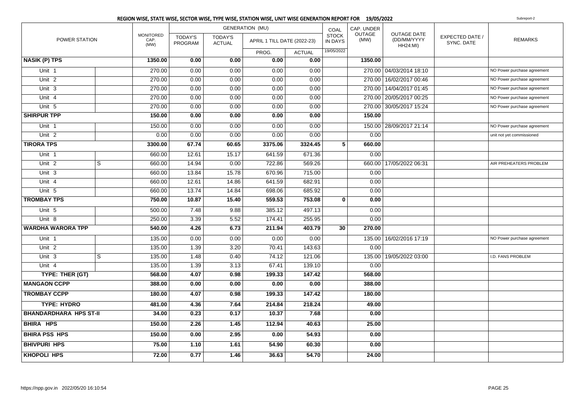|                               |   |                                  |                                  |                                 | REGION WISE, STATE WISE, SECTOR WISE, TYPE WISE, STATION WISE, UNIT WISE GENERATION REPORT FOR 19/05/2022 |               |                                |                |                                                      |                               | Subreport-2                 |
|-------------------------------|---|----------------------------------|----------------------------------|---------------------------------|-----------------------------------------------------------------------------------------------------------|---------------|--------------------------------|----------------|------------------------------------------------------|-------------------------------|-----------------------------|
|                               |   |                                  |                                  |                                 | <b>GENERATION (MU)</b>                                                                                    |               | COAL                           | CAP. UNDER     |                                                      |                               |                             |
| POWER STATION                 |   | <b>MONITORED</b><br>CAP.<br>(MW) | <b>TODAY'S</b><br><b>PROGRAM</b> | <b>TODAY'S</b><br><b>ACTUAL</b> | APRIL 1 TILL DATE (2022-23)                                                                               |               | <b>STOCK</b><br><b>IN DAYS</b> | OUTAGE<br>(MW) | <b>OUTAGE DATE</b><br>(DD/MM/YYYY<br><b>HH24:MI)</b> | EXPECTED DATE /<br>SYNC. DATE | <b>REMARKS</b>              |
|                               |   |                                  |                                  |                                 | PROG.                                                                                                     | <b>ACTUAL</b> | 19/05/2022                     |                |                                                      |                               |                             |
| <b>NASIK (P) TPS</b>          |   | 1350.00                          | 0.00                             | 0.00                            | 0.00                                                                                                      | 0.00          |                                | 1350.00        |                                                      |                               |                             |
| Unit 1                        |   | 270.00                           | 0.00                             | 0.00                            | 0.00                                                                                                      | 0.00          |                                |                | 270.00 04/03/2014 18:10                              |                               | NO Power purchase agreement |
| Unit <sub>2</sub>             |   | 270.00                           | 0.00                             | 0.00                            | 0.00                                                                                                      | 0.00          |                                |                | 270.00 16/02/2017 00:46                              |                               | NO Power purchase agreement |
| Unit 3                        |   | 270.00                           | 0.00                             | 0.00                            | 0.00                                                                                                      | 0.00          |                                |                | 270.00 14/04/2017 01:45                              |                               | NO Power purchase agreement |
| Unit 4                        |   | 270.00                           | 0.00                             | 0.00                            | 0.00                                                                                                      | 0.00          |                                |                | 270.00 20/05/2017 00:25                              |                               | NO Power purchase agreement |
| Unit 5                        |   | 270.00                           | 0.00                             | 0.00                            | 0.00                                                                                                      | 0.00          |                                |                | 270.00 30/05/2017 15:24                              |                               | NO Power purchase agreement |
| <b>SHIRPUR TPP</b>            |   | 150.00                           | 0.00                             | 0.00                            | 0.00                                                                                                      | 0.00          |                                | 150.00         |                                                      |                               |                             |
| Unit 1                        |   | 150.00                           | 0.00                             | 0.00                            | 0.00                                                                                                      | 0.00          |                                |                | 150.00 28/09/2017 21:14                              |                               | NO Power purchase agreement |
| Unit $2$                      |   | 0.00                             | 0.00                             | 0.00                            | 0.00                                                                                                      | 0.00          |                                | 0.00           |                                                      |                               | unit not yet commissioned   |
| <b>TIRORA TPS</b>             |   | 3300.00                          | 67.74                            | 60.65                           | 3375.06                                                                                                   | 3324.45       | 5                              | 660.00         |                                                      |                               |                             |
| Unit 1                        |   | 660.00                           | 12.61                            | 15.17                           | 641.59                                                                                                    | 671.36        |                                | 0.00           |                                                      |                               |                             |
| Unit <sub>2</sub>             | S | 660.00                           | 14.94                            | 0.00                            | 722.86                                                                                                    | 569.26        |                                |                | 660.00 17/05/2022 06:31                              |                               | AIR PREHEATERS PROBLEM      |
| Unit 3                        |   | 660.00                           | 13.84                            | 15.78                           | 670.96                                                                                                    | 715.00        |                                | 0.00           |                                                      |                               |                             |
| Unit 4                        |   | 660.00                           | 12.61                            | 14.86                           | 641.59                                                                                                    | 682.91        |                                | 0.00           |                                                      |                               |                             |
| Unit 5                        |   | 660.00                           | 13.74                            | 14.84                           | 698.06                                                                                                    | 685.92        |                                | 0.00           |                                                      |                               |                             |
| <b>TROMBAY TPS</b>            |   | 750.00                           | 10.87                            | 15.40                           | 559.53                                                                                                    | 753.08        | 0                              | 0.00           |                                                      |                               |                             |
| Unit 5                        |   | 500.00                           | 7.48                             | 9.88                            | 385.12                                                                                                    | 497.13        |                                | 0.00           |                                                      |                               |                             |
| Unit 8                        |   | 250.00                           | 3.39                             | 5.52                            | 174.41                                                                                                    | 255.95        |                                | 0.00           |                                                      |                               |                             |
| <b>WARDHA WARORA TPP</b>      |   | 540.00                           | 4.26                             | 6.73                            | 211.94                                                                                                    | 403.79        | 30                             | 270.00         |                                                      |                               |                             |
| Unit 1                        |   | 135.00                           | 0.00                             | 0.00                            | 0.00                                                                                                      | 0.00          |                                |                | 135.00   16/02/2016 17:19                            |                               | NO Power purchase agreement |
| Unit <sub>2</sub>             |   | 135.00                           | 1.39                             | 3.20                            | 70.41                                                                                                     | 143.63        |                                | 0.00           |                                                      |                               |                             |
| Unit 3                        | S | 135.00                           | 1.48                             | 0.40                            | 74.12                                                                                                     | 121.06        |                                | 135.00         | 19/05/2022 03:00                                     |                               | I.D. FANS PROBLEM           |
| Unit 4                        |   | 135.00                           | 1.39                             | 3.13                            | 67.41                                                                                                     | 139.10        |                                | 0.00           |                                                      |                               |                             |
| TYPE: THER (GT)               |   | 568.00                           | 4.07                             | 0.98                            | 199.33                                                                                                    | 147.42        |                                | 568.00         |                                                      |                               |                             |
| <b>MANGAON CCPP</b>           |   | 388.00                           | 0.00                             | 0.00                            | 0.00                                                                                                      | 0.00          |                                | 388.00         |                                                      |                               |                             |
| <b>TROMBAY CCPP</b>           |   | 180.00                           | 4.07                             | 0.98                            | 199.33                                                                                                    | 147.42        |                                | 180.00         |                                                      |                               |                             |
| <b>TYPE: HYDRO</b>            |   | 481.00                           | 4.36                             | 7.64                            | 214.84                                                                                                    | 218.24        |                                | 49.00          |                                                      |                               |                             |
| <b>BHANDARDHARA HPS ST-II</b> |   | 34.00                            | 0.23                             | 0.17                            | 10.37                                                                                                     | 7.68          |                                | 0.00           |                                                      |                               |                             |
| <b>BHIRA HPS</b>              |   | 150.00                           | 2.26                             | 1.45                            | 112.94                                                                                                    | 40.63         |                                | 25.00          |                                                      |                               |                             |
| <b>BHIRA PSS HPS</b>          |   | 150.00                           | 0.00                             | 2.95                            | 0.00                                                                                                      | 54.93         |                                | 0.00           |                                                      |                               |                             |
| <b>BHIVPURI HPS</b>           |   | 75.00                            | 1.10                             | 1.61                            | 54.90                                                                                                     | 60.30         |                                | 0.00           |                                                      |                               |                             |
| <b>KHOPOLI HPS</b>            |   | 72.00                            | 0.77                             | 1.46                            | 36.63                                                                                                     | 54.70         |                                | 24.00          |                                                      |                               |                             |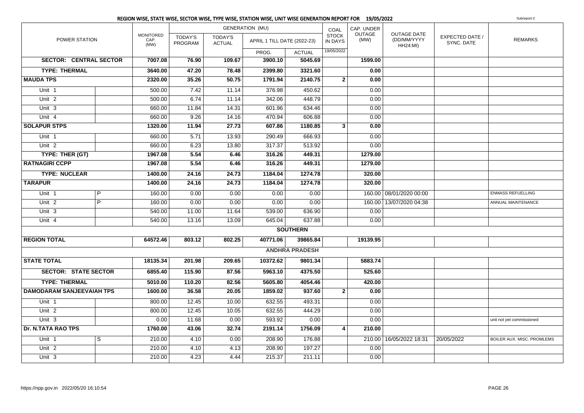|                                  |                |                                  |                           |                                 | REGION WISE, STATE WISE, SECTOR WISE, TYPE WISE, STATION WISE, UNIT WISE GENERATION REPORT FOR 19/05/2022 |                       |                         |                       |                                               |                               | Subreport-2                |
|----------------------------------|----------------|----------------------------------|---------------------------|---------------------------------|-----------------------------------------------------------------------------------------------------------|-----------------------|-------------------------|-----------------------|-----------------------------------------------|-------------------------------|----------------------------|
|                                  |                |                                  |                           |                                 | <b>GENERATION (MU)</b>                                                                                    |                       | COAL                    | CAP. UNDER            |                                               |                               |                            |
| POWER STATION                    |                | <b>MONITORED</b><br>CAP.<br>(MW) | <b>TODAY'S</b><br>PROGRAM | <b>TODAY'S</b><br><b>ACTUAL</b> | APRIL 1 TILL DATE (2022-23)                                                                               |                       | <b>STOCK</b><br>IN DAYS | <b>OUTAGE</b><br>(MW) | OUTAGE DATE<br>(DD/MM/YYYY<br><b>HH24:MI)</b> | EXPECTED DATE /<br>SYNC. DATE | <b>REMARKS</b>             |
|                                  |                |                                  |                           |                                 | PROG.                                                                                                     | <b>ACTUAL</b>         | 19/05/2022              |                       |                                               |                               |                            |
| <b>SECTOR: CENTRAL SECTOR</b>    |                | 7007.08                          | 76.90                     | 109.67                          | 3900.10                                                                                                   | 5045.69               |                         | 1599.00               |                                               |                               |                            |
| <b>TYPE: THERMAL</b>             |                | 3640.00                          | 47.20                     | 78.48                           | 2399.80                                                                                                   | 3321.60               |                         | 0.00                  |                                               |                               |                            |
| <b>MAUDA TPS</b>                 |                | 2320.00                          | 35.26                     | 50.75                           | 1791.94                                                                                                   | 2140.75               | $\overline{2}$          | 0.00                  |                                               |                               |                            |
| Unit 1                           |                | 500.00                           | 7.42                      | 11.14                           | 376.98                                                                                                    | 450.62                |                         | 0.00                  |                                               |                               |                            |
| Unit $2$                         |                | 500.00                           | 6.74                      | 11.14                           | 342.06                                                                                                    | 448.79                |                         | 0.00                  |                                               |                               |                            |
| Unit 3                           |                | 660.00                           | 11.84                     | 14.31                           | 601.96                                                                                                    | 634.46                |                         | 0.00                  |                                               |                               |                            |
| Unit $4$                         |                | 660.00                           | 9.26                      | 14.16                           | 470.94                                                                                                    | 606.88                |                         | 0.00                  |                                               |                               |                            |
| <b>SOLAPUR STPS</b>              |                | 1320.00                          | 11.94                     | 27.73                           | 607.86                                                                                                    | 1180.85               | 3                       | 0.00                  |                                               |                               |                            |
| Unit 1                           |                | 660.00                           | 5.71                      | 13.93                           | 290.49                                                                                                    | 666.93                |                         | 0.00                  |                                               |                               |                            |
| Unit <sub>2</sub>                |                | 660.00                           | 6.23                      | 13.80                           | 317.37                                                                                                    | 513.92                |                         | 0.00                  |                                               |                               |                            |
| TYPE: THER (GT)                  |                | 1967.08                          | 5.54                      | 6.46                            | 316.26                                                                                                    | 449.31                |                         | 1279.00               |                                               |                               |                            |
| <b>RATNAGIRI CCPP</b>            |                | 1967.08                          | 5.54                      | 6.46                            | 316.26                                                                                                    | 449.31                |                         | 1279.00               |                                               |                               |                            |
| <b>TYPE: NUCLEAR</b>             |                | 1400.00                          | 24.16                     | 24.73                           | 1184.04                                                                                                   | 1274.78               |                         | 320.00                |                                               |                               |                            |
| <b>TARAPUR</b>                   |                | 1400.00                          | 24.16                     | 24.73                           | 1184.04                                                                                                   | 1274.78               |                         | 320.00                |                                               |                               |                            |
| Unit 1                           | P              | 160.00                           | 0.00                      | 0.00                            | 0.00                                                                                                      | 0.00                  |                         |                       | 160.00 08/01/2020 00:00                       |                               | <b>ENMASS REFUELLING</b>   |
| Unit <sub>2</sub>                | $\overline{P}$ | 160.00                           | 0.00                      | 0.00                            | 0.00                                                                                                      | 0.00                  |                         |                       | 160.00 13/07/2020 04:38                       |                               | ANNUAL MAINTENANCE         |
| Unit <sub>3</sub>                |                | 540.00                           | 11.00                     | 11.64                           | 539.00                                                                                                    | 636.90                |                         | 0.00                  |                                               |                               |                            |
| Unit 4                           |                | 540.00                           | 13.16                     | 13.09                           | 645.04                                                                                                    | 637.88                |                         | 0.00                  |                                               |                               |                            |
|                                  |                |                                  |                           |                                 |                                                                                                           | <b>SOUTHERN</b>       |                         |                       |                                               |                               |                            |
| <b>REGION TOTAL</b>              |                | 64572.46                         | 803.12                    | 802.25                          | 40771.06                                                                                                  | 39865.84              |                         | 19139.95              |                                               |                               |                            |
|                                  |                |                                  |                           |                                 |                                                                                                           | <b>ANDHRA PRADESH</b> |                         |                       |                                               |                               |                            |
| <b>STATE TOTAL</b>               |                | 18135.34                         | 201.98                    | 209.65                          | 10372.62                                                                                                  | 9801.34               |                         | 5883.74               |                                               |                               |                            |
| <b>SECTOR: STATE SECTOR</b>      |                | 6855.40                          | 115.90                    | 87.56                           | 5963.10                                                                                                   | 4375.50               |                         | 525.60                |                                               |                               |                            |
| <b>TYPE: THERMAL</b>             |                | 5010.00                          | 110.20                    | 82.56                           | 5605.80                                                                                                   | 4054.46               |                         | 420.00                |                                               |                               |                            |
| <b>DAMODARAM SANJEEVAIAH TPS</b> |                | 1600.00                          | 36.58                     | 20.05                           | 1859.02                                                                                                   | 937.60                | $\overline{2}$          | 0.00                  |                                               |                               |                            |
| Unit <sub>1</sub>                |                | 800.00                           | 12.45                     | 10.00                           | 632.55                                                                                                    | 493.31                |                         | 0.00                  |                                               |                               |                            |
| Unit <sub>2</sub>                |                | 800.00                           | 12.45                     | 10.05                           | 632.55                                                                                                    | 444.29                |                         | 0.00                  |                                               |                               |                            |
| Unit $3$                         |                | 0.00                             | 11.68                     | 0.00                            | 593.92                                                                                                    | 0.00                  |                         | 0.00                  |                                               |                               | unit not yet commissioned  |
| <b>Dr. N.TATA RAO TPS</b>        |                | 1760.00                          | 43.06                     | 32.74                           | 2191.14                                                                                                   | 1756.09               | 4                       | 210.00                |                                               |                               |                            |
| Unit 1                           | S              | 210.00                           | 4.10                      | 0.00                            | 208.90                                                                                                    | 176.88                |                         |                       | 210.00 16/05/2022 18:31                       | 20/05/2022                    | BOILER AUX. MISC. PROMLEMS |
| Unit <sub>2</sub>                |                | 210.00                           | 4.10                      | 4.13                            | 208.90                                                                                                    | 197.27                |                         | 0.00                  |                                               |                               |                            |
| Unit 3                           |                | 210.00                           | 4.23                      | 4.44                            | 215.37                                                                                                    | 211.11                |                         | 0.00                  |                                               |                               |                            |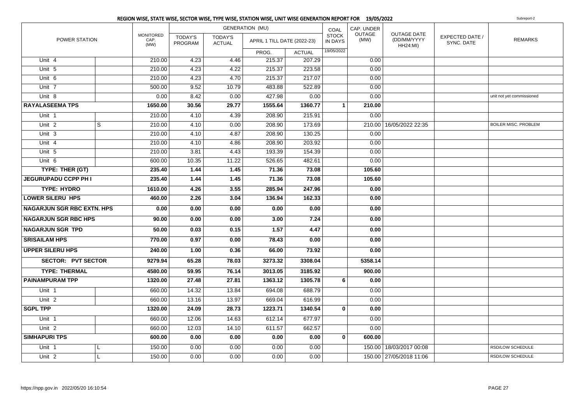|                                   |   |                                  |                           |                                 | <b>GENERATION (MU)</b>      |               | COAL                           | CAP. UNDER            |                                                      |                               |                             |
|-----------------------------------|---|----------------------------------|---------------------------|---------------------------------|-----------------------------|---------------|--------------------------------|-----------------------|------------------------------------------------------|-------------------------------|-----------------------------|
| POWER STATION                     |   | <b>MONITORED</b><br>CAP.<br>(MW) | <b>TODAY'S</b><br>PROGRAM | <b>TODAY'S</b><br><b>ACTUAL</b> | APRIL 1 TILL DATE (2022-23) |               | <b>STOCK</b><br><b>IN DAYS</b> | <b>OUTAGE</b><br>(MW) | <b>OUTAGE DATE</b><br>(DD/MM/YYYY<br><b>HH24:MI)</b> | EXPECTED DATE /<br>SYNC. DATE | <b>REMARKS</b>              |
|                                   |   |                                  |                           |                                 | PROG.                       | <b>ACTUAL</b> | 19/05/2022                     |                       |                                                      |                               |                             |
| Unit 4                            |   | 210.00                           | 4.23                      | 4.46                            | 215.37                      | 207.29        |                                | 0.00                  |                                                      |                               |                             |
| Unit 5                            |   | 210.00                           | 4.23                      | 4.22                            | 215.37                      | 223.58        |                                | 0.00                  |                                                      |                               |                             |
| Unit 6                            |   | 210.00                           | 4.23                      | 4.70                            | 215.37                      | 217.07        |                                | 0.00                  |                                                      |                               |                             |
| Unit 7                            |   | 500.00                           | 9.52                      | 10.79                           | 483.88                      | 522.89        |                                | 0.00                  |                                                      |                               |                             |
| Unit 8                            |   | 0.00                             | 8.42                      | 0.00                            | 427.98                      | 0.00          |                                | 0.00                  |                                                      |                               | unit not yet commissioned   |
| <b>RAYALASEEMA TPS</b>            |   | 1650.00                          | 30.56                     | 29.77                           | 1555.64                     | 1360.77       | $\mathbf{1}$                   | 210.00                |                                                      |                               |                             |
| Unit 1                            |   | 210.00                           | 4.10                      | 4.39                            | 208.90                      | 215.91        |                                | 0.00                  |                                                      |                               |                             |
| Unit <sub>2</sub>                 | S | 210.00                           | 4.10                      | 0.00                            | 208.90                      | 173.69        |                                |                       | 210.00 16/05/2022 22:35                              |                               | <b>BOILER MISC. PROBLEM</b> |
| Unit 3                            |   | 210.00                           | 4.10                      | 4.87                            | 208.90                      | 130.25        |                                | 0.00                  |                                                      |                               |                             |
| Unit 4                            |   | 210.00                           | 4.10                      | 4.86                            | 208.90                      | 203.92        |                                | 0.00                  |                                                      |                               |                             |
| Unit 5                            |   | 210.00                           | 3.81                      | 4.43                            | 193.39                      | 154.39        |                                | 0.00                  |                                                      |                               |                             |
| Unit 6                            |   | 600.00                           | 10.35                     | 11.22                           | 526.65                      | 482.61        |                                | 0.00                  |                                                      |                               |                             |
| TYPE: THER (GT)                   |   | 235.40                           | 1.44                      | 1.45                            | 71.36                       | 73.08         |                                | 105.60                |                                                      |                               |                             |
| <b>JEGURUPADU CCPP PH I</b>       |   | 235.40                           | 1.44                      | 1.45                            | 71.36                       | 73.08         |                                | 105.60                |                                                      |                               |                             |
| <b>TYPE: HYDRO</b>                |   | 1610.00                          | 4.26                      | 3.55                            | 285.94                      | 247.96        |                                | 0.00                  |                                                      |                               |                             |
| <b>LOWER SILERU HPS</b>           |   | 460.00                           | 2.26                      | 3.04                            | 136.94                      | 162.33        |                                | 0.00                  |                                                      |                               |                             |
| <b>NAGARJUN SGR RBC EXTN. HPS</b> |   | 0.00                             | 0.00                      | 0.00                            | 0.00                        | 0.00          |                                | 0.00                  |                                                      |                               |                             |
| <b>NAGARJUN SGR RBC HPS</b>       |   | 90.00                            | 0.00                      | 0.00                            | 3.00                        | 7.24          |                                | 0.00                  |                                                      |                               |                             |
| <b>NAGARJUN SGR TPD</b>           |   | 50.00                            | 0.03                      | 0.15                            | 1.57                        | 4.47          |                                | 0.00                  |                                                      |                               |                             |
| <b>SRISAILAM HPS</b>              |   | 770.00                           | 0.97                      | 0.00                            | 78.43                       | 0.00          |                                | 0.00                  |                                                      |                               |                             |
| <b>UPPER SILERU HPS</b>           |   | 240.00                           | 1.00                      | 0.36                            | 66.00                       | 73.92         |                                | 0.00                  |                                                      |                               |                             |
| <b>SECTOR: PVT SECTOR</b>         |   | 9279.94                          | 65.28                     | 78.03                           | 3273.32                     | 3308.04       |                                | 5358.14               |                                                      |                               |                             |
| <b>TYPE: THERMAL</b>              |   | 4580.00                          | 59.95                     | 76.14                           | 3013.05                     | 3185.92       |                                | 900.00                |                                                      |                               |                             |
| <b>PAINAMPURAM TPP</b>            |   | 1320.00                          | 27.48                     | 27.81                           | 1363.12                     | 1305.78       | 6                              | 0.00                  |                                                      |                               |                             |
| Unit 1                            |   | 660.00                           | 14.32                     | 13.84                           | 694.08                      | 688.79        |                                | 0.00                  |                                                      |                               |                             |
| Unit <sub>2</sub>                 |   | 660.00                           | 13.16                     | 13.97                           | 669.04                      | 616.99        |                                | 0.00                  |                                                      |                               |                             |
| <b>SGPL TPP</b>                   |   | 1320.00                          | 24.09                     | 28.73                           | 1223.71                     | 1340.54       | 0                              | 0.00                  |                                                      |                               |                             |
| Unit 1                            |   | 660.00                           | 12.06                     | 14.63                           | 612.14                      | 677.97        |                                | 0.00                  |                                                      |                               |                             |
| Unit $2$                          |   | 660.00                           | 12.03                     | 14.10                           | 611.57                      | 662.57        |                                | 0.00                  |                                                      |                               |                             |
| <b>SIMHAPURI TPS</b>              |   | 600.00                           | 0.00                      | 0.00                            | 0.00                        | 0.00          | $\mathbf 0$                    | 600.00                |                                                      |                               |                             |
| Unit 1                            | L | 150.00                           | 0.00                      | 0.00                            | 0.00                        | 0.00          |                                |                       | 150.00   18/03/2017 00:08                            |                               | RSD/LOW SCHEDULE            |
| Unit <sub>2</sub>                 | L | 150.00                           | 0.00                      | 0.00                            | 0.00                        | 0.00          |                                |                       | 150.00 27/05/2018 11:06                              |                               | RSD/LOW SCHEDULE            |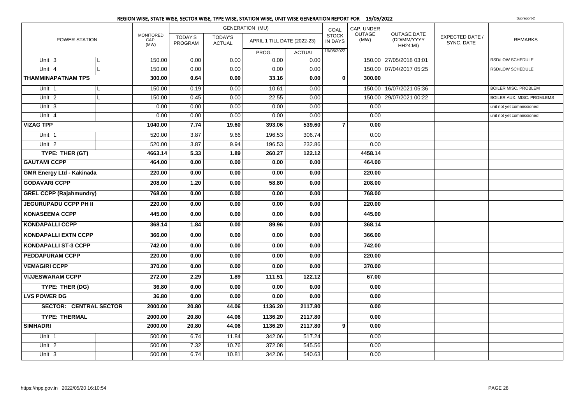|                                  | REGION WISE, STATE WISE, SECTOR WISE, TYPE WISE, STATION WISE, UNIT WISE GENERATION REPORT FOR 19/05/2022<br>Subreport-2 |                                  |                           |                                 |                             |               |                                |                       |                                                      |                               |                             |
|----------------------------------|--------------------------------------------------------------------------------------------------------------------------|----------------------------------|---------------------------|---------------------------------|-----------------------------|---------------|--------------------------------|-----------------------|------------------------------------------------------|-------------------------------|-----------------------------|
|                                  |                                                                                                                          |                                  |                           |                                 | <b>GENERATION (MU)</b>      |               | COAL                           | CAP. UNDER            |                                                      |                               |                             |
| POWER STATION                    |                                                                                                                          | <b>MONITORED</b><br>CAP.<br>(MW) | <b>TODAY'S</b><br>PROGRAM | <b>TODAY'S</b><br><b>ACTUAL</b> | APRIL 1 TILL DATE (2022-23) |               | <b>STOCK</b><br><b>IN DAYS</b> | <b>OUTAGE</b><br>(MW) | <b>OUTAGE DATE</b><br>(DD/MM/YYYY<br><b>HH24:MI)</b> | EXPECTED DATE /<br>SYNC. DATE | <b>REMARKS</b>              |
|                                  |                                                                                                                          |                                  |                           |                                 | PROG.                       | <b>ACTUAL</b> | 19/05/2022                     |                       |                                                      |                               |                             |
| Unit <sub>3</sub>                | L                                                                                                                        | 150.00                           | 0.00                      | 0.00                            | 0.00                        | 0.00          |                                |                       | 150.00 27/05/2018 03:01                              |                               | RSD/LOW SCHEDULE            |
| Unit 4                           | L                                                                                                                        | 150.00                           | 0.00                      | 0.00                            | 0.00                        | 0.00          |                                |                       | 150.00 07/04/2017 05:25                              |                               | RSD/LOW SCHEDULE            |
| <b>THAMMINAPATNAM TPS</b>        |                                                                                                                          | 300.00                           | 0.64                      | 0.00                            | 33.16                       | 0.00          | 0                              | 300.00                |                                                      |                               |                             |
| Unit 1                           | L                                                                                                                        | 150.00                           | 0.19                      | 0.00                            | 10.61                       | 0.00          |                                |                       | 150.00 16/07/2021 05:36                              |                               | <b>BOILER MISC. PROBLEM</b> |
| Unit <sub>2</sub>                |                                                                                                                          | 150.00                           | 0.45                      | 0.00                            | 22.55                       | 0.00          |                                |                       | 150.00 29/07/2021 00:22                              |                               | BOILER AUX. MISC. PROMLEMS  |
| Unit 3                           |                                                                                                                          | 0.00                             | 0.00                      | 0.00                            | 0.00                        | 0.00          |                                | 0.00                  |                                                      |                               | unit not yet commissioned   |
| Unit 4                           |                                                                                                                          | 0.00                             | 0.00                      | 0.00                            | 0.00                        | 0.00          |                                | 0.00                  |                                                      |                               | unit not yet commissioned   |
| <b>VIZAG TPP</b>                 |                                                                                                                          | 1040.00                          | 7.74                      | 19.60                           | 393.06                      | 539.60        | $\overline{7}$                 | 0.00                  |                                                      |                               |                             |
| Unit <sub>1</sub>                |                                                                                                                          | 520.00                           | 3.87                      | 9.66                            | 196.53                      | 306.74        |                                | 0.00                  |                                                      |                               |                             |
| Unit <sub>2</sub>                |                                                                                                                          | 520.00                           | 3.87                      | 9.94                            | 196.53                      | 232.86        |                                | 0.00                  |                                                      |                               |                             |
| TYPE: THER (GT)                  |                                                                                                                          | 4663.14                          | 5.33                      | 1.89                            | 260.27                      | 122.12        |                                | 4458.14               |                                                      |                               |                             |
| <b>GAUTAMI CCPP</b>              |                                                                                                                          | 464.00                           | 0.00                      | 0.00                            | 0.00                        | 0.00          |                                | 464.00                |                                                      |                               |                             |
| <b>GMR Energy Ltd - Kakinada</b> |                                                                                                                          | 220.00                           | 0.00                      | 0.00                            | 0.00                        | 0.00          |                                | 220.00                |                                                      |                               |                             |
| <b>GODAVARI CCPP</b>             |                                                                                                                          | 208.00                           | 1.20                      | 0.00                            | 58.80                       | 0.00          |                                | 208.00                |                                                      |                               |                             |
| <b>GREL CCPP (Rajahmundry)</b>   |                                                                                                                          | 768.00                           | 0.00                      | 0.00                            | 0.00                        | 0.00          |                                | 768.00                |                                                      |                               |                             |
| <b>JEGURUPADU CCPP PH II</b>     |                                                                                                                          | 220.00                           | 0.00                      | 0.00                            | 0.00                        | 0.00          |                                | 220.00                |                                                      |                               |                             |
| <b>KONASEEMA CCPP</b>            |                                                                                                                          | 445.00                           | 0.00                      | 0.00                            | 0.00                        | 0.00          |                                | 445.00                |                                                      |                               |                             |
| <b>KONDAPALLI CCPP</b>           |                                                                                                                          | 368.14                           | 1.84                      | 0.00                            | 89.96                       | 0.00          |                                | 368.14                |                                                      |                               |                             |
| <b>KONDAPALLI EXTN CCPP</b>      |                                                                                                                          | 366.00                           | 0.00                      | 0.00                            | 0.00                        | 0.00          |                                | 366.00                |                                                      |                               |                             |
| <b>KONDAPALLI ST-3 CCPP</b>      |                                                                                                                          | 742.00                           | 0.00                      | 0.00                            | 0.00                        | 0.00          |                                | 742.00                |                                                      |                               |                             |
| <b>PEDDAPURAM CCPP</b>           |                                                                                                                          | 220.00                           | 0.00                      | 0.00                            | 0.00                        | 0.00          |                                | 220.00                |                                                      |                               |                             |
| <b>VEMAGIRI CCPP</b>             |                                                                                                                          | 370.00                           | 0.00                      | 0.00                            | 0.00                        | 0.00          |                                | 370.00                |                                                      |                               |                             |
| <b>VIJJESWARAM CCPP</b>          |                                                                                                                          | 272.00                           | 2.29                      | 1.89                            | 111.51                      | 122.12        |                                | 67.00                 |                                                      |                               |                             |
| TYPE: THER (DG)                  |                                                                                                                          | 36.80                            | 0.00                      | 0.00                            | 0.00                        | 0.00          |                                | 0.00                  |                                                      |                               |                             |
| <b>LVS POWER DG</b>              |                                                                                                                          | 36.80                            | 0.00                      | 0.00                            | 0.00                        | 0.00          |                                | 0.00                  |                                                      |                               |                             |
| <b>SECTOR: CENTRAL SECTOR</b>    |                                                                                                                          | 2000.00                          | 20.80                     | 44.06                           | 1136.20                     | 2117.80       |                                | 0.00                  |                                                      |                               |                             |
| <b>TYPE: THERMAL</b>             |                                                                                                                          | 2000.00                          | 20.80                     | 44.06                           | 1136.20                     | 2117.80       |                                | 0.00                  |                                                      |                               |                             |
| <b>SIMHADRI</b>                  |                                                                                                                          | 2000.00                          | 20.80                     | 44.06                           | 1136.20                     | 2117.80       | 9                              | 0.00                  |                                                      |                               |                             |
| Unit <sub>1</sub>                |                                                                                                                          | 500.00                           | 6.74                      | 11.84                           | 342.06                      | 517.24        |                                | 0.00                  |                                                      |                               |                             |
| Unit <sub>2</sub>                |                                                                                                                          | 500.00                           | 7.32                      | 10.76                           | 372.08                      | 545.56        |                                | 0.00                  |                                                      |                               |                             |
| Unit 3                           |                                                                                                                          | 500.00                           | 6.74                      | 10.81                           | 342.06                      | 540.63        |                                | 0.00                  |                                                      |                               |                             |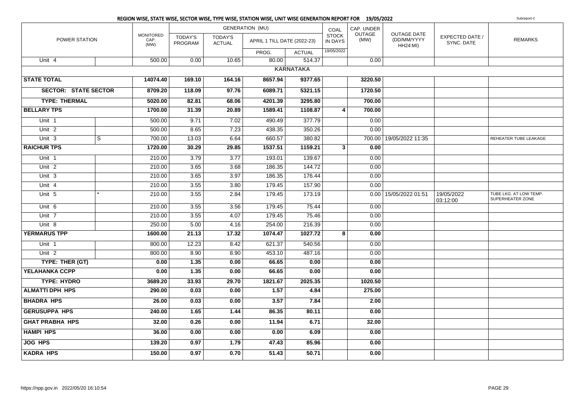|                             |   |                                  |                           |                                 | REGION WISE, STATE WISE, SECTOR WISE, TYPE WISE, STATION WISE, UNIT WISE GENERATION REPORT FOR 19/05/2022 |                  |                         |                |                                                      |                               | Subreport-2                                |
|-----------------------------|---|----------------------------------|---------------------------|---------------------------------|-----------------------------------------------------------------------------------------------------------|------------------|-------------------------|----------------|------------------------------------------------------|-------------------------------|--------------------------------------------|
|                             |   |                                  |                           |                                 | <b>GENERATION (MU)</b>                                                                                    |                  | COAL                    | CAP. UNDER     |                                                      |                               |                                            |
| POWER STATION               |   | <b>MONITORED</b><br>CAP.<br>(MW) | <b>TODAY'S</b><br>PROGRAM | <b>TODAY'S</b><br><b>ACTUAL</b> | APRIL 1 TILL DATE (2022-23)                                                                               |                  | <b>STOCK</b><br>IN DAYS | OUTAGE<br>(MW) | <b>OUTAGE DATE</b><br>(DD/MM/YYYY<br><b>HH24:MI)</b> | EXPECTED DATE /<br>SYNC. DATE | <b>REMARKS</b>                             |
|                             |   |                                  |                           |                                 | PROG.                                                                                                     | <b>ACTUAL</b>    | 19/05/2022              |                |                                                      |                               |                                            |
| Unit 4                      |   | 500.00                           | 0.00                      | 10.65                           | 80.00                                                                                                     | 514.37           |                         | 0.00           |                                                      |                               |                                            |
|                             |   |                                  |                           |                                 |                                                                                                           | <b>KARNATAKA</b> |                         |                |                                                      |                               |                                            |
| <b>STATE TOTAL</b>          |   | 14074.40                         | 169.10                    | 164.16                          | 8657.94                                                                                                   | 9377.65          |                         | 3220.50        |                                                      |                               |                                            |
| <b>SECTOR: STATE SECTOR</b> |   | 8709.20                          | 118.09                    | 97.76                           | 6089.71                                                                                                   | 5321.15          |                         | 1720.50        |                                                      |                               |                                            |
| <b>TYPE: THERMAL</b>        |   | 5020.00                          | 82.81                     | 68.06                           | 4201.39                                                                                                   | 3295.80          |                         | 700.00         |                                                      |                               |                                            |
| <b>BELLARY TPS</b>          |   | 1700.00                          | 31.39                     | 20.89                           | 1589.41                                                                                                   | 1108.87          | 4                       | 700.00         |                                                      |                               |                                            |
| Unit 1                      |   | 500.00                           | 9.71                      | 7.02                            | 490.49                                                                                                    | 377.79           |                         | 0.00           |                                                      |                               |                                            |
| Unit <sub>2</sub>           |   | 500.00                           | 8.65                      | 7.23                            | 438.35                                                                                                    | 350.26           |                         | 0.00           |                                                      |                               |                                            |
| Unit 3                      | S | 700.00                           | 13.03                     | 6.64                            | 660.57                                                                                                    | 380.82           |                         |                | 700.00 19/05/2022 11:35                              |                               | REHEATER TUBE LEAKAGE                      |
| <b>RAICHUR TPS</b>          |   | 1720.00                          | 30.29                     | 29.85                           | 1537.51                                                                                                   | 1159.21          | 3 <sup>1</sup>          | 0.00           |                                                      |                               |                                            |
| Unit 1                      |   | 210.00                           | 3.79                      | 3.77                            | 193.01                                                                                                    | 139.67           |                         | 0.00           |                                                      |                               |                                            |
| Unit <sub>2</sub>           |   | 210.00                           | 3.65                      | 3.68                            | 186.35                                                                                                    | 144.72           |                         | 0.00           |                                                      |                               |                                            |
| Unit 3                      |   | 210.00                           | 3.65                      | 3.97                            | 186.35                                                                                                    | 176.44           |                         | 0.00           |                                                      |                               |                                            |
| Unit 4                      |   | 210.00                           | 3.55                      | 3.80                            | 179.45                                                                                                    | 157.90           |                         | 0.00           |                                                      |                               |                                            |
| Unit 5                      |   | 210.00                           | 3.55                      | 2.84                            | 179.45                                                                                                    | 173.19           |                         |                | 0.00   15/05/2022 01:51                              | 19/05/2022<br>03:12:00        | TUBE LKG. AT LOW TEMP.<br>SUPERHEATER ZONE |
| Unit 6                      |   | 210.00                           | 3.55                      | 3.56                            | 179.45                                                                                                    | 75.44            |                         | 0.00           |                                                      |                               |                                            |
| Unit 7                      |   | 210.00                           | 3.55                      | 4.07                            | 179.45                                                                                                    | 75.46            |                         | 0.00           |                                                      |                               |                                            |
| Unit $8$                    |   | 250.00                           | 5.00                      | 4.16                            | 254.00                                                                                                    | 216.39           |                         | 0.00           |                                                      |                               |                                            |
| <b>YERMARUS TPP</b>         |   | 1600.00                          | 21.13                     | 17.32                           | 1074.47                                                                                                   | 1027.72          | 8                       | 0.00           |                                                      |                               |                                            |
| Unit 1                      |   | 800.00                           | 12.23                     | 8.42                            | 621.37                                                                                                    | 540.56           |                         | 0.00           |                                                      |                               |                                            |
| Unit <sub>2</sub>           |   | 800.00                           | 8.90                      | 8.90                            | 453.10                                                                                                    | 487.16           |                         | 0.00           |                                                      |                               |                                            |
| TYPE: THER (GT)             |   | 0.00                             | 1.35                      | 0.00                            | 66.65                                                                                                     | 0.00             |                         | 0.00           |                                                      |                               |                                            |
| YELAHANKA CCPP              |   | 0.00                             | 1.35                      | 0.00                            | 66.65                                                                                                     | 0.00             |                         | 0.00           |                                                      |                               |                                            |
| <b>TYPE: HYDRO</b>          |   | 3689.20                          | 33.93                     | 29.70                           | 1821.67                                                                                                   | 2025.35          |                         | 1020.50        |                                                      |                               |                                            |
| <b>ALMATTI DPH HPS</b>      |   | 290.00                           | 0.03                      | 0.00                            | 1.57                                                                                                      | 4.84             |                         | 275.00         |                                                      |                               |                                            |
| <b>BHADRA HPS</b>           |   | 26.00                            | 0.03                      | 0.00                            | 3.57                                                                                                      | 7.84             |                         | 2.00           |                                                      |                               |                                            |
| <b>GERUSUPPA HPS</b>        |   | 240.00                           | 1.65                      | 1.44                            | 86.35                                                                                                     | 80.11            |                         | 0.00           |                                                      |                               |                                            |
| <b>GHAT PRABHA HPS</b>      |   | 32.00                            | 0.26                      | 0.00                            | 11.94                                                                                                     | 6.71             |                         | 32.00          |                                                      |                               |                                            |
| <b>HAMPI HPS</b>            |   | 36.00                            | 0.00                      | 0.00                            | 0.00                                                                                                      | 6.09             |                         | 0.00           |                                                      |                               |                                            |
| <b>JOG HPS</b>              |   | 139.20                           | 0.97                      | 1.79                            | 47.43                                                                                                     | 85.96            |                         | 0.00           |                                                      |                               |                                            |
| <b>KADRA HPS</b>            |   | 150.00                           | 0.97                      | 0.70                            | 51.43                                                                                                     | 50.71            |                         | 0.00           |                                                      |                               |                                            |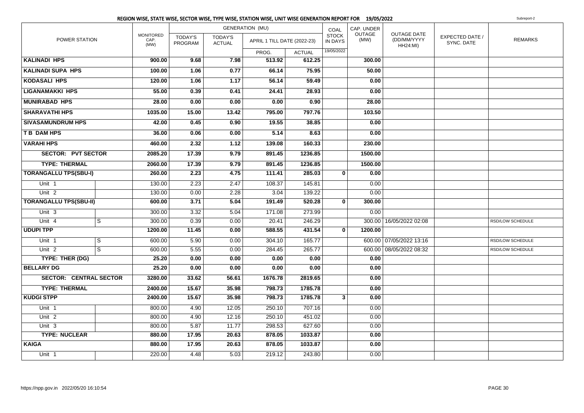|                               |                |                                  |                           |                                 | <b>GENERATION (MU)</b>      |               | COAL                           | CAP. UNDER     |                                                      |                               |                  |
|-------------------------------|----------------|----------------------------------|---------------------------|---------------------------------|-----------------------------|---------------|--------------------------------|----------------|------------------------------------------------------|-------------------------------|------------------|
| POWER STATION                 |                | <b>MONITORED</b><br>CAP.<br>(MW) | <b>TODAY'S</b><br>PROGRAM | <b>TODAY'S</b><br><b>ACTUAL</b> | APRIL 1 TILL DATE (2022-23) |               | <b>STOCK</b><br><b>IN DAYS</b> | OUTAGE<br>(MW) | <b>OUTAGE DATE</b><br>(DD/MM/YYYY<br><b>HH24:MI)</b> | EXPECTED DATE /<br>SYNC. DATE | <b>REMARKS</b>   |
|                               |                |                                  |                           |                                 | PROG.                       | <b>ACTUAL</b> | 19/05/2022                     |                |                                                      |                               |                  |
| <b>KALINADI HPS</b>           |                | 900.00                           | 9.68                      | 7.98                            | 513.92                      | 612.25        |                                | 300.00         |                                                      |                               |                  |
| <b>KALINADI SUPA HPS</b>      |                | 100.00                           | 1.06                      | 0.77                            | 66.14                       | 75.95         |                                | 50.00          |                                                      |                               |                  |
| <b>KODASALI HPS</b>           |                | 120.00                           | 1.06                      | 1.17                            | 56.14                       | 59.49         |                                | 0.00           |                                                      |                               |                  |
| <b>LIGANAMAKKI HPS</b>        |                | 55.00                            | 0.39                      | 0.41                            | 24.41                       | 28.93         |                                | 0.00           |                                                      |                               |                  |
| <b>MUNIRABAD HPS</b>          |                | 28.00                            | 0.00                      | 0.00                            | 0.00                        | 0.90          |                                | 28.00          |                                                      |                               |                  |
| <b>SHARAVATHI HPS</b>         |                | 1035.00                          | 15.00                     | 13.42                           | 795.00                      | 797.76        |                                | 103.50         |                                                      |                               |                  |
| <b>SIVASAMUNDRUM HPS</b>      |                | 42.00                            | 0.45                      | 0.90                            | 19.55                       | 38.85         |                                | 0.00           |                                                      |                               |                  |
| <b>TB DAM HPS</b>             |                | 36.00                            | 0.06                      | 0.00                            | 5.14                        | 8.63          |                                | 0.00           |                                                      |                               |                  |
| <b>VARAHI HPS</b>             |                | 460.00                           | 2.32                      | 1.12                            | 139.08                      | 160.33        |                                | 230.00         |                                                      |                               |                  |
| <b>SECTOR: PVT SECTOR</b>     |                | 2085.20                          | 17.39                     | 9.79                            | 891.45                      | 1236.85       |                                | 1500.00        |                                                      |                               |                  |
| <b>TYPE: THERMAL</b>          |                | 2060.00                          | 17.39                     | 9.79                            | 891.45                      | 1236.85       |                                | 1500.00        |                                                      |                               |                  |
| <b>TORANGALLU TPS(SBU-I)</b>  |                | 260.00                           | 2.23                      | 4.75                            | 111.41                      | 285.03        | $\mathbf 0$                    | 0.00           |                                                      |                               |                  |
| Unit 1                        |                | 130.00                           | 2.23                      | 2.47                            | 108.37                      | 145.81        |                                | 0.00           |                                                      |                               |                  |
| Unit $2$                      |                | 130.00                           | 0.00                      | 2.28                            | 3.04                        | 139.22        |                                | 0.00           |                                                      |                               |                  |
| <b>TORANGALLU TPS(SBU-II)</b> |                | 600.00                           | 3.71                      | 5.04                            | 191.49                      | 520.28        | $\mathbf{0}$                   | 300.00         |                                                      |                               |                  |
| Unit <sub>3</sub>             |                | 300.00                           | 3.32                      | 5.04                            | 171.08                      | 273.99        |                                | 0.00           |                                                      |                               |                  |
| Unit 4                        | S              | 300.00                           | 0.39                      | 0.00                            | 20.41                       | 246.29        |                                |                | 300.00 16/05/2022 02:08                              |                               | RSD/LOW SCHEDULE |
| <b>UDUPI TPP</b>              |                | 1200.00                          | 11.45                     | 0.00                            | 588.55                      | 431.54        | $\mathbf 0$                    | 1200.00        |                                                      |                               |                  |
| Unit 1                        | S              | 600.00                           | 5.90                      | 0.00                            | 304.10                      | 165.77        |                                |                | 600.00 07/05/2022 13:16                              |                               | RSD/LOW SCHEDULE |
| Unit <sub>2</sub>             | $\overline{s}$ | 600.00                           | 5.55                      | 0.00                            | 284.45                      | 265.77        |                                |                | 600.00 08/05/2022 08:32                              |                               | RSD/LOW SCHEDULE |
| TYPE: THER (DG)               |                | 25.20                            | 0.00                      | 0.00                            | 0.00                        | 0.00          |                                | 0.00           |                                                      |                               |                  |
| <b>BELLARY DG</b>             |                | 25.20                            | 0.00                      | 0.00                            | 0.00                        | 0.00          |                                | 0.00           |                                                      |                               |                  |
| <b>SECTOR: CENTRAL SECTOR</b> |                | 3280.00                          | 33.62                     | 56.61                           | 1676.78                     | 2819.65       |                                | 0.00           |                                                      |                               |                  |
| <b>TYPE: THERMAL</b>          |                | 2400.00                          | 15.67                     | 35.98                           | 798.73                      | 1785.78       |                                | 0.00           |                                                      |                               |                  |
| <b>KUDGI STPP</b>             |                | 2400.00                          | 15.67                     | 35.98                           | 798.73                      | 1785.78       | 3                              | 0.00           |                                                      |                               |                  |
| Unit 1                        |                | 800.00                           | 4.90                      | 12.05                           | 250.10                      | 707.16        |                                | 0.00           |                                                      |                               |                  |
| Unit <sub>2</sub>             |                | 800.00                           | 4.90                      | 12.16                           | 250.10                      | 451.02        |                                | 0.00           |                                                      |                               |                  |
| $Unit$ 3                      |                | 800.00                           | 5.87                      | 11.77                           | 298.53                      | 627.60        |                                | 0.00           |                                                      |                               |                  |
| <b>TYPE: NUCLEAR</b>          |                | 880.00                           | 17.95                     | 20.63                           | 878.05                      | 1033.87       |                                | 0.00           |                                                      |                               |                  |
| <b>KAIGA</b>                  |                | 880.00                           | 17.95                     | 20.63                           | 878.05                      | 1033.87       |                                | 0.00           |                                                      |                               |                  |
| Unit 1                        |                | 220.00                           | 4.48                      | 5.03                            | 219.12                      | 243.80        |                                | 0.00           |                                                      |                               |                  |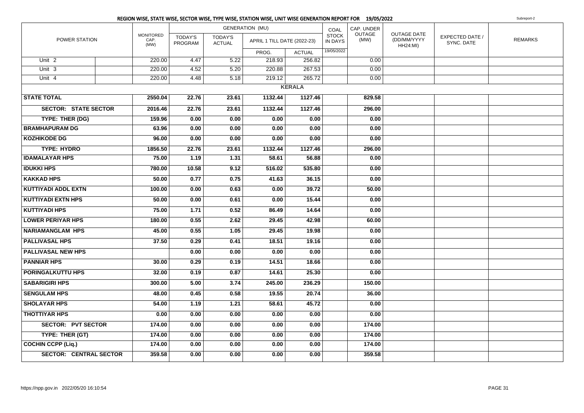|                               |                                  |                           |                                 | <b>GENERATION (MU)</b>      |               | COAL                           | CAP. UNDER            |                                               |                               |                |
|-------------------------------|----------------------------------|---------------------------|---------------------------------|-----------------------------|---------------|--------------------------------|-----------------------|-----------------------------------------------|-------------------------------|----------------|
| POWER STATION                 | <b>MONITORED</b><br>CAP.<br>(MW) | <b>TODAY'S</b><br>PROGRAM | <b>TODAY'S</b><br><b>ACTUAL</b> | APRIL 1 TILL DATE (2022-23) |               | <b>STOCK</b><br><b>IN DAYS</b> | <b>OUTAGE</b><br>(MW) | OUTAGE DATE<br>(DD/MM/YYYY<br><b>HH24:MI)</b> | EXPECTED DATE /<br>SYNC. DATE | <b>REMARKS</b> |
|                               |                                  |                           |                                 | PROG.                       | <b>ACTUAL</b> | 19/05/2022                     |                       |                                               |                               |                |
| Unit <sub>2</sub>             | 220.00                           | 4.47                      | 5.22                            | 218.93                      | 256.82        |                                | 0.00                  |                                               |                               |                |
| Unit <sub>3</sub>             | 220.00                           | 4.52                      | 5.20                            | 220.88                      | 267.53        |                                | 0.00                  |                                               |                               |                |
| Unit 4                        | 220.00                           | 4.48                      | 5.18                            | 219.12                      | 265.72        |                                | 0.00                  |                                               |                               |                |
|                               |                                  |                           |                                 |                             | <b>KERALA</b> |                                |                       |                                               |                               |                |
| <b>STATE TOTAL</b>            | 2550.04                          | 22.76                     | 23.61                           | 1132.44                     | 1127.46       |                                | 829.58                |                                               |                               |                |
| <b>SECTOR: STATE SECTOR</b>   | 2016.46                          | 22.76                     | 23.61                           | 1132.44                     | 1127.46       |                                | 296.00                |                                               |                               |                |
| TYPE: THER (DG)               | 159.96                           | 0.00                      | 0.00                            | 0.00                        | 0.00          |                                | 0.00                  |                                               |                               |                |
| <b>BRAMHAPURAM DG</b>         | 63.96                            | 0.00                      | 0.00                            | 0.00                        | 0.00          |                                | 0.00                  |                                               |                               |                |
| <b>KOZHIKODE DG</b>           | 96.00                            | 0.00                      | 0.00                            | 0.00                        | 0.00          |                                | 0.00                  |                                               |                               |                |
| <b>TYPE: HYDRO</b>            | 1856.50                          | 22.76                     | 23.61                           | 1132.44                     | 1127.46       |                                | 296.00                |                                               |                               |                |
| <b>IDAMALAYAR HPS</b>         | 75.00                            | 1.19                      | 1.31                            | 58.61                       | 56.88         |                                | 0.00                  |                                               |                               |                |
| <b>IDUKKI HPS</b>             | 780.00                           | 10.58                     | 9.12                            | 516.02                      | 535.80        |                                | 0.00                  |                                               |                               |                |
| <b>KAKKAD HPS</b>             | 50.00                            | 0.77                      | 0.75                            | 41.63                       | 36.15         |                                | 0.00                  |                                               |                               |                |
| <b>KUTTIYADI ADDL EXTN</b>    | 100.00                           | 0.00                      | 0.63                            | 0.00                        | 39.72         |                                | 50.00                 |                                               |                               |                |
| <b>KUTTIYADI EXTN HPS</b>     | 50.00                            | 0.00                      | 0.61                            | 0.00                        | 15.44         |                                | 0.00                  |                                               |                               |                |
| <b>KUTTIYADI HPS</b>          | 75.00                            | 1.71                      | 0.52                            | 86.49                       | 14.64         |                                | 0.00                  |                                               |                               |                |
| <b>LOWER PERIYAR HPS</b>      | 180.00                           | 0.55                      | 2.62                            | 29.45                       | 42.98         |                                | 60.00                 |                                               |                               |                |
| <b>NARIAMANGLAM HPS</b>       | 45.00                            | 0.55                      | 1.05                            | 29.45                       | 19.98         |                                | 0.00                  |                                               |                               |                |
| <b>PALLIVASAL HPS</b>         | 37.50                            | 0.29                      | 0.41                            | 18.51                       | 19.16         |                                | 0.00                  |                                               |                               |                |
| <b>PALLIVASAL NEW HPS</b>     |                                  | 0.00                      | 0.00                            | 0.00                        | 0.00          |                                | 0.00                  |                                               |                               |                |
| <b>PANNIAR HPS</b>            | 30.00                            | 0.29                      | 0.19                            | 14.51                       | 18.66         |                                | 0.00                  |                                               |                               |                |
| <b>PORINGALKUTTU HPS</b>      | 32.00                            | 0.19                      | 0.87                            | 14.61                       | 25.30         |                                | 0.00                  |                                               |                               |                |
| <b>SABARIGIRI HPS</b>         | 300.00                           | 5.00                      | 3.74                            | 245.00                      | 236.29        |                                | 150.00                |                                               |                               |                |
| <b>SENGULAM HPS</b>           | 48.00                            | 0.45                      | 0.58                            | 19.55                       | 20.74         |                                | 36.00                 |                                               |                               |                |
| <b>SHOLAYAR HPS</b>           | 54.00                            | 1.19                      | 1.21                            | 58.61                       | 45.72         |                                | 0.00                  |                                               |                               |                |
| <b>THOTTIYAR HPS</b>          | 0.00                             | 0.00                      | 0.00                            | 0.00                        | 0.00          |                                | 0.00                  |                                               |                               |                |
| <b>SECTOR: PVT SECTOR</b>     | 174.00                           | 0.00                      | 0.00                            | 0.00                        | 0.00          |                                | 174.00                |                                               |                               |                |
| TYPE: THER (GT)               | 174.00                           | 0.00                      | 0.00                            | 0.00                        | 0.00          |                                | 174.00                |                                               |                               |                |
| COCHIN CCPP (Liq.)            | 174.00                           | 0.00                      | 0.00                            | 0.00                        | 0.00          |                                | 174.00                |                                               |                               |                |
| <b>SECTOR: CENTRAL SECTOR</b> | 359.58                           | 0.00                      | 0.00                            | 0.00                        | 0.00          |                                | 359.58                |                                               |                               |                |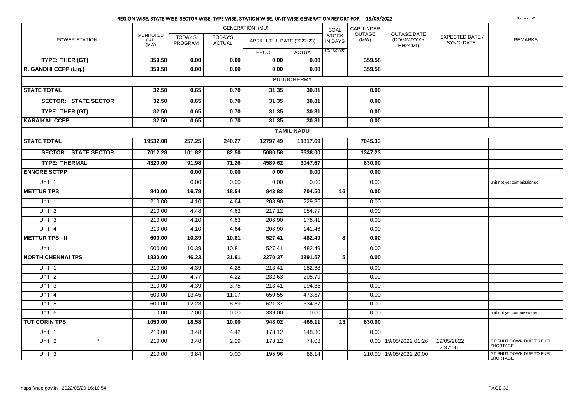|                             |  |                                  |                                  |                                 | REGION WISE, STATE WISE, SECTOR WISE, TYPE WISE, STATION WISE, UNIT WISE GENERATION REPORT FOR 19/05/2022 |                   |                         |                       |                                                      |                               | Subreport-2                                 |
|-----------------------------|--|----------------------------------|----------------------------------|---------------------------------|-----------------------------------------------------------------------------------------------------------|-------------------|-------------------------|-----------------------|------------------------------------------------------|-------------------------------|---------------------------------------------|
| POWER STATION               |  |                                  |                                  | <b>GENERATION (MU)</b>          |                                                                                                           | COAL              | CAP. UNDER              |                       |                                                      |                               |                                             |
|                             |  | <b>MONITORED</b><br>CAP.<br>(MW) | <b>TODAY'S</b><br><b>PROGRAM</b> | <b>TODAY'S</b><br><b>ACTUAL</b> | APRIL 1 TILL DATE (2022-23)                                                                               |                   | <b>STOCK</b><br>IN DAYS | <b>OUTAGE</b><br>(MW) | <b>OUTAGE DATE</b><br>(DD/MM/YYYY<br><b>HH24:MI)</b> | EXPECTED DATE /<br>SYNC. DATE | <b>REMARKS</b>                              |
|                             |  |                                  |                                  |                                 | PROG.                                                                                                     | <b>ACTUAL</b>     | 19/05/2022              |                       |                                                      |                               |                                             |
| TYPE: THER (GT)             |  | 359.58                           | 0.00                             | 0.00                            | 0.00                                                                                                      | 0.00              |                         | 359.58                |                                                      |                               |                                             |
| R. GANDHI CCPP (Liq.)       |  | 359.58                           | 0.00                             | 0.00                            | 0.00                                                                                                      | 0.00              |                         | 359.58                |                                                      |                               |                                             |
|                             |  |                                  |                                  |                                 |                                                                                                           | <b>PUDUCHERRY</b> |                         |                       |                                                      |                               |                                             |
| <b>STATE TOTAL</b>          |  | 32.50                            | 0.65                             | 0.70                            | 31.35                                                                                                     | 30.81             |                         | 0.00                  |                                                      |                               |                                             |
| <b>SECTOR: STATE SECTOR</b> |  | 32.50                            | 0.65                             | 0.70                            | 31.35                                                                                                     | 30.81             |                         | 0.00                  |                                                      |                               |                                             |
| TYPE: THER (GT)             |  | 32.50                            | 0.65                             | 0.70                            | 31.35                                                                                                     | 30.81             |                         | 0.00                  |                                                      |                               |                                             |
| <b>KARAIKAL CCPP</b>        |  | 32.50                            | 0.65                             | 0.70                            | 31.35                                                                                                     | 30.81             |                         | 0.00                  |                                                      |                               |                                             |
|                             |  |                                  |                                  |                                 |                                                                                                           | <b>TAMIL NADU</b> |                         |                       |                                                      |                               |                                             |
| <b>STATE TOTAL</b>          |  | 19532.08                         | 257.25                           | 240.27                          | 12797.49                                                                                                  | 11817.69          |                         | 7045.33               |                                                      |                               |                                             |
| <b>SECTOR: STATE SECTOR</b> |  | 7012.28                          | 101.82                           | 82.50                           | 5080.58                                                                                                   | 3638.00           |                         | 1347.23               |                                                      |                               |                                             |
| <b>TYPE: THERMAL</b>        |  | 4320.00                          | 91.98                            | 71.26                           | 4589.62                                                                                                   | 3047.67           |                         | 630.00                |                                                      |                               |                                             |
| <b>ENNORE SCTPP</b>         |  |                                  | 0.00                             | 0.00                            | 0.00                                                                                                      | 0.00              |                         | 0.00                  |                                                      |                               |                                             |
| Unit 1                      |  |                                  | 0.00                             | 0.00                            | 0.00                                                                                                      | 0.00              |                         | 0.00                  |                                                      |                               | unit not yet commissioned                   |
| <b>METTUR TPS</b>           |  | 840.00                           | 16.78                            | 18.54                           | 843.82                                                                                                    | 704.50            | 16                      | 0.00                  |                                                      |                               |                                             |
| Unit 1                      |  | 210.00                           | 4.10                             | 4.64                            | 208.90                                                                                                    | 229.86            |                         | 0.00                  |                                                      |                               |                                             |
| Unit <sub>2</sub>           |  | 210.00                           | 4.48                             | 4.63                            | 217.12                                                                                                    | 154.77            |                         | 0.00                  |                                                      |                               |                                             |
| Unit $3$                    |  | 210.00                           | 4.10                             | 4.63                            | 208.90                                                                                                    | 178.41            |                         | 0.00                  |                                                      |                               |                                             |
| Unit $4$                    |  | 210.00                           | 4.10                             | 4.64                            | 208.90                                                                                                    | 141.46            |                         | 0.00                  |                                                      |                               |                                             |
| <b>METTUR TPS - II</b>      |  | 600.00                           | 10.39                            | 10.81                           | 527.41                                                                                                    | 482.49            | 8                       | 0.00                  |                                                      |                               |                                             |
| Unit 1                      |  | 600.00                           | 10.39                            | 10.81                           | 527.41                                                                                                    | 482.49            |                         | 0.00                  |                                                      |                               |                                             |
| <b>NORTH CHENNAI TPS</b>    |  | 1830.00                          | 46.23                            | 31.91                           | 2270.37                                                                                                   | 1391.57           | $\overline{5}$          | 0.00                  |                                                      |                               |                                             |
| Unit 1                      |  | 210.00                           | 4.39                             | 4.28                            | 213.41                                                                                                    | 182.68            |                         | 0.00                  |                                                      |                               |                                             |
| Unit $2$                    |  | 210.00                           | 4.77                             | 4.22                            | 232.63                                                                                                    | 205.79            |                         | 0.00                  |                                                      |                               |                                             |
| Unit 3                      |  | 210.00                           | 4.39                             | 3.75                            | 213.41                                                                                                    | 194.36            |                         | 0.00                  |                                                      |                               |                                             |
| Unit 4                      |  | 600.00                           | 13.45                            | 11.07                           | 650.55                                                                                                    | 473.87            |                         | 0.00                  |                                                      |                               |                                             |
| Unit 5                      |  | 600.00                           | 12.23                            | 8.59                            | 621.37                                                                                                    | 334.87            |                         | 0.00                  |                                                      |                               |                                             |
| Unit 6                      |  | 0.00                             | 7.00                             | 0.00                            | 339.00                                                                                                    | 0.00              |                         | 0.00                  |                                                      |                               | unit not yet commissioned                   |
| <b>TUTICORIN TPS</b>        |  | 1050.00                          | 18.58                            | 10.00                           | 948.02                                                                                                    | 469.11            | 13                      | 630.00                |                                                      |                               |                                             |
| Unit 1                      |  | 210.00                           | 3.48                             | 4.42                            | 178.12                                                                                                    | 148.30            |                         | 0.00                  |                                                      |                               |                                             |
| Unit <sub>2</sub>           |  | 210.00                           | 3.48                             | 2.29                            | 178.12                                                                                                    | 74.03             |                         |                       | 0.00   19/05/2022 01:26                              | 19/05/2022<br>12:37:00        | GT SHUT DOWN DUE TO FUEL<br><b>SHORTAGE</b> |
| Unit 3                      |  | 210.00                           | 3.84                             | 0.00                            | 195.96                                                                                                    | 88.14             |                         |                       | 210.00 19/05/2022 20:00                              |                               | GT SHUT DOWN DUE TO FUEL<br>SHORTAGE        |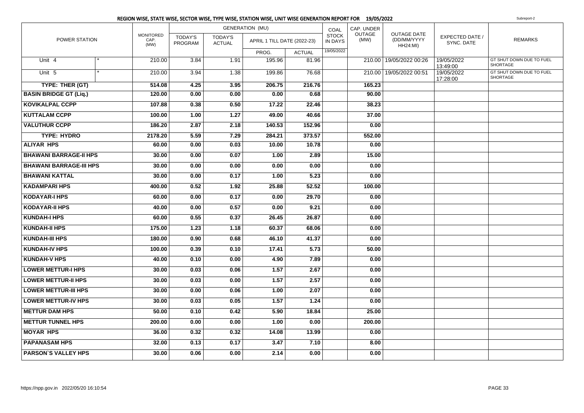|                                |                                  |                           |                                 | <b>GENERATION (MU)</b>      |               | COAL                           | CAP. UNDER            |                                                      |                               |                                      |
|--------------------------------|----------------------------------|---------------------------|---------------------------------|-----------------------------|---------------|--------------------------------|-----------------------|------------------------------------------------------|-------------------------------|--------------------------------------|
| POWER STATION                  | <b>MONITORED</b><br>CAP.<br>(MW) | <b>TODAY'S</b><br>PROGRAM | <b>TODAY'S</b><br><b>ACTUAL</b> | APRIL 1 TILL DATE (2022-23) |               | <b>STOCK</b><br><b>IN DAYS</b> | <b>OUTAGE</b><br>(MW) | <b>OUTAGE DATE</b><br>(DD/MM/YYYY<br><b>HH24:MI)</b> | EXPECTED DATE /<br>SYNC, DATE | <b>REMARKS</b>                       |
|                                |                                  |                           |                                 | PROG.                       | <b>ACTUAL</b> | 19/05/2022                     |                       |                                                      |                               |                                      |
| Unit 4                         | 210.00                           | 3.84                      | 1.91                            | 195.96                      | 81.96         |                                |                       | 210.00   19/05/2022 00:26                            | 19/05/2022<br>13:49:00        | GT SHUT DOWN DUE TO FUEL<br>SHORTAGE |
| Unit 5                         | 210.00                           | 3.94                      | 1.38                            | 199.86                      | 76.68         |                                |                       | 210.00 19/05/2022 00:51                              | 19/05/2022<br>17:28:00        | GT SHUT DOWN DUE TO FUEL<br>SHORTAGE |
| TYPE: THER (GT)                | 514.08                           | 4.25                      | 3.95                            | 206.75                      | 216.76        |                                | 165.23                |                                                      |                               |                                      |
| <b>BASIN BRIDGE GT (Liq.)</b>  | 120.00                           | 0.00                      | 0.00                            | 0.00                        | 0.68          |                                | 90.00                 |                                                      |                               |                                      |
| <b>KOVIKALPAL CCPP</b>         | 107.88                           | 0.38                      | 0.50                            | 17.22                       | 22.46         |                                | 38.23                 |                                                      |                               |                                      |
| <b>KUTTALAM CCPP</b>           | 100.00                           | 1.00                      | 1.27                            | 49.00                       | 40.66         |                                | 37.00                 |                                                      |                               |                                      |
| <b>VALUTHUR CCPP</b>           | 186.20                           | 2.87                      | 2.18                            | 140.53                      | 152.96        |                                | 0.00                  |                                                      |                               |                                      |
| <b>TYPE: HYDRO</b>             | 2178.20                          | 5.59                      | 7.29                            | 284.21                      | 373.57        |                                | 552.00                |                                                      |                               |                                      |
| <b>ALIYAR HPS</b>              | 60.00                            | 0.00                      | 0.03                            | 10.00                       | 10.78         |                                | 0.00                  |                                                      |                               |                                      |
| <b>BHAWANI BARRAGE-II HPS</b>  | 30.00                            | 0.00                      | 0.07                            | 1.00                        | 2.89          |                                | 15.00                 |                                                      |                               |                                      |
| <b>BHAWANI BARRAGE-III HPS</b> | 30.00                            | 0.00                      | 0.00                            | 0.00                        | 0.00          |                                | 0.00                  |                                                      |                               |                                      |
| <b>BHAWANI KATTAL</b>          | 30.00                            | 0.00                      | 0.17                            | 1.00                        | 5.23          |                                | 0.00                  |                                                      |                               |                                      |
| <b>KADAMPARI HPS</b>           | 400.00                           | 0.52                      | 1.92                            | 25.88                       | 52.52         |                                | 100.00                |                                                      |                               |                                      |
| <b>KODAYAR-I HPS</b>           | 60.00                            | 0.00                      | 0.17                            | 0.00                        | 29.70         |                                | 0.00                  |                                                      |                               |                                      |
| <b>KODAYAR-II HPS</b>          | 40.00                            | 0.00                      | 0.57                            | 0.00                        | 9.21          |                                | 0.00                  |                                                      |                               |                                      |
| <b>KUNDAH-I HPS</b>            | 60.00                            | 0.55                      | 0.37                            | 26.45                       | 26.87         |                                | 0.00                  |                                                      |                               |                                      |
| <b>KUNDAH-II HPS</b>           | 175.00                           | 1.23                      | 1.18                            | 60.37                       | 68.06         |                                | 0.00                  |                                                      |                               |                                      |
| <b>KUNDAH-III HPS</b>          | 180.00                           | 0.90                      | 0.68                            | 46.10                       | 41.37         |                                | 0.00                  |                                                      |                               |                                      |
| <b>KUNDAH-IV HPS</b>           | 100.00                           | 0.39                      | 0.10                            | 17.41                       | 5.73          |                                | 50.00                 |                                                      |                               |                                      |
| <b>KUNDAH-V HPS</b>            | 40.00                            | 0.10                      | 0.00                            | 4.90                        | 7.89          |                                | 0.00                  |                                                      |                               |                                      |
| <b>LOWER METTUR-I HPS</b>      | 30.00                            | 0.03                      | 0.06                            | 1.57                        | 2.67          |                                | 0.00                  |                                                      |                               |                                      |
| <b>LOWER METTUR-II HPS</b>     | 30.00                            | 0.03                      | 0.00                            | 1.57                        | 2.57          |                                | 0.00                  |                                                      |                               |                                      |
| <b>LOWER METTUR-III HPS</b>    | 30.00                            | 0.00                      | 0.06                            | 1.00                        | 2.07          |                                | 0.00                  |                                                      |                               |                                      |
| <b>LOWER METTUR-IV HPS</b>     | 30.00                            | 0.03                      | 0.05                            | 1.57                        | 1.24          |                                | 0.00                  |                                                      |                               |                                      |
| <b>METTUR DAM HPS</b>          | 50.00                            | 0.10                      | 0.42                            | 5.90                        | 18.84         |                                | 25.00                 |                                                      |                               |                                      |
| <b>METTUR TUNNEL HPS</b>       | 200.00                           | 0.00                      | 0.00                            | 1.00                        | 0.00          |                                | 200.00                |                                                      |                               |                                      |
| <b>MOYAR HPS</b>               | 36.00                            | 0.32                      | 0.32                            | 14.08                       | 13.99         |                                | 0.00                  |                                                      |                               |                                      |
| <b>PAPANASAM HPS</b>           | 32.00                            | 0.13                      | 0.17                            | 3.47                        | 7.10          |                                | 8.00                  |                                                      |                               |                                      |
| <b>PARSON'S VALLEY HPS</b>     | 30.00                            | 0.06                      | 0.00                            | 2.14                        | 0.00          |                                | 0.00                  |                                                      |                               |                                      |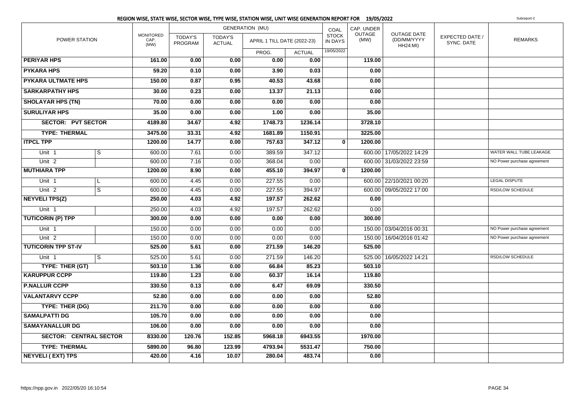|                            |                               |                                  |                           |                                 | <b>GENERATION (MU)</b>      |               | COAL                           | CAP. UNDER            |                                                      |                                      |                             |
|----------------------------|-------------------------------|----------------------------------|---------------------------|---------------------------------|-----------------------------|---------------|--------------------------------|-----------------------|------------------------------------------------------|--------------------------------------|-----------------------------|
| POWER STATION              |                               | <b>MONITORED</b><br>CAP.<br>(MW) | <b>TODAY'S</b><br>PROGRAM | <b>TODAY'S</b><br><b>ACTUAL</b> | APRIL 1 TILL DATE (2022-23) |               | <b>STOCK</b><br><b>IN DAYS</b> | <b>OUTAGE</b><br>(MW) | <b>OUTAGE DATE</b><br>(DD/MM/YYYY<br><b>HH24:MI)</b> | <b>EXPECTED DATE /</b><br>SYNC. DATE | <b>REMARKS</b>              |
|                            |                               |                                  |                           |                                 | PROG.                       | <b>ACTUAL</b> | 19/05/2022                     |                       |                                                      |                                      |                             |
| <b>PERIYAR HPS</b>         |                               | 161.00                           | 0.00                      | 0.00                            | 0.00                        | 0.00          |                                | 119.00                |                                                      |                                      |                             |
| <b>PYKARA HPS</b>          |                               | 59.20                            | 0.10                      | 0.00                            | 3.90                        | 0.03          |                                | 0.00                  |                                                      |                                      |                             |
| <b>PYKARA ULTMATE HPS</b>  |                               | 150.00                           | 0.87                      | 0.95                            | 40.53                       | 43.68         |                                | 0.00                  |                                                      |                                      |                             |
| <b>SARKARPATHY HPS</b>     |                               | 30.00                            | 0.23                      | 0.00                            | 13.37                       | 21.13         |                                | 0.00                  |                                                      |                                      |                             |
| <b>SHOLAYAR HPS (TN)</b>   |                               | 70.00                            | 0.00                      | 0.00                            | 0.00                        | 0.00          |                                | 0.00                  |                                                      |                                      |                             |
| <b>SURULIYAR HPS</b>       |                               | 35.00                            | 0.00                      | 0.00                            | 1.00                        | 0.00          |                                | 35.00                 |                                                      |                                      |                             |
| <b>SECTOR: PVT SECTOR</b>  |                               | 4189.80                          | 34.67                     | 4.92                            | 1748.73                     | 1236.14       |                                | 3728.10               |                                                      |                                      |                             |
| <b>TYPE: THERMAL</b>       |                               | 3475.00                          | 33.31                     | 4.92                            | 1681.89                     | 1150.91       |                                | 3225.00               |                                                      |                                      |                             |
| <b>ITPCL TPP</b>           |                               | 1200.00                          | 14.77                     | 0.00                            | 757.63                      | 347.12        | $\bf{0}$                       | 1200.00               |                                                      |                                      |                             |
| Unit 1                     | $\overline{s}$                | 600.00                           | 7.61                      | 0.00                            | 389.59                      | 347.12        |                                |                       | 600.00 17/05/2022 14:29                              |                                      | WATER WALL TUBE LEAKAGE     |
| Unit <sub>2</sub>          |                               | 600.00                           | 7.16                      | 0.00                            | 368.04                      | 0.00          |                                |                       | 600.00 31/03/2022 23:59                              |                                      | NO Power purchase agreement |
| <b>MUTHIARA TPP</b>        |                               | 1200.00                          | 8.90                      | 0.00                            | 455.10                      | 394.97        | $\mathbf{0}$                   | 1200.00               |                                                      |                                      |                             |
| Unit 1                     | L                             | 600.00                           | 4.45                      | 0.00                            | 227.55                      | 0.00          |                                |                       | 600.00 22/10/2021 00:20                              |                                      | <b>LEGAL DISPUTE</b>        |
| Unit <sub>2</sub>          | $\overline{s}$                | 600.00                           | 4.45                      | 0.00                            | 227.55                      | 394.97        |                                | 600.00                | 09/05/2022 17:00                                     |                                      | RSD/LOW SCHEDULE            |
| NEYVELI TPS(Z)             |                               | 250.00                           | 4.03                      | 4.92                            | 197.57                      | 262.62        |                                | 0.00                  |                                                      |                                      |                             |
| Unit 1                     |                               | 250.00                           | 4.03                      | 4.92                            | 197.57                      | 262.62        |                                | 0.00                  |                                                      |                                      |                             |
| <b>TUTICORIN (P) TPP</b>   |                               | 300.00                           | 0.00                      | 0.00                            | 0.00                        | 0.00          |                                | 300.00                |                                                      |                                      |                             |
| Unit 1                     |                               | 150.00                           | 0.00                      | 0.00                            | 0.00                        | 0.00          |                                | 150.00                | 03/04/2016 00:31                                     |                                      | NO Power purchase agreement |
| Unit <sub>2</sub>          |                               | 150.00                           | 0.00                      | 0.00                            | 0.00                        | 0.00          |                                | 150.00                | 16/04/2016 01:42                                     |                                      | NO Power purchase agreement |
| <b>TUTICORIN TPP ST-IV</b> |                               | 525.00                           | 5.61                      | 0.00                            | 271.59                      | 146.20        |                                | 525.00                |                                                      |                                      |                             |
| Unit 1                     | S                             | 525.00                           | 5.61                      | 0.00                            | 271.59                      | 146.20        |                                | 525.00                | 16/05/2022 14:21                                     |                                      | <b>RSD/LOW SCHEDULE</b>     |
| TYPE: THER (GT)            |                               | 503.10                           | 1.36                      | 0.00                            | 66.84                       | 85.23         |                                | 503.10                |                                                      |                                      |                             |
| <b>KARUPPUR CCPP</b>       |                               | 119.80                           | 1.23                      | 0.00                            | 60.37                       | 16.14         |                                | 119.80                |                                                      |                                      |                             |
| <b>P.NALLUR CCPP</b>       |                               | 330.50                           | 0.13                      | 0.00                            | 6.47                        | 69.09         |                                | 330.50                |                                                      |                                      |                             |
| <b>VALANTARVY CCPP</b>     |                               | 52.80                            | 0.00                      | 0.00                            | 0.00                        | 0.00          |                                | 52.80                 |                                                      |                                      |                             |
| TYPE: THER (DG)            |                               | 211.70                           | 0.00                      | 0.00                            | 0.00                        | 0.00          |                                | 0.00                  |                                                      |                                      |                             |
| <b>SAMALPATTI DG</b>       |                               | 105.70                           | 0.00                      | 0.00                            | 0.00                        | 0.00          |                                | 0.00                  |                                                      |                                      |                             |
| <b>SAMAYANALLUR DG</b>     |                               | 106.00                           | 0.00                      | 0.00                            | 0.00                        | 0.00          |                                | 0.00                  |                                                      |                                      |                             |
|                            | <b>SECTOR: CENTRAL SECTOR</b> | 8330.00                          | 120.76                    | 152.85                          | 5968.18                     | 6943.55       |                                | 1970.00               |                                                      |                                      |                             |
| <b>TYPE: THERMAL</b>       |                               | 5890.00                          | 96.80                     | 123.99                          | 4793.94                     | 5531.47       |                                | 750.00                |                                                      |                                      |                             |
| <b>NEYVELI (EXT) TPS</b>   |                               | 420.00                           | 4.16                      | 10.07                           | 280.04                      | 483.74        |                                | 0.00                  |                                                      |                                      |                             |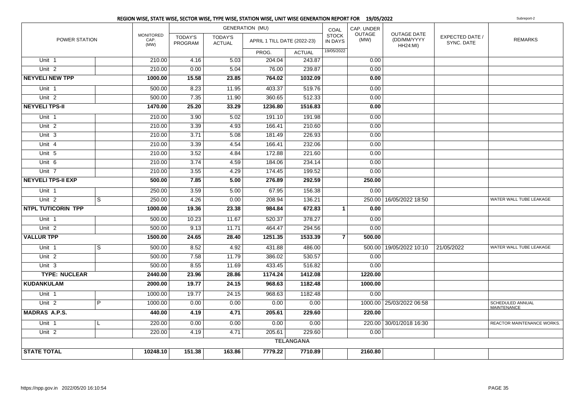|                           |                |                                  |                                  |                          | REGION WISE, STATE WISE, SECTOR WISE, TYPE WISE, STATION WISE, UNIT WISE GENERATION REPORT FOR 19/05/2022 |                  |                         |                       |                                                      |                               | Subreport-2                            |
|---------------------------|----------------|----------------------------------|----------------------------------|--------------------------|-----------------------------------------------------------------------------------------------------------|------------------|-------------------------|-----------------------|------------------------------------------------------|-------------------------------|----------------------------------------|
|                           |                |                                  |                                  |                          | <b>GENERATION (MU)</b>                                                                                    |                  | COAL                    | CAP. UNDER            |                                                      |                               |                                        |
| POWER STATION             |                | <b>MONITORED</b><br>CAP.<br>(MW) | <b>TODAY'S</b><br><b>PROGRAM</b> | TODAY'S<br><b>ACTUAL</b> | APRIL 1 TILL DATE (2022-23)                                                                               |                  | <b>STOCK</b><br>IN DAYS | <b>OUTAGE</b><br>(MW) | <b>OUTAGE DATE</b><br>(DD/MM/YYYY<br><b>HH24:MI)</b> | EXPECTED DATE /<br>SYNC. DATE | <b>REMARKS</b>                         |
|                           |                |                                  |                                  |                          | PROG.                                                                                                     | <b>ACTUAL</b>    | 19/05/2022              |                       |                                                      |                               |                                        |
| Unit 1                    |                | 210.00                           | 4.16                             | 5.03                     | 204.04                                                                                                    | 243.87           |                         | 0.00                  |                                                      |                               |                                        |
| Unit $2$                  |                | 210.00                           | 0.00                             | 5.04                     | 76.00                                                                                                     | 239.87           |                         | 0.00                  |                                                      |                               |                                        |
| <b>NEYVELI NEW TPP</b>    |                | 1000.00                          | 15.58                            | 23.85                    | 764.02                                                                                                    | 1032.09          |                         | 0.00                  |                                                      |                               |                                        |
| Unit <sub>1</sub>         |                | 500.00                           | 8.23                             | 11.95                    | 403.37                                                                                                    | 519.76           |                         | 0.00                  |                                                      |                               |                                        |
| Unit <sub>2</sub>         |                | 500.00                           | 7.35                             | 11.90                    | 360.65                                                                                                    | 512.33           |                         | 0.00                  |                                                      |                               |                                        |
| <b>NEYVELI TPS-II</b>     |                | 1470.00                          | 25.20                            | 33.29                    | 1236.80                                                                                                   | 1516.83          |                         | 0.00                  |                                                      |                               |                                        |
| Unit 1                    |                | 210.00                           | 3.90                             | 5.02                     | 191.10                                                                                                    | 191.98           |                         | 0.00                  |                                                      |                               |                                        |
| Unit <sub>2</sub>         |                | 210.00                           | 3.39                             | 4.93                     | 166.41                                                                                                    | 210.60           |                         | 0.00                  |                                                      |                               |                                        |
| Unit 3                    |                | 210.00                           | 3.71                             | 5.08                     | 181.49                                                                                                    | 226.93           |                         | 0.00                  |                                                      |                               |                                        |
| Unit 4                    |                | 210.00                           | 3.39                             | 4.54                     | 166.41                                                                                                    | 232.06           |                         | 0.00                  |                                                      |                               |                                        |
| Unit 5                    |                | 210.00                           | 3.52                             | 4.84                     | 172.88                                                                                                    | 221.60           |                         | 0.00                  |                                                      |                               |                                        |
| Unit 6                    |                | 210.00                           | 3.74                             | 4.59                     | 184.06                                                                                                    | 234.14           |                         | 0.00                  |                                                      |                               |                                        |
| Unit 7                    |                | 210.00                           | 3.55                             | 4.29                     | 174.45                                                                                                    | 199.52           |                         | 0.00                  |                                                      |                               |                                        |
| <b>NEYVELI TPS-II EXP</b> |                | 500.00                           | 7.85                             | 5.00                     | 276.89                                                                                                    | 292.59           |                         | 250.00                |                                                      |                               |                                        |
| Unit 1                    |                | 250.00                           | 3.59                             | 5.00                     | 67.95                                                                                                     | 156.38           |                         | 0.00                  |                                                      |                               |                                        |
| Unit <sub>2</sub>         | $\overline{s}$ | 250.00                           | 4.26                             | 0.00                     | 208.94                                                                                                    | 136.21           |                         |                       | 250.00   16/05/2022 18:50                            |                               | WATER WALL TUBE LEAKAGE                |
| <b>NTPL TUTICORIN TPP</b> |                | 1000.00                          | 19.36                            | 23.38                    | 984.84                                                                                                    | 672.83           | $\mathbf{1}$            | 0.00                  |                                                      |                               |                                        |
| Unit 1                    |                | 500.00                           | 10.23                            | 11.67                    | 520.37                                                                                                    | 378.27           |                         | 0.00                  |                                                      |                               |                                        |
| Unit <sub>2</sub>         |                | 500.00                           | 9.13                             | 11.71                    | 464.47                                                                                                    | 294.56           |                         | 0.00                  |                                                      |                               |                                        |
| <b>VALLUR TPP</b>         |                | 1500.00                          | 24.65                            | 28.40                    | 1251.35                                                                                                   | 1533.39          | $\overline{7}$          | 500.00                |                                                      |                               |                                        |
| Unit 1                    | $\overline{s}$ | 500.00                           | 8.52                             | 4.92                     | 431.88                                                                                                    | 486.00           |                         |                       | 500.00   19/05/2022 10:10                            | 21/05/2022                    | WATER WALL TUBE LEAKAGE                |
| Unit <sub>2</sub>         |                | 500.00                           | 7.58                             | 11.79                    | 386.02                                                                                                    | 530.57           |                         | 0.00                  |                                                      |                               |                                        |
| Unit 3                    |                | 500.00                           | 8.55                             | 11.69                    | 433.45                                                                                                    | 516.82           |                         | 0.00                  |                                                      |                               |                                        |
| <b>TYPE: NUCLEAR</b>      |                | 2440.00                          | 23.96                            | 28.86                    | 1174.24                                                                                                   | 1412.08          |                         | 1220.00               |                                                      |                               |                                        |
| <b>KUDANKULAM</b>         |                | 2000.00                          | 19.77                            | 24.15                    | 968.63                                                                                                    | 1182.48          |                         | 1000.00               |                                                      |                               |                                        |
| Unit 1                    |                | 1000.00                          | 19.77                            | 24.15                    | 968.63                                                                                                    | 1182.48          |                         | 0.00                  |                                                      |                               |                                        |
| Unit <sub>2</sub>         | P              | 1000.00                          | 0.00                             | 0.00                     | 0.00                                                                                                      | 0.00             |                         |                       | 1000.00 25/03/2022 06:58                             |                               | SCHEDULED ANNUAL<br><b>MAINTENANCE</b> |
| <b>MADRAS A.P.S.</b>      |                | 440.00                           | 4.19                             | 4.71                     | 205.61                                                                                                    | 229.60           |                         | 220.00                |                                                      |                               |                                        |
| Unit 1                    |                | 220.00                           | 0.00                             | 0.00                     | 0.00                                                                                                      | 0.00             |                         |                       | 220.00 30/01/2018 16:30                              |                               | REACTOR MAINTENANCE WORKS.             |
| Unit $2$                  |                | 220.00                           | 4.19                             | 4.71                     | 205.61                                                                                                    | 229.60           |                         | 0.00                  |                                                      |                               |                                        |
|                           |                |                                  |                                  |                          |                                                                                                           | <b>TELANGANA</b> |                         |                       |                                                      |                               |                                        |
| <b>STATE TOTAL</b>        |                | 10248.10                         | 151.38                           | 163.86                   | 7779.22                                                                                                   | 7710.89          |                         | 2160.80               |                                                      |                               |                                        |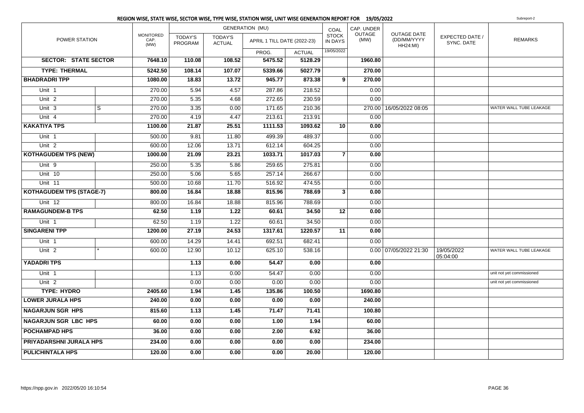|                                 |   |                                  |                           |                                 | <b>GENERATION (MU)</b>      |               | COAL                           | CAP. UNDER            |                                                      |                               |                           |
|---------------------------------|---|----------------------------------|---------------------------|---------------------------------|-----------------------------|---------------|--------------------------------|-----------------------|------------------------------------------------------|-------------------------------|---------------------------|
| <b>POWER STATION</b>            |   | <b>MONITORED</b><br>CAP.<br>(MW) | <b>TODAY'S</b><br>PROGRAM | <b>TODAY'S</b><br><b>ACTUAL</b> | APRIL 1 TILL DATE (2022-23) |               | <b>STOCK</b><br><b>IN DAYS</b> | <b>OUTAGE</b><br>(MW) | <b>OUTAGE DATE</b><br>(DD/MM/YYYY<br><b>HH24:MI)</b> | EXPECTED DATE /<br>SYNC. DATE | <b>REMARKS</b>            |
|                                 |   |                                  |                           |                                 | PROG.                       | <b>ACTUAL</b> | 19/05/2022                     |                       |                                                      |                               |                           |
| <b>SECTOR: STATE SECTOR</b>     |   | 7648.10                          | 110.08                    | 108.52                          | 5475.52                     | 5128.29       |                                | 1960.80               |                                                      |                               |                           |
| <b>TYPE: THERMAL</b>            |   | 5242.50                          | 108.14                    | 107.07                          | 5339.66                     | 5027.79       |                                | 270.00                |                                                      |                               |                           |
| <b>BHADRADRI TPP</b>            |   | 1080.00                          | 18.83                     | 13.72                           | 945.77                      | 873.38        | 9                              | 270.00                |                                                      |                               |                           |
| Unit 1                          |   | 270.00                           | 5.94                      | 4.57                            | 287.86                      | 218.52        |                                | 0.00                  |                                                      |                               |                           |
| Unit <sub>2</sub>               |   | 270.00                           | 5.35                      | 4.68                            | 272.65                      | 230.59        |                                | 0.00                  |                                                      |                               |                           |
| Unit 3                          | S | 270.00                           | 3.35                      | 0.00                            | 171.65                      | 210.36        |                                |                       | 270.00   16/05/2022 08:05                            |                               | WATER WALL TUBE LEAKAGE   |
| Unit 4                          |   | 270.00                           | 4.19                      | 4.47                            | 213.61                      | 213.91        |                                | 0.00                  |                                                      |                               |                           |
| <b>KAKATIYA TPS</b>             |   | 1100.00                          | 21.87                     | 25.51                           | 1111.53                     | 1093.62       | 10 <sup>1</sup>                | 0.00                  |                                                      |                               |                           |
| Unit 1                          |   | 500.00                           | 9.81                      | 11.80                           | 499.39                      | 489.37        |                                | 0.00                  |                                                      |                               |                           |
| Unit $2$                        |   | 600.00                           | 12.06                     | 13.71                           | 612.14                      | 604.25        |                                | 0.00                  |                                                      |                               |                           |
| <b>KOTHAGUDEM TPS (NEW)</b>     |   | 1000.00                          | 21.09                     | 23.21                           | 1033.71                     | 1017.03       | $\overline{7}$                 | 0.00                  |                                                      |                               |                           |
| Unit 9                          |   | 250.00                           | 5.35                      | 5.86                            | 259.65                      | 275.81        |                                | 0.00                  |                                                      |                               |                           |
| Unit 10                         |   | 250.00                           | 5.06                      | 5.65                            | 257.14                      | 266.67        |                                | 0.00                  |                                                      |                               |                           |
| Unit 11                         |   | 500.00                           | 10.68                     | 11.70                           | 516.92                      | 474.55        |                                | 0.00                  |                                                      |                               |                           |
| <b>KOTHAGUDEM TPS (STAGE-7)</b> |   | 800.00                           | 16.84                     | 18.88                           | 815.96                      | 788.69        | $\mathbf{3}$                   | 0.00                  |                                                      |                               |                           |
| Unit 12                         |   | 800.00                           | 16.84                     | 18.88                           | 815.96                      | 788.69        |                                | 0.00                  |                                                      |                               |                           |
| <b>RAMAGUNDEM-B TPS</b>         |   | 62.50                            | 1.19                      | 1.22                            | 60.61                       | 34.50         | 12                             | 0.00                  |                                                      |                               |                           |
| Unit 1                          |   | 62.50                            | 1.19                      | 1.22                            | 60.61                       | 34.50         |                                | 0.00                  |                                                      |                               |                           |
| <b>SINGARENI TPP</b>            |   | 1200.00                          | 27.19                     | 24.53                           | 1317.61                     | 1220.57       | 11                             | 0.00                  |                                                      |                               |                           |
| Unit 1                          |   | 600.00                           | 14.29                     | 14.41                           | 692.51                      | 682.41        |                                | 0.00                  |                                                      |                               |                           |
| Unit <sub>2</sub>               |   | 600.00                           | 12.90                     | 10.12                           | 625.10                      | 538.16        |                                |                       | $0.00$ 07/05/2022 21:30                              | 19/05/2022<br>05:04:00        | WATER WALL TUBE LEAKAGE   |
| <b>YADADRI TPS</b>              |   |                                  | 1.13                      | 0.00                            | 54.47                       | 0.00          |                                | 0.00                  |                                                      |                               |                           |
| Unit 1                          |   |                                  | 1.13                      | 0.00                            | 54.47                       | 0.00          |                                | 0.00                  |                                                      |                               | unit not yet commissioned |
| Unit <sub>2</sub>               |   |                                  | 0.00                      | 0.00                            | 0.00                        | 0.00          |                                | 0.00                  |                                                      |                               | unit not yet commissioned |
| <b>TYPE: HYDRO</b>              |   | 2405.60                          | 1.94                      | 1.45                            | 135.86                      | 100.50        |                                | 1690.80               |                                                      |                               |                           |
| <b>LOWER JURALA HPS</b>         |   | 240.00                           | 0.00                      | 0.00                            | 0.00                        | 0.00          |                                | 240.00                |                                                      |                               |                           |
| <b>NAGARJUN SGR HPS</b>         |   | 815.60                           | 1.13                      | 1.45                            | 71.47                       | 71.41         |                                | 100.80                |                                                      |                               |                           |
| <b>NAGARJUN SGR LBC HPS</b>     |   | 60.00                            | 0.00                      | 0.00                            | 1.00                        | 1.94          |                                | 60.00                 |                                                      |                               |                           |
| <b>POCHAMPAD HPS</b>            |   | 36.00                            | 0.00                      | 0.00                            | 2.00                        | 6.92          |                                | 36.00                 |                                                      |                               |                           |
| PRIYADARSHNI JURALA HPS         |   | 234.00                           | 0.00                      | 0.00                            | 0.00                        | 0.00          |                                | 234.00                |                                                      |                               |                           |
| <b>PULICHINTALA HPS</b>         |   | 120.00                           | 0.00                      | 0.00                            | 0.00                        | 20.00         |                                | 120.00                |                                                      |                               |                           |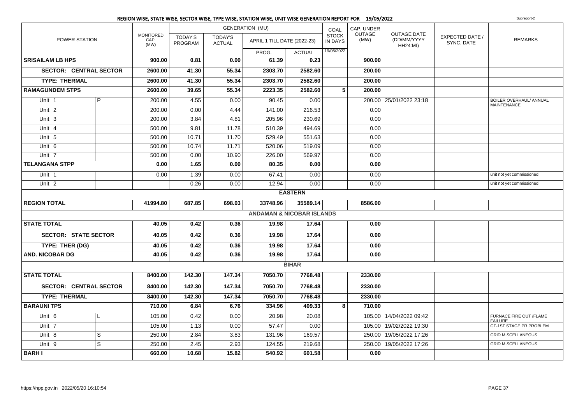|                               |                |                                  |                                  |                                 | REGION WISE, STATE WISE, SECTOR WISE, TYPE WISE, STATION WISE, UNIT WISE GENERATION REPORT FOR 19/05/2022 |                |                         |                       |                                               |                               | Subreport-2                                   |
|-------------------------------|----------------|----------------------------------|----------------------------------|---------------------------------|-----------------------------------------------------------------------------------------------------------|----------------|-------------------------|-----------------------|-----------------------------------------------|-------------------------------|-----------------------------------------------|
|                               |                |                                  |                                  |                                 | <b>GENERATION (MU)</b>                                                                                    |                | COAL                    | CAP. UNDER            |                                               |                               |                                               |
| POWER STATION                 |                | <b>MONITORED</b><br>CAP.<br>(MW) | <b>TODAY'S</b><br><b>PROGRAM</b> | <b>TODAY'S</b><br><b>ACTUAL</b> | APRIL 1 TILL DATE (2022-23)                                                                               |                | <b>STOCK</b><br>IN DAYS | <b>OUTAGE</b><br>(MW) | <b>OUTAGE DATE</b><br>(DD/MM/YYYY<br>HH24:MI) | EXPECTED DATE /<br>SYNC. DATE | <b>REMARKS</b>                                |
|                               |                |                                  |                                  |                                 | PROG.                                                                                                     | <b>ACTUAL</b>  | 19/05/2022              |                       |                                               |                               |                                               |
| <b>SRISAILAM LB HPS</b>       |                | 900.00                           | 0.81                             | 0.00                            | 61.39                                                                                                     | 0.23           |                         | 900.00                |                                               |                               |                                               |
| <b>SECTOR: CENTRAL SECTOR</b> |                | 2600.00                          | 41.30                            | 55.34                           | 2303.70                                                                                                   | 2582.60        |                         | 200.00                |                                               |                               |                                               |
| <b>TYPE: THERMAL</b>          |                | 2600.00                          | 41.30                            | 55.34                           | 2303.70                                                                                                   | 2582.60        |                         | 200.00                |                                               |                               |                                               |
| <b>RAMAGUNDEM STPS</b>        |                | 2600.00                          | 39.65                            | 55.34                           | 2223.35                                                                                                   | 2582.60        | $\overline{5}$          | 200.00                |                                               |                               |                                               |
| Unit 1                        | P              | 200.00                           | 4.55                             | 0.00                            | 90.45                                                                                                     | 0.00           |                         |                       | 200.00 25/01/2022 23:18                       |                               | BOILER OVERHAUL/ ANNUAL<br><b>MAINTENANCE</b> |
| Unit <sub>2</sub>             |                | 200.00                           | 0.00                             | 4.44                            | 141.00                                                                                                    | 216.53         |                         | 0.00                  |                                               |                               |                                               |
| Unit 3                        |                | 200.00                           | 3.84                             | 4.81                            | 205.96                                                                                                    | 230.69         |                         | 0.00                  |                                               |                               |                                               |
| Unit 4                        |                | 500.00                           | 9.81                             | 11.78                           | 510.39                                                                                                    | 494.69         |                         | 0.00                  |                                               |                               |                                               |
| Unit 5                        |                | 500.00                           | 10.71                            | 11.70                           | 529.49                                                                                                    | 551.63         |                         | 0.00                  |                                               |                               |                                               |
| Unit $6$                      |                | 500.00                           | 10.74                            | 11.71                           | 520.06                                                                                                    | 519.09         |                         | 0.00                  |                                               |                               |                                               |
| Unit <sub>7</sub>             |                | 500.00                           | 0.00                             | 10.90                           | 226.00                                                                                                    | 569.97         |                         | 0.00                  |                                               |                               |                                               |
| <b>TELANGANA STPP</b>         |                | 0.00                             | 1.65                             | 0.00                            | 80.35                                                                                                     | 0.00           |                         | 0.00                  |                                               |                               |                                               |
| Unit 1                        |                | 0.00                             | 1.39                             | 0.00                            | 67.41                                                                                                     | 0.00           |                         | 0.00                  |                                               |                               | unit not yet commissioned                     |
| Unit $2$                      |                |                                  | 0.26                             | 0.00                            | 12.94                                                                                                     | 0.00           |                         | 0.00                  |                                               |                               | unit not yet commissioned                     |
|                               |                |                                  |                                  |                                 |                                                                                                           | <b>EASTERN</b> |                         |                       |                                               |                               |                                               |
| <b>REGION TOTAL</b>           |                | 41994.80                         | 687.85                           | 698.03                          | 33748.96                                                                                                  | 35589.14       |                         | 8586.00               |                                               |                               |                                               |
|                               |                |                                  |                                  |                                 | <b>ANDAMAN &amp; NICOBAR ISLANDS</b>                                                                      |                |                         |                       |                                               |                               |                                               |
| <b>STATE TOTAL</b>            |                | 40.05                            | 0.42                             | 0.36                            | 19.98                                                                                                     | 17.64          |                         | 0.00                  |                                               |                               |                                               |
| <b>SECTOR: STATE SECTOR</b>   |                | 40.05                            | 0.42                             | 0.36                            | 19.98                                                                                                     | 17.64          |                         | 0.00                  |                                               |                               |                                               |
| TYPE: THER (DG)               |                | 40.05                            | 0.42                             | 0.36                            | 19.98                                                                                                     | 17.64          |                         | 0.00                  |                                               |                               |                                               |
| <b>AND. NICOBAR DG</b>        |                | 40.05                            | 0.42                             | 0.36                            | 19.98                                                                                                     | 17.64          |                         | 0.00                  |                                               |                               |                                               |
|                               |                |                                  |                                  |                                 |                                                                                                           | <b>BIHAR</b>   |                         |                       |                                               |                               |                                               |
| <b>STATE TOTAL</b>            |                | 8400.00                          | 142.30                           | 147.34                          | 7050.70                                                                                                   | 7768.48        |                         | 2330.00               |                                               |                               |                                               |
| <b>SECTOR: CENTRAL SECTOR</b> |                | 8400.00                          | 142.30                           | 147.34                          | 7050.70                                                                                                   | 7768.48        |                         | 2330.00               |                                               |                               |                                               |
| <b>TYPE: THERMAL</b>          |                | 8400.00                          | 142.30                           | 147.34                          | 7050.70                                                                                                   | 7768.48        |                         | 2330.00               |                                               |                               |                                               |
| <b>BARAUNI TPS</b>            |                | 710.00                           | 6.84                             | 6.76                            | 334.96                                                                                                    | 409.33         | 8                       | 710.00                |                                               |                               |                                               |
| Unit 6                        |                | 105.00                           | 0.42                             | 0.00                            | 20.98                                                                                                     | 20.08          |                         |                       | 105.00 14/04/2022 09:42                       |                               | FURNACE FIRE OUT /FLAME<br><b>FAILURE</b>     |
| Unit 7                        |                | 105.00                           | 1.13                             | 0.00                            | 57.47                                                                                                     | 0.00           |                         |                       | 105.00   19/02/2022 19:30                     |                               | GT-1ST STAGE PR PROBLEM                       |
| Unit 8                        | $\overline{s}$ | 250.00                           | 2.84                             | 3.83                            | 131.96                                                                                                    | 169.57         |                         |                       | 250.00 19/05/2022 17:26                       |                               | <b>GRID MISCELLANEOUS</b>                     |
| Unit 9                        | $\overline{s}$ | 250.00                           | 2.45                             | 2.93                            | 124.55                                                                                                    | 219.68         |                         |                       | 250.00 19/05/2022 17:26                       |                               | <b>GRID MISCELLANEOUS</b>                     |
| <b>BARHI</b>                  |                | 660.00                           | 10.68                            | 15.82                           | 540.92                                                                                                    | 601.58         |                         | 0.00                  |                                               |                               |                                               |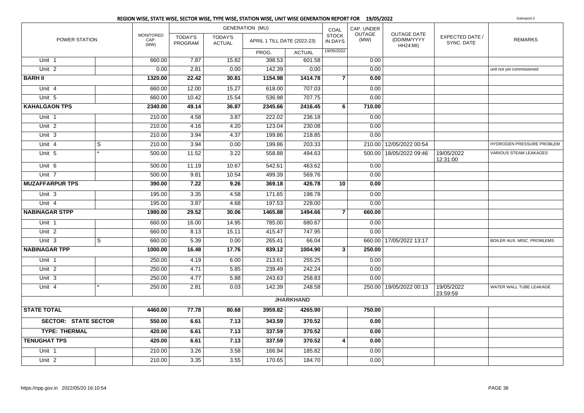|                             |                         |                                  |                           |                                 | REGION WISE, STATE WISE, SECTOR WISE, TYPE WISE, STATION WISE, UNIT WISE GENERATION REPORT FOR 19/05/2022 |                  |                                |                       |                                                      |                               | Subreport-2                   |
|-----------------------------|-------------------------|----------------------------------|---------------------------|---------------------------------|-----------------------------------------------------------------------------------------------------------|------------------|--------------------------------|-----------------------|------------------------------------------------------|-------------------------------|-------------------------------|
|                             |                         |                                  |                           |                                 | <b>GENERATION (MU)</b>                                                                                    |                  | COAL                           | CAP. UNDER            |                                                      |                               |                               |
| POWER STATION               |                         | <b>MONITORED</b><br>CAP.<br>(MW) | <b>TODAY'S</b><br>PROGRAM | <b>TODAY'S</b><br><b>ACTUAL</b> | APRIL 1 TILL DATE (2022-23)                                                                               |                  | <b>STOCK</b><br><b>IN DAYS</b> | <b>OUTAGE</b><br>(MW) | <b>OUTAGE DATE</b><br>(DD/MM/YYYY<br><b>HH24:MI)</b> | EXPECTED DATE /<br>SYNC. DATE | <b>REMARKS</b>                |
|                             |                         |                                  |                           |                                 | PROG.                                                                                                     | <b>ACTUAL</b>    | 19/05/2022                     |                       |                                                      |                               |                               |
| Unit 1                      |                         | 660.00                           | 7.87                      | 15.82                           | 398.53                                                                                                    | 601.58           |                                | 0.00                  |                                                      |                               |                               |
| Unit <sub>2</sub>           |                         | 0.00                             | 2.81                      | 0.00                            | 142.39                                                                                                    | 0.00             |                                | 0.00                  |                                                      |                               | unit not yet commissioned     |
| <b>BARH II</b>              |                         | 1320.00                          | 22.42                     | 30.81                           | 1154.98                                                                                                   | 1414.78          | $\overline{7}$                 | 0.00                  |                                                      |                               |                               |
| Unit 4                      |                         | 660.00                           | 12.00                     | 15.27                           | 618.00                                                                                                    | 707.03           |                                | 0.00                  |                                                      |                               |                               |
| Unit 5                      |                         | 660.00                           | 10.42                     | 15.54                           | 536.98                                                                                                    | 707.75           |                                | 0.00                  |                                                      |                               |                               |
| <b>KAHALGAON TPS</b>        |                         | 2340.00                          | 49.14                     | 36.87                           | 2345.66                                                                                                   | 2416.45          | 6                              | 710.00                |                                                      |                               |                               |
| Unit 1                      |                         | 210.00                           | 4.58                      | 3.87                            | 222.02                                                                                                    | 236.18           |                                | 0.00                  |                                                      |                               |                               |
| Unit 2                      |                         | 210.00                           | 4.16                      | 4.20                            | 123.04                                                                                                    | 230.08           |                                | 0.00                  |                                                      |                               |                               |
| Unit 3                      |                         | 210.00                           | 3.94                      | 4.37                            | 199.86                                                                                                    | 218.85           |                                | 0.00                  |                                                      |                               |                               |
| Unit 4                      | $\overline{\mathbf{s}}$ | 210.00                           | 3.94                      | 0.00                            | 199.86                                                                                                    | 203.33           |                                |                       | 210.00 12/05/2022 00:54                              |                               | HYDROGEN PRESSURE PROBLEM     |
| Unit 5                      |                         | 500.00                           | 11.52                     | 3.22                            | 558.88                                                                                                    | 494.63           |                                |                       | 500.00   18/05/2022 09:46                            | 19/05/2022<br>12:31:00        | <b>VARIOUS STEAM LEAKAGES</b> |
| Unit 6                      |                         | 500.00                           | 11.19                     | 10.67                           | 542.61                                                                                                    | 463.62           |                                | 0.00                  |                                                      |                               |                               |
| Unit 7                      |                         | 500.00                           | 9.81                      | 10.54                           | 499.39                                                                                                    | 569.76           |                                | 0.00                  |                                                      |                               |                               |
| <b>MUZAFFARPUR TPS</b>      |                         | 390.00                           | 7.22                      | 9.26                            | 369.18                                                                                                    | 426.78           | 10                             | 0.00                  |                                                      |                               |                               |
| Unit 3                      |                         | 195.00                           | 3.35                      | 4.58                            | 171.65                                                                                                    | 198.78           |                                | 0.00                  |                                                      |                               |                               |
| Unit 4                      |                         | 195.00                           | 3.87                      | 4.68                            | 197.53                                                                                                    | 228.00           |                                | 0.00                  |                                                      |                               |                               |
| <b>NABINAGAR STPP</b>       |                         | 1980.00                          | 29.52                     | 30.06                           | 1465.88                                                                                                   | 1494.66          | $\overline{7}$                 | 660.00                |                                                      |                               |                               |
| Unit 1                      |                         | 660.00                           | 16.00                     | 14.95                           | 785.00                                                                                                    | 680.67           |                                | 0.00                  |                                                      |                               |                               |
| Unit 2                      |                         | 660.00                           | 8.13                      | 15.11                           | 415.47                                                                                                    | 747.95           |                                | 0.00                  |                                                      |                               |                               |
| Unit 3                      | S                       | 660.00                           | 5.39                      | 0.00                            | 265.41                                                                                                    | 66.04            |                                |                       | 660.00 17/05/2022 13:17                              |                               | BOILER AUX. MISC. PROMLEMS    |
| <b>NABINAGAR TPP</b>        |                         | 1000.00                          | 16.48                     | 17.76                           | 839.12                                                                                                    | 1004.90          | $\mathbf{3}$                   | 250.00                |                                                      |                               |                               |
| Unit 1                      |                         | 250.00                           | 4.19                      | 6.00                            | 213.61                                                                                                    | 255.25           |                                | 0.00                  |                                                      |                               |                               |
| Unit <sub>2</sub>           |                         | 250.00                           | 4.71                      | 5.85                            | 239.49                                                                                                    | 242.24           |                                | 0.00                  |                                                      |                               |                               |
| Unit 3                      |                         | 250.00                           | 4.77                      | 5.88                            | 243.63                                                                                                    | 258.83           |                                | 0.00                  |                                                      |                               |                               |
| Unit 4                      |                         | 250.00                           | 2.81                      | 0.03                            | 142.39                                                                                                    | 248.58           |                                |                       | 250.00 19/05/2022 00:13                              | 19/05/2022<br>23:59:59        | WATER WALL TUBE LEAKAGE       |
|                             |                         |                                  |                           |                                 |                                                                                                           | <b>JHARKHAND</b> |                                |                       |                                                      |                               |                               |
| <b>STATE TOTAL</b>          |                         | 4460.00                          | 77.78                     | 80.68                           | 3959.82                                                                                                   | 4265.90          |                                | 750.00                |                                                      |                               |                               |
| <b>SECTOR: STATE SECTOR</b> |                         | 550.00                           | 6.61                      | 7.13                            | 343.59                                                                                                    | 370.52           |                                | 0.00                  |                                                      |                               |                               |
| <b>TYPE: THERMAL</b>        |                         | 420.00                           | 6.61                      | 7.13                            | 337.59                                                                                                    | 370.52           |                                | 0.00                  |                                                      |                               |                               |
| <b>TENUGHAT TPS</b>         |                         | 420.00                           | 6.61                      | 7.13                            | 337.59                                                                                                    | 370.52           | 4                              | 0.00                  |                                                      |                               |                               |
| Unit 1                      |                         | 210.00                           | 3.26                      | 3.58                            | 166.94                                                                                                    | 185.82           |                                | 0.00                  |                                                      |                               |                               |
| $\overline{Unit}$ 2         |                         | 210.00                           | 3.35                      | 3.55                            | 170.65                                                                                                    | 184.70           |                                | 0.00                  |                                                      |                               |                               |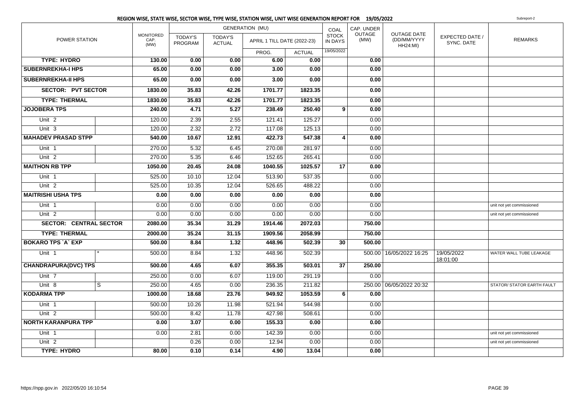|                               |   |                                  |                    |                                 | <b>GENERATION (MU)</b>      |               | COAL                           | CAP. UNDER     |                                               |                               |                            |
|-------------------------------|---|----------------------------------|--------------------|---------------------------------|-----------------------------|---------------|--------------------------------|----------------|-----------------------------------------------|-------------------------------|----------------------------|
| <b>POWER STATION</b>          |   | <b>MONITORED</b><br>CAP.<br>(MW) | TODAY'S<br>PROGRAM | <b>TODAY'S</b><br><b>ACTUAL</b> | APRIL 1 TILL DATE (2022-23) |               | <b>STOCK</b><br><b>IN DAYS</b> | OUTAGE<br>(MW) | OUTAGE DATE<br>(DD/MM/YYYY<br><b>HH24:MI)</b> | EXPECTED DATE /<br>SYNC. DATE | <b>REMARKS</b>             |
|                               |   |                                  |                    |                                 | PROG.                       | <b>ACTUAL</b> | 19/05/2022                     |                |                                               |                               |                            |
| <b>TYPE: HYDRO</b>            |   | 130.00                           | 0.00               | 0.00                            | 6.00                        | 0.00          |                                | 0.00           |                                               |                               |                            |
| <b>SUBERNREKHA-I HPS</b>      |   | 65.00                            | 0.00               | 0.00                            | 3.00                        | 0.00          |                                | 0.00           |                                               |                               |                            |
| <b>SUBERNREKHA-II HPS</b>     |   | 65.00                            | 0.00               | 0.00                            | 3.00                        | 0.00          |                                | 0.00           |                                               |                               |                            |
| <b>SECTOR: PVT SECTOR</b>     |   | 1830.00                          | 35.83              | 42.26                           | 1701.77                     | 1823.35       |                                | 0.00           |                                               |                               |                            |
| <b>TYPE: THERMAL</b>          |   | 1830.00                          | 35.83              | 42.26                           | 1701.77                     | 1823.35       |                                | 0.00           |                                               |                               |                            |
| <b>JOJOBERA TPS</b>           |   | 240.00                           | 4.71               | 5.27                            | 238.49                      | 250.40        | 9 <sup>1</sup>                 | 0.00           |                                               |                               |                            |
| Unit <sub>2</sub>             |   | 120.00                           | 2.39               | 2.55                            | 121.41                      | 125.27        |                                | 0.00           |                                               |                               |                            |
| Unit $3$                      |   | 120.00                           | 2.32               | 2.72                            | 117.08                      | 125.13        |                                | 0.00           |                                               |                               |                            |
| <b>MAHADEV PRASAD STPP</b>    |   | 540.00                           | 10.67              | 12.91                           | 422.73                      | 547.38        | 4                              | 0.00           |                                               |                               |                            |
| Unit <sub>1</sub>             |   | 270.00                           | 5.32               | 6.45                            | 270.08                      | 281.97        |                                | 0.00           |                                               |                               |                            |
| Unit <sub>2</sub>             |   | 270.00                           | 5.35               | 6.46                            | 152.65                      | 265.41        |                                | 0.00           |                                               |                               |                            |
| <b>MAITHON RB TPP</b>         |   | 1050.00                          | 20.45              | 24.08                           | 1040.55                     | 1025.57       | 17                             | 0.00           |                                               |                               |                            |
| Unit 1                        |   | 525.00                           | 10.10              | 12.04                           | 513.90                      | 537.35        |                                | 0.00           |                                               |                               |                            |
| Unit <sub>2</sub>             |   | 525.00                           | 10.35              | 12.04                           | 526.65                      | 488.22        |                                | 0.00           |                                               |                               |                            |
| <b>MAITRISHI USHA TPS</b>     |   | 0.00                             | 0.00               | 0.00                            | 0.00                        | 0.00          |                                | 0.00           |                                               |                               |                            |
| Unit 1                        |   | 0.00                             | 0.00               | 0.00                            | 0.00                        | 0.00          |                                | 0.00           |                                               |                               | unit not yet commissioned  |
| Unit <sub>2</sub>             |   | 0.00                             | 0.00               | 0.00                            | 0.00                        | 0.00          |                                | 0.00           |                                               |                               | unit not yet commissioned  |
| <b>SECTOR: CENTRAL SECTOR</b> |   | 2080.00                          | 35.34              | 31.29                           | 1914.46                     | 2072.03       |                                | 750.00         |                                               |                               |                            |
| <b>TYPE: THERMAL</b>          |   | 2000.00                          | 35.24              | 31.15                           | 1909.56                     | 2058.99       |                                | 750.00         |                                               |                               |                            |
| <b>BOKARO TPS `A` EXP</b>     |   | 500.00                           | 8.84               | 1.32                            | 448.96                      | 502.39        | 30 <sup>1</sup>                | 500.00         |                                               |                               |                            |
| Unit <sub>1</sub>             |   | 500.00                           | 8.84               | 1.32                            | 448.96                      | 502.39        |                                |                | 500.00   16/05/2022 16:25                     | 19/05/2022<br>18:01:00        | WATER WALL TUBE LEAKAGE    |
| <b>CHANDRAPURA(DVC) TPS</b>   |   | 500.00                           | 4.65               | 6.07                            | 355.35                      | 503.01        | 37                             | 250.00         |                                               |                               |                            |
| Unit 7                        |   | 250.00                           | 0.00               | 6.07                            | 119.00                      | 291.19        |                                | 0.00           |                                               |                               |                            |
| Unit 8                        | S | 250.00                           | 4.65               | 0.00                            | 236.35                      | 211.82        |                                |                | 250.00 06/05/2022 20:32                       |                               | STATOR/ STATOR EARTH FAULT |
| <b>KODARMA TPP</b>            |   | 1000.00                          | 18.68              | 23.76                           | 949.92                      | 1053.59       | 6                              | 0.00           |                                               |                               |                            |
| Unit 1                        |   | 500.00                           | 10.26              | 11.98                           | 521.94                      | 544.98        |                                | 0.00           |                                               |                               |                            |
| Unit <sub>2</sub>             |   | 500.00                           | 8.42               | 11.78                           | 427.98                      | 508.61        |                                | 0.00           |                                               |                               |                            |
| <b>NORTH KARANPURA TPP</b>    |   | 0.00                             | 3.07               | 0.00                            | 155.33                      | 0.00          |                                | 0.00           |                                               |                               |                            |
| Unit 1                        |   | 0.00                             | 2.81               | 0.00                            | 142.39                      | 0.00          |                                | 0.00           |                                               |                               | unit not yet commissioned  |
| Unit <sub>2</sub>             |   |                                  | 0.26               | 0.00                            | 12.94                       | 0.00          |                                | 0.00           |                                               |                               | unit not yet commissioned  |
| <b>TYPE: HYDRO</b>            |   | 80.00                            | 0.10               | 0.14                            | 4.90                        | 13.04         |                                | 0.00           |                                               |                               |                            |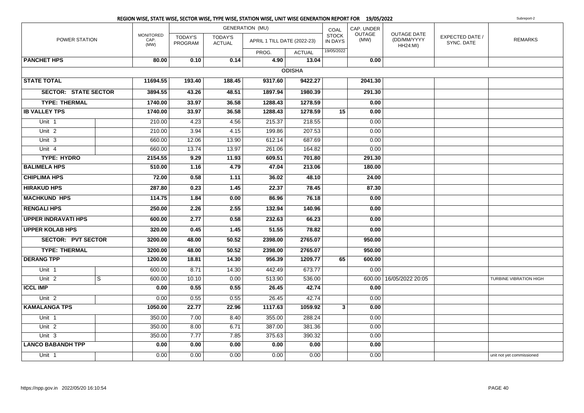|                             |                |                                  |                                  |                                 | REGION WISE, STATE WISE, SECTOR WISE, TYPE WISE, STATION WISE, UNIT WISE GENERATION REPORT FOR 19/05/2022 |               |                         |                       |                                                      |                               | Subreport-2               |
|-----------------------------|----------------|----------------------------------|----------------------------------|---------------------------------|-----------------------------------------------------------------------------------------------------------|---------------|-------------------------|-----------------------|------------------------------------------------------|-------------------------------|---------------------------|
|                             |                |                                  |                                  |                                 | <b>GENERATION (MU)</b>                                                                                    |               | COAL                    | CAP. UNDER            |                                                      |                               |                           |
| POWER STATION               |                | <b>MONITORED</b><br>CAP.<br>(MW) | <b>TODAY'S</b><br><b>PROGRAM</b> | <b>TODAY'S</b><br><b>ACTUAL</b> | APRIL 1 TILL DATE (2022-23)                                                                               |               | <b>STOCK</b><br>IN DAYS | <b>OUTAGE</b><br>(MW) | <b>OUTAGE DATE</b><br>(DD/MM/YYYY<br><b>HH24:MI)</b> | EXPECTED DATE /<br>SYNC. DATE | <b>REMARKS</b>            |
|                             |                |                                  |                                  |                                 | PROG.                                                                                                     | <b>ACTUAL</b> | 19/05/2022              |                       |                                                      |                               |                           |
| <b>PANCHET HPS</b>          |                | 80.00                            | 0.10                             | 0.14                            | 4.90                                                                                                      | 13.04         |                         | 0.00                  |                                                      |                               |                           |
|                             |                |                                  |                                  |                                 |                                                                                                           | <b>ODISHA</b> |                         |                       |                                                      |                               |                           |
| <b>STATE TOTAL</b>          |                | 11694.55                         | 193.40                           | 188.45                          | 9317.60                                                                                                   | 9422.27       |                         | 2041.30               |                                                      |                               |                           |
| <b>SECTOR: STATE SECTOR</b> |                | 3894.55                          | 43.26                            | 48.51                           | 1897.94                                                                                                   | 1980.39       |                         | 291.30                |                                                      |                               |                           |
| <b>TYPE: THERMAL</b>        |                | 1740.00                          | 33.97                            | 36.58                           | 1288.43                                                                                                   | 1278.59       |                         | 0.00                  |                                                      |                               |                           |
| <b>IB VALLEY TPS</b>        |                | 1740.00                          | 33.97                            | 36.58                           | 1288.43                                                                                                   | 1278.59       | 15                      | 0.00                  |                                                      |                               |                           |
| Unit 1                      |                | 210.00                           | 4.23                             | 4.56                            | 215.37                                                                                                    | 218.55        |                         | 0.00                  |                                                      |                               |                           |
| Unit <sub>2</sub>           |                | 210.00                           | 3.94                             | 4.15                            | 199.86                                                                                                    | 207.53        |                         | 0.00                  |                                                      |                               |                           |
| Unit 3                      |                | 660.00                           | 12.06                            | 13.90                           | 612.14                                                                                                    | 687.69        |                         | 0.00                  |                                                      |                               |                           |
| Unit 4                      |                | 660.00                           | 13.74                            | 13.97                           | 261.06                                                                                                    | 164.82        |                         | 0.00                  |                                                      |                               |                           |
| <b>TYPE: HYDRO</b>          |                | 2154.55                          | 9.29                             | 11.93                           | 609.51                                                                                                    | 701.80        |                         | 291.30                |                                                      |                               |                           |
| <b>BALIMELA HPS</b>         |                | 510.00                           | 1.16                             | 4.79                            | 47.04                                                                                                     | 213.06        |                         | 180.00                |                                                      |                               |                           |
| <b>CHIPLIMA HPS</b>         |                | 72.00                            | 0.58                             | 1.11                            | 36.02                                                                                                     | 48.10         |                         | 24.00                 |                                                      |                               |                           |
| <b>HIRAKUD HPS</b>          |                | 287.80                           | 0.23                             | 1.45                            | 22.37                                                                                                     | 78.45         |                         | 87.30                 |                                                      |                               |                           |
| <b>MACHKUND HPS</b>         |                | 114.75                           | 1.84                             | 0.00                            | 86.96                                                                                                     | 76.18         |                         | 0.00                  |                                                      |                               |                           |
| <b>RENGALI HPS</b>          |                | 250.00                           | 2.26                             | 2.55                            | 132.94                                                                                                    | 140.96        |                         | 0.00                  |                                                      |                               |                           |
| <b>UPPER INDRAVATI HPS</b>  |                | 600.00                           | 2.77                             | 0.58                            | 232.63                                                                                                    | 66.23         |                         | 0.00                  |                                                      |                               |                           |
| <b>UPPER KOLAB HPS</b>      |                | 320.00                           | 0.45                             | 1.45                            | 51.55                                                                                                     | 78.82         |                         | 0.00                  |                                                      |                               |                           |
| <b>SECTOR: PVT SECTOR</b>   |                | 3200.00                          | 48.00                            | 50.52                           | 2398.00                                                                                                   | 2765.07       |                         | 950.00                |                                                      |                               |                           |
| <b>TYPE: THERMAL</b>        |                | 3200.00                          | 48.00                            | 50.52                           | 2398.00                                                                                                   | 2765.07       |                         | 950.00                |                                                      |                               |                           |
| <b>DERANG TPP</b>           |                | 1200.00                          | 18.81                            | 14.30                           | 956.39                                                                                                    | 1209.77       | 65                      | 600.00                |                                                      |                               |                           |
| Unit 1                      |                | 600.00                           | 8.71                             | 14.30                           | 442.49                                                                                                    | 673.77        |                         | 0.00                  |                                                      |                               |                           |
| Unit 2                      | $\overline{s}$ | 600.00                           | 10.10                            | 0.00                            | 513.90                                                                                                    | 536.00        |                         |                       | 600.00 16/05/2022 20:05                              |                               | TURBINE VIBRATION HIGH    |
| <b>ICCL IMP</b>             |                | 0.00                             | 0.55                             | 0.55                            | 26.45                                                                                                     | 42.74         |                         | 0.00                  |                                                      |                               |                           |
| Unit <sub>2</sub>           |                | 0.00                             | 0.55                             | 0.55                            | 26.45                                                                                                     | 42.74         |                         | 0.00                  |                                                      |                               |                           |
| <b>KAMALANGA TPS</b>        |                | 1050.00                          | 22.77                            | 22.96                           | 1117.63                                                                                                   | 1059.92       | 3                       | 0.00                  |                                                      |                               |                           |
| Unit 1                      |                | 350.00                           | 7.00                             | 8.40                            | 355.00                                                                                                    | 288.24        |                         | 0.00                  |                                                      |                               |                           |
| Unit 2                      |                | 350.00                           | 8.00                             | 6.71                            | 387.00                                                                                                    | 381.36        |                         | 0.00                  |                                                      |                               |                           |
| Unit 3                      |                | 350.00                           | 7.77                             | 7.85                            | 375.63                                                                                                    | 390.32        |                         | 0.00                  |                                                      |                               |                           |
| <b>LANCO BABANDH TPP</b>    |                | 0.00                             | 0.00                             | 0.00                            | 0.00                                                                                                      | 0.00          |                         | 0.00                  |                                                      |                               |                           |
| Unit 1                      |                | 0.00                             | 0.00                             | 0.00                            | 0.00                                                                                                      | 0.00          |                         | 0.00                  |                                                      |                               | unit not yet commissioned |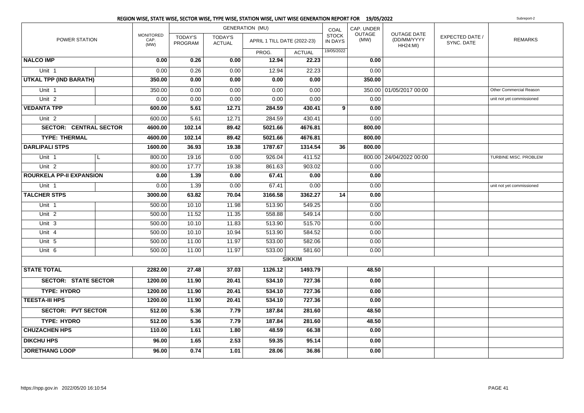|                                 |   |                                  |                           |                                 | REGION WISE, STATE WISE, SECTOR WISE, TYPE WISE, STATION WISE, UNIT WISE GENERATION REPORT FOR 19/05/2022 |               |                                |                |                                                      |                               | Subreport-2               |
|---------------------------------|---|----------------------------------|---------------------------|---------------------------------|-----------------------------------------------------------------------------------------------------------|---------------|--------------------------------|----------------|------------------------------------------------------|-------------------------------|---------------------------|
|                                 |   |                                  |                           |                                 | <b>GENERATION (MU)</b>                                                                                    |               | COAL                           | CAP. UNDER     |                                                      |                               |                           |
| POWER STATION                   |   | <b>MONITORED</b><br>CAP.<br>(MW) | TODAY'S<br><b>PROGRAM</b> | <b>TODAY'S</b><br><b>ACTUAL</b> | APRIL 1 TILL DATE (2022-23)                                                                               |               | <b>STOCK</b><br><b>IN DAYS</b> | OUTAGE<br>(MW) | <b>OUTAGE DATE</b><br>(DD/MM/YYYY<br><b>HH24:MI)</b> | EXPECTED DATE /<br>SYNC. DATE | <b>REMARKS</b>            |
|                                 |   |                                  |                           |                                 | PROG.                                                                                                     | <b>ACTUAL</b> | 19/05/2022                     |                |                                                      |                               |                           |
| <b>NALCO IMP</b>                |   | 0.00                             | 0.26                      | 0.00                            | 12.94                                                                                                     | 22.23         |                                | 0.00           |                                                      |                               |                           |
| Unit 1                          |   | 0.00                             | 0.26                      | 0.00                            | 12.94                                                                                                     | 22.23         |                                | 0.00           |                                                      |                               |                           |
| <b>UTKAL TPP (IND BARATH)</b>   |   | 350.00                           | 0.00                      | 0.00                            | 0.00                                                                                                      | 0.00          |                                | 350.00         |                                                      |                               |                           |
| Unit 1                          |   | 350.00                           | 0.00                      | 0.00                            | 0.00                                                                                                      | 0.00          |                                |                | 350.00 01/05/2017 00:00                              |                               | Other Commercial Reason   |
| Unit $2$                        |   | 0.00                             | 0.00                      | 0.00                            | 0.00                                                                                                      | 0.00          |                                | 0.00           |                                                      |                               | unit not yet commissioned |
| <b>VEDANTA TPP</b>              |   | 600.00                           | 5.61                      | 12.71                           | 284.59                                                                                                    | 430.41        | 9                              | 0.00           |                                                      |                               |                           |
| Unit <sub>2</sub>               |   | 600.00                           | 5.61                      | 12.71                           | 284.59                                                                                                    | 430.41        |                                | 0.00           |                                                      |                               |                           |
| <b>SECTOR: CENTRAL SECTOR</b>   |   | 4600.00                          | 102.14                    | 89.42                           | 5021.66                                                                                                   | 4676.81       |                                | 800.00         |                                                      |                               |                           |
| <b>TYPE: THERMAL</b>            |   | 4600.00                          | 102.14                    | 89.42                           | 5021.66                                                                                                   | 4676.81       |                                | 800.00         |                                                      |                               |                           |
| <b>DARLIPALI STPS</b>           |   | 1600.00                          | 36.93                     | 19.38                           | 1787.67                                                                                                   | 1314.54       | 36                             | 800.00         |                                                      |                               |                           |
| Unit 1                          | L | 800.00                           | 19.16                     | 0.00                            | 926.04                                                                                                    | 411.52        |                                |                | 800.00 24/04/2022 00:00                              |                               | TURBINE MISC. PROBLEM     |
| Unit 2                          |   | 800.00                           | 17.77                     | 19.38                           | 861.63                                                                                                    | 903.02        |                                | 0.00           |                                                      |                               |                           |
| <b>ROURKELA PP-II EXPANSION</b> |   | 0.00                             | 1.39                      | 0.00                            | 67.41                                                                                                     | 0.00          |                                | 0.00           |                                                      |                               |                           |
| Unit <sub>1</sub>               |   | 0.00                             | 1.39                      | 0.00                            | 67.41                                                                                                     | 0.00          |                                | 0.00           |                                                      |                               | unit not yet commissioned |
| <b>TALCHER STPS</b>             |   | 3000.00                          | 63.82                     | 70.04                           | 3166.58                                                                                                   | 3362.27       | 14                             | 0.00           |                                                      |                               |                           |
| Unit 1                          |   | 500.00                           | 10.10                     | 11.98                           | 513.90                                                                                                    | 549.25        |                                | 0.00           |                                                      |                               |                           |
| Unit $2$                        |   | 500.00                           | 11.52                     | 11.35                           | 558.88                                                                                                    | 549.14        |                                | 0.00           |                                                      |                               |                           |
| Unit 3                          |   | 500.00                           | 10.10                     | 11.83                           | 513.90                                                                                                    | 515.70        |                                | 0.00           |                                                      |                               |                           |
| Unit 4                          |   | 500.00                           | 10.10                     | 10.94                           | 513.90                                                                                                    | 584.52        |                                | 0.00           |                                                      |                               |                           |
| Unit 5                          |   | 500.00                           | 11.00                     | 11.97                           | 533.00                                                                                                    | 582.06        |                                | 0.00           |                                                      |                               |                           |
| Unit 6                          |   | 500.00                           | 11.00                     | 11.97                           | 533.00                                                                                                    | 581.60        |                                | 0.00           |                                                      |                               |                           |
|                                 |   |                                  |                           |                                 |                                                                                                           | <b>SIKKIM</b> |                                |                |                                                      |                               |                           |
| <b>STATE TOTAL</b>              |   | 2282.00                          | 27.48                     | 37.03                           | 1126.12                                                                                                   | 1493.79       |                                | 48.50          |                                                      |                               |                           |
| <b>SECTOR: STATE SECTOR</b>     |   | 1200.00                          | 11.90                     | 20.41                           | 534.10                                                                                                    | 727.36        |                                | 0.00           |                                                      |                               |                           |
| <b>TYPE: HYDRO</b>              |   | 1200.00                          | 11.90                     | 20.41                           | 534.10                                                                                                    | 727.36        |                                | 0.00           |                                                      |                               |                           |
| <b>TEESTA-III HPS</b>           |   | 1200.00                          | 11.90                     | 20.41                           | 534.10                                                                                                    | 727.36        |                                | 0.00           |                                                      |                               |                           |
| <b>SECTOR: PVT SECTOR</b>       |   | 512.00                           | 5.36                      | 7.79                            | 187.84                                                                                                    | 281.60        |                                | 48.50          |                                                      |                               |                           |
| <b>TYPE: HYDRO</b>              |   | 512.00                           | 5.36                      | 7.79                            | 187.84                                                                                                    | 281.60        |                                | 48.50          |                                                      |                               |                           |
| <b>CHUZACHEN HPS</b>            |   | 110.00                           | 1.61                      | 1.80                            | 48.59                                                                                                     | 66.38         |                                | 0.00           |                                                      |                               |                           |
| <b>DIKCHU HPS</b>               |   | 96.00                            | 1.65                      | 2.53                            | 59.35                                                                                                     | 95.14         |                                | 0.00           |                                                      |                               |                           |
| <b>JORETHANG LOOP</b>           |   | 96.00                            | 0.74                      | 1.01                            | 28.06                                                                                                     | 36.86         |                                | 0.00           |                                                      |                               |                           |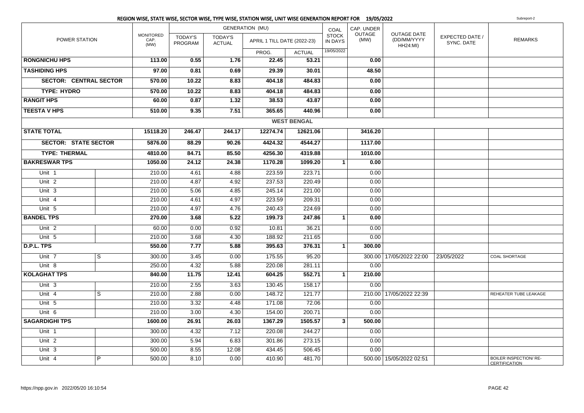|                               |                |                                  |                           |                                 | REGION WISE, STATE WISE, SECTOR WISE, TYPE WISE, STATION WISE, UNIT WISE GENERATION REPORT FOR 19/05/2022 |                    |                                |                       |                                        |                               | Subreport-2                                           |
|-------------------------------|----------------|----------------------------------|---------------------------|---------------------------------|-----------------------------------------------------------------------------------------------------------|--------------------|--------------------------------|-----------------------|----------------------------------------|-------------------------------|-------------------------------------------------------|
|                               |                |                                  |                           |                                 | <b>GENERATION (MU)</b>                                                                                    |                    | COAL                           | CAP. UNDER            |                                        |                               |                                                       |
| POWER STATION                 |                | <b>MONITORED</b><br>CAP.<br>(MW) | <b>TODAY'S</b><br>PROGRAM | <b>TODAY'S</b><br><b>ACTUAL</b> | APRIL 1 TILL DATE (2022-23)                                                                               |                    | <b>STOCK</b><br><b>IN DAYS</b> | <b>OUTAGE</b><br>(MW) | OUTAGE DATE<br>(DD/MM/YYYY<br>HH24:MI) | EXPECTED DATE /<br>SYNC. DATE | <b>REMARKS</b>                                        |
|                               |                |                                  |                           |                                 | PROG.                                                                                                     | <b>ACTUAL</b>      | 19/05/2022                     |                       |                                        |                               |                                                       |
| <b>RONGNICHU HPS</b>          |                | 113.00                           | 0.55                      | 1.76                            | 22.45                                                                                                     | 53.21              |                                | 0.00                  |                                        |                               |                                                       |
| <b>TASHIDING HPS</b>          |                | 97.00                            | 0.81                      | 0.69                            | 29.39                                                                                                     | 30.01              |                                | 48.50                 |                                        |                               |                                                       |
| <b>SECTOR: CENTRAL SECTOR</b> |                | 570.00                           | 10.22                     | 8.83                            | 404.18                                                                                                    | 484.83             |                                | 0.00                  |                                        |                               |                                                       |
| <b>TYPE: HYDRO</b>            |                | 570.00                           | 10.22                     | 8.83                            | 404.18                                                                                                    | 484.83             |                                | 0.00                  |                                        |                               |                                                       |
| <b>RANGIT HPS</b>             |                | 60.00                            | 0.87                      | 1.32                            | 38.53                                                                                                     | 43.87              |                                | 0.00                  |                                        |                               |                                                       |
| <b>TEESTA V HPS</b>           |                | 510.00                           | 9.35                      | 7.51                            | 365.65                                                                                                    | 440.96             |                                | 0.00                  |                                        |                               |                                                       |
|                               |                |                                  |                           |                                 |                                                                                                           | <b>WEST BENGAL</b> |                                |                       |                                        |                               |                                                       |
| <b>STATE TOTAL</b>            |                | 15118.20                         | 246.47                    | 244.17                          | 12274.74                                                                                                  | 12621.06           |                                | 3416.20               |                                        |                               |                                                       |
| <b>SECTOR: STATE SECTOR</b>   |                | 5876.00                          | 88.29                     | 90.26                           | 4424.32                                                                                                   | 4544.27            |                                | 1117.00               |                                        |                               |                                                       |
| <b>TYPE: THERMAL</b>          |                | 4810.00                          | 84.71                     | 85.50                           | 4256.30                                                                                                   | 4319.88            |                                | 1010.00               |                                        |                               |                                                       |
| <b>BAKRESWAR TPS</b>          |                | 1050.00                          | 24.12                     | 24.38                           | 1170.28                                                                                                   | 1099.20            | $\mathbf{1}$                   | 0.00                  |                                        |                               |                                                       |
| Unit 1                        |                | 210.00                           | 4.61                      | 4.88                            | 223.59                                                                                                    | 223.71             |                                | 0.00                  |                                        |                               |                                                       |
| Unit <sub>2</sub>             |                | 210.00                           | 4.87                      | 4.92                            | 237.53                                                                                                    | 220.49             |                                | 0.00                  |                                        |                               |                                                       |
| Unit 3                        |                | 210.00                           | 5.06                      | 4.85                            | 245.14                                                                                                    | 221.00             |                                | 0.00                  |                                        |                               |                                                       |
| Unit 4                        |                | 210.00                           | 4.61                      | 4.97                            | 223.59                                                                                                    | 209.31             |                                | 0.00                  |                                        |                               |                                                       |
| Unit 5                        |                | 210.00                           | 4.97                      | 4.76                            | 240.43                                                                                                    | 224.69             |                                | 0.00                  |                                        |                               |                                                       |
| <b>BANDEL TPS</b>             |                | 270.00                           | 3.68                      | 5.22                            | 199.73                                                                                                    | 247.86             | $\mathbf{1}$                   | 0.00                  |                                        |                               |                                                       |
| Unit <sub>2</sub>             |                | 60.00                            | 0.00                      | 0.92                            | 10.81                                                                                                     | 36.21              |                                | 0.00                  |                                        |                               |                                                       |
| Unit 5                        |                | 210.00                           | 3.68                      | 4.30                            | 188.92                                                                                                    | 211.65             |                                | 0.00                  |                                        |                               |                                                       |
| D.P.L. TPS                    |                | 550.00                           | 7.77                      | 5.88                            | 395.63                                                                                                    | 376.31             | $\mathbf{1}$                   | 300.00                |                                        |                               |                                                       |
| Unit 7                        | S              | 300.00                           | 3.45                      | 0.00                            | 175.55                                                                                                    | 95.20              |                                |                       | 300.00   17/05/2022 22:00              | 23/05/2022                    | <b>COAL SHORTAGE</b>                                  |
| Unit 8                        |                | 250.00                           | 4.32                      | 5.88                            | 220.08                                                                                                    | 281.11             |                                | 0.00                  |                                        |                               |                                                       |
| <b>KOLAGHAT TPS</b>           |                | 840.00                           | 11.75                     | 12.41                           | 604.25                                                                                                    | 552.71             | $\mathbf{1}$                   | 210.00                |                                        |                               |                                                       |
| Unit 3                        |                | 210.00                           | 2.55                      | 3.63                            | 130.45                                                                                                    | 158.17             |                                | 0.00                  |                                        |                               |                                                       |
| Unit 4                        | $\overline{s}$ | 210.00                           | 2.88                      | 0.00                            | 148.72                                                                                                    | 121.77             |                                |                       | 210.00   17/05/2022 22:39              |                               | REHEATER TUBE LEAKAGE                                 |
| $\overline{Unit}$ 5           |                | 210.00                           | 3.32                      | 4.48                            | 171.08                                                                                                    | 72.06              |                                | 0.00                  |                                        |                               |                                                       |
| Unit 6                        |                | 210.00                           | 3.00                      | 4.30                            | 154.00                                                                                                    | 200.71             |                                | 0.00                  |                                        |                               |                                                       |
| <b>SAGARDIGHI TPS</b>         |                | 1600.00                          | 26.91                     | 26.03                           | 1367.29                                                                                                   | 1505.57            | $\mathbf{3}$                   | 500.00                |                                        |                               |                                                       |
| Unit 1                        |                | 300.00                           | 4.32                      | 7.12                            | 220.08                                                                                                    | 244.27             |                                | 0.00                  |                                        |                               |                                                       |
| Unit <sub>2</sub>             |                | 300.00                           | 5.94                      | 6.83                            | 301.86                                                                                                    | 273.15             |                                | 0.00                  |                                        |                               |                                                       |
| Unit 3                        |                | 500.00                           | 8.55                      | 12.08                           | 434.45                                                                                                    | 506.45             |                                | 0.00                  |                                        |                               |                                                       |
| Unit 4                        | $\overline{P}$ | 500.00                           | 8.10                      | 0.00                            | 410.90                                                                                                    | 481.70             |                                |                       | 500.00   15/05/2022 02:51              |                               | <b>BOILER INSPECTION/ RE-</b><br><b>CERTIFICATION</b> |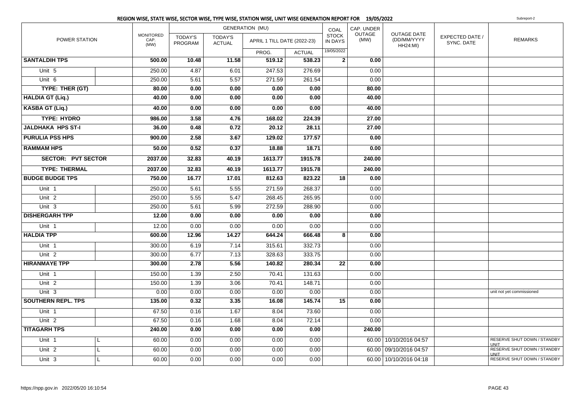|                           |   |                                  |                           |                                 | <b>GENERATION (MU)</b>      |               | COAL                    | CAP. UNDER     |                                                      |                               |                                            |
|---------------------------|---|----------------------------------|---------------------------|---------------------------------|-----------------------------|---------------|-------------------------|----------------|------------------------------------------------------|-------------------------------|--------------------------------------------|
| POWER STATION             |   | <b>MONITORED</b><br>CAP.<br>(MW) | <b>TODAY'S</b><br>PROGRAM | <b>TODAY'S</b><br><b>ACTUAL</b> | APRIL 1 TILL DATE (2022-23) |               | <b>STOCK</b><br>IN DAYS | OUTAGE<br>(MW) | <b>OUTAGE DATE</b><br>(DD/MM/YYYY<br><b>HH24:MI)</b> | EXPECTED DATE /<br>SYNC. DATE | <b>REMARKS</b>                             |
|                           |   |                                  |                           |                                 | PROG.                       | <b>ACTUAL</b> | 19/05/2022              |                |                                                      |                               |                                            |
| <b>SANTALDIH TPS</b>      |   | 500.00                           | 10.48                     | 11.58                           | 519.12                      | 538.23        | $\mathbf{2}$            | 0.00           |                                                      |                               |                                            |
| Unit 5                    |   | 250.00                           | 4.87                      | 6.01                            | 247.53                      | 276.69        |                         | 0.00           |                                                      |                               |                                            |
| Unit $6$                  |   | 250.00                           | 5.61                      | 5.57                            | 271.59                      | 261.54        |                         | 0.00           |                                                      |                               |                                            |
| TYPE: THER (GT)           |   | 80.00                            | 0.00                      | 0.00                            | 0.00                        | 0.00          |                         | 80.00          |                                                      |                               |                                            |
| <b>HALDIA GT (Liq.)</b>   |   | 40.00                            | 0.00                      | 0.00                            | 0.00                        | 0.00          |                         | 40.00          |                                                      |                               |                                            |
| <b>KASBA GT (Liq.)</b>    |   | 40.00                            | 0.00                      | 0.00                            | 0.00                        | 0.00          |                         | 40.00          |                                                      |                               |                                            |
| <b>TYPE: HYDRO</b>        |   | 986.00                           | 3.58                      | 4.76                            | 168.02                      | 224.39        |                         | 27.00          |                                                      |                               |                                            |
| <b>JALDHAKA HPS ST-I</b>  |   | 36.00                            | 0.48                      | 0.72                            | 20.12                       | 28.11         |                         | 27.00          |                                                      |                               |                                            |
| <b>PURULIA PSS HPS</b>    |   | 900.00                           | 2.58                      | 3.67                            | 129.02                      | 177.57        |                         | 0.00           |                                                      |                               |                                            |
| <b>RAMMAM HPS</b>         |   | 50.00                            | 0.52                      | 0.37                            | 18.88                       | 18.71         |                         | 0.00           |                                                      |                               |                                            |
| <b>SECTOR: PVT SECTOR</b> |   | 2037.00                          | 32.83                     | 40.19                           | 1613.77                     | 1915.78       |                         | 240.00         |                                                      |                               |                                            |
| <b>TYPE: THERMAL</b>      |   | 2037.00                          | 32.83                     | 40.19                           | 1613.77                     | 1915.78       |                         | 240.00         |                                                      |                               |                                            |
| <b>BUDGE BUDGE TPS</b>    |   | 750.00                           | 16.77                     | 17.01                           | 812.63                      | 823.22        | 18                      | 0.00           |                                                      |                               |                                            |
| Unit 1                    |   | 250.00                           | 5.61                      | 5.55                            | 271.59                      | 268.37        |                         | 0.00           |                                                      |                               |                                            |
| Unit <sub>2</sub>         |   | 250.00                           | 5.55                      | 5.47                            | 268.45                      | 265.95        |                         | 0.00           |                                                      |                               |                                            |
| Unit 3                    |   | 250.00                           | 5.61                      | 5.99                            | 272.59                      | 288.90        |                         | 0.00           |                                                      |                               |                                            |
| <b>DISHERGARH TPP</b>     |   | 12.00                            | 0.00                      | 0.00                            | 0.00                        | 0.00          |                         | 0.00           |                                                      |                               |                                            |
| Unit 1                    |   | 12.00                            | 0.00                      | 0.00                            | 0.00                        | 0.00          |                         | 0.00           |                                                      |                               |                                            |
| <b>HALDIA TPP</b>         |   | 600.00                           | 12.96                     | 14.27                           | 644.24                      | 666.48        | 8                       | 0.00           |                                                      |                               |                                            |
| Unit 1                    |   | 300.00                           | 6.19                      | 7.14                            | 315.61                      | 332.73        |                         | 0.00           |                                                      |                               |                                            |
| Unit <sub>2</sub>         |   | 300.00                           | 6.77                      | 7.13                            | 328.63                      | 333.75        |                         | 0.00           |                                                      |                               |                                            |
| <b>HIRANMAYE TPP</b>      |   | 300.00                           | 2.78                      | 5.56                            | 140.82                      | 280.34        | 22                      | 0.00           |                                                      |                               |                                            |
| Unit <sub>1</sub>         |   | 150.00                           | 1.39                      | 2.50                            | 70.41                       | 131.63        |                         | 0.00           |                                                      |                               |                                            |
| Unit <sub>2</sub>         |   | 150.00                           | 1.39                      | 3.06                            | 70.41                       | 148.71        |                         | 0.00           |                                                      |                               |                                            |
| Unit 3                    |   | 0.00                             | 0.00                      | 0.00                            | 0.00                        | 0.00          |                         | 0.00           |                                                      |                               | unit not yet commissioned                  |
| <b>SOUTHERN REPL. TPS</b> |   | 135.00                           | 0.32                      | 3.35                            | 16.08                       | 145.74        | 15                      | 0.00           |                                                      |                               |                                            |
| Unit 1                    |   | 67.50                            | 0.16                      | 1.67                            | 8.04                        | 73.60         |                         | 0.00           |                                                      |                               |                                            |
| Unit <sub>2</sub>         |   | 67.50                            | 0.16                      | 1.68                            | 8.04                        | 72.14         |                         | 0.00           |                                                      |                               |                                            |
| <b>TITAGARH TPS</b>       |   | 240.00                           | 0.00                      | 0.00                            | 0.00                        | 0.00          |                         | 240.00         |                                                      |                               |                                            |
| Unit 1                    | L | 60.00                            | 0.00                      | 0.00                            | 0.00                        | 0.00          |                         |                | 60.00 10/10/2016 04:57                               |                               | <b>RESERVE SHUT DOWN / STANDBY</b><br>UNIT |
| Unit <sub>2</sub>         | L | 60.00                            | 0.00                      | 0.00                            | 0.00                        | 0.00          |                         | 60.00          | 09/10/2016 04:57                                     |                               | RESERVE SHUT DOWN / STANDBY<br><b>UNIT</b> |
| Unit 3                    |   | 60.00                            | 0.00                      | 0.00                            | 0.00                        | 0.00          |                         |                | 60.00 10/10/2016 04:18                               |                               | RESERVE SHUT DOWN / STANDBY                |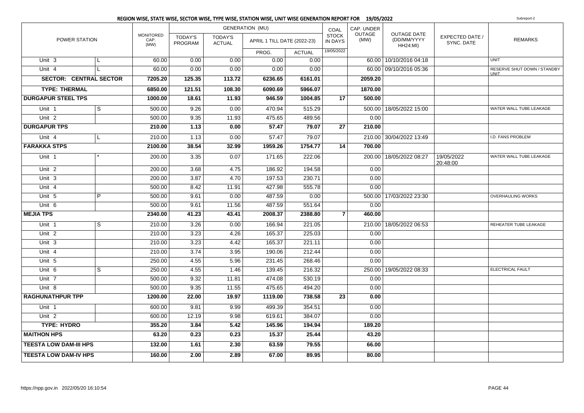|                               |                |                                  |                           |                          | REGION WISE, STATE WISE, SECTOR WISE, TYPE WISE, STATION WISE, UNIT WISE GENERATION REPORT FOR 19/05/2022 |               |                         |                       |                                               |                               | Subreport-2                                |
|-------------------------------|----------------|----------------------------------|---------------------------|--------------------------|-----------------------------------------------------------------------------------------------------------|---------------|-------------------------|-----------------------|-----------------------------------------------|-------------------------------|--------------------------------------------|
|                               |                |                                  |                           |                          | <b>GENERATION (MU)</b>                                                                                    |               | COAL                    | CAP. UNDER            |                                               |                               |                                            |
| POWER STATION                 |                | <b>MONITORED</b><br>CAP.<br>(MW) | <b>TODAY'S</b><br>PROGRAM | TODAY'S<br><b>ACTUAL</b> | APRIL 1 TILL DATE (2022-23)                                                                               |               | <b>STOCK</b><br>IN DAYS | <b>OUTAGE</b><br>(MW) | OUTAGE DATE<br>(DD/MM/YYYY<br><b>HH24:MI)</b> | EXPECTED DATE /<br>SYNC. DATE | <b>REMARKS</b>                             |
|                               |                |                                  |                           |                          | PROG.                                                                                                     | <b>ACTUAL</b> | 19/05/2022              |                       |                                               |                               |                                            |
| Unit 3                        | L              | 60.00                            | 0.00                      | 0.00                     | 0.00                                                                                                      | 0.00          |                         |                       | 60.00 10/10/2016 04:18                        |                               | <b>UNIT</b>                                |
| Unit 4                        | L              | 60.00                            | 0.00                      | 0.00                     | 0.00                                                                                                      | 0.00          |                         |                       | 60.00 09/10/2016 05:36                        |                               | RESERVE SHUT DOWN / STANDBY<br><b>UNIT</b> |
| <b>SECTOR: CENTRAL SECTOR</b> |                | 7205.20                          | 125.35                    | 113.72                   | 6236.65                                                                                                   | 6161.01       |                         | 2059.20               |                                               |                               |                                            |
| <b>TYPE: THERMAL</b>          |                | 6850.00                          | 121.51                    | 108.30                   | 6090.69                                                                                                   | 5966.07       |                         | 1870.00               |                                               |                               |                                            |
| <b>DURGAPUR STEEL TPS</b>     |                | 1000.00                          | 18.61                     | 11.93                    | 946.59                                                                                                    | 1004.85       | 17                      | 500.00                |                                               |                               |                                            |
| Unit 1                        | $\mathsf{s}$   | 500.00                           | 9.26                      | 0.00                     | 470.94                                                                                                    | 515.29        |                         |                       | 500.00   18/05/2022 15:00                     |                               | WATER WALL TUBE LEAKAGE                    |
| Unit <sub>2</sub>             |                | 500.00                           | 9.35                      | 11.93                    | 475.65                                                                                                    | 489.56        |                         | 0.00                  |                                               |                               |                                            |
| <b>DURGAPUR TPS</b>           |                | 210.00                           | 1.13                      | 0.00                     | 57.47                                                                                                     | 79.07         | 27                      | 210.00                |                                               |                               |                                            |
| Unit 4                        | L              | 210.00                           | 1.13                      | 0.00                     | 57.47                                                                                                     | 79.07         |                         |                       | 210.00 30/04/2022 13:49                       |                               | I.D. FANS PROBLEM                          |
| <b>FARAKKA STPS</b>           |                | 2100.00                          | 38.54                     | 32.99                    | 1959.26                                                                                                   | 1754.77       | 14                      | 700.00                |                                               |                               |                                            |
| Unit 1                        |                | 200.00                           | 3.35                      | 0.07                     | 171.65                                                                                                    | 222.06        |                         |                       | 200.00 18/05/2022 08:27                       | 19/05/2022<br>20:48:00        | WATER WALL TUBE LEAKAGE                    |
| Unit <sub>2</sub>             |                | 200.00                           | 3.68                      | 4.75                     | 186.92                                                                                                    | 194.58        |                         | 0.00                  |                                               |                               |                                            |
| Unit <sub>3</sub>             |                | 200.00                           | 3.87                      | 4.70                     | 197.53                                                                                                    | 230.71        |                         | 0.00                  |                                               |                               |                                            |
| Unit 4                        |                | 500.00                           | 8.42                      | 11.91                    | 427.98                                                                                                    | 555.78        |                         | 0.00                  |                                               |                               |                                            |
| Unit 5                        | $\overline{P}$ | 500.00                           | 9.61                      | 0.00                     | 487.59                                                                                                    | 0.00          |                         |                       | 500.00 17/03/2022 23:30                       |                               | OVERHAULING WORKS                          |
| Unit 6                        |                | 500.00                           | 9.61                      | 11.56                    | 487.59                                                                                                    | 551.64        |                         | 0.00                  |                                               |                               |                                            |
| <b>MEJIA TPS</b>              |                | 2340.00                          | 41.23                     | 43.41                    | 2008.37                                                                                                   | 2388.80       | $\overline{7}$          | 460.00                |                                               |                               |                                            |
| Unit 1                        | $\overline{s}$ | 210.00                           | 3.26                      | 0.00                     | 166.94                                                                                                    | 221.05        |                         |                       | 210.00   18/05/2022 06:53                     |                               | REHEATER TUBE LEAKAGE                      |
| Unit <sub>2</sub>             |                | 210.00                           | 3.23                      | 4.26                     | 165.37                                                                                                    | 225.03        |                         | 0.00                  |                                               |                               |                                            |
| Unit 3                        |                | 210.00                           | 3.23                      | 4.42                     | 165.37                                                                                                    | 221.11        |                         | 0.00                  |                                               |                               |                                            |
| Unit 4                        |                | 210.00                           | 3.74                      | 3.95                     | 190.06                                                                                                    | 212.44        |                         | 0.00                  |                                               |                               |                                            |
| Unit 5                        |                | 250.00                           | 4.55                      | 5.96                     | 231.45                                                                                                    | 268.46        |                         | 0.00                  |                                               |                               |                                            |
| Unit $6$                      | S              | 250.00                           | 4.55                      | 1.46                     | 139.45                                                                                                    | 216.32        |                         |                       | 250.00   19/05/2022 08:33                     |                               | ELECTRICAL FAULT                           |
| Unit 7                        |                | 500.00                           | 9.32                      | 11.81                    | 474.08                                                                                                    | 530.19        |                         | 0.00                  |                                               |                               |                                            |
| Unit 8                        |                | 500.00                           | 9.35                      | 11.55                    | 475.65                                                                                                    | 494.20        |                         | 0.00                  |                                               |                               |                                            |
| <b>RAGHUNATHPUR TPP</b>       |                | 1200.00                          | 22.00                     | 19.97                    | 1119.00                                                                                                   | 738.58        | $\overline{23}$         | 0.00                  |                                               |                               |                                            |
| Unit 1                        |                | 600.00                           | 9.81                      | 9.99                     | 499.39                                                                                                    | 354.51        |                         | 0.00                  |                                               |                               |                                            |
| Unit <sub>2</sub>             |                | 600.00                           | 12.19                     | 9.98                     | 619.61                                                                                                    | 384.07        |                         | 0.00                  |                                               |                               |                                            |
| <b>TYPE: HYDRO</b>            |                | 355.20                           | 3.84                      | $\overline{5.42}$        | 145.96                                                                                                    | 194.94        |                         | 189.20                |                                               |                               |                                            |
| <b>MAITHON HPS</b>            |                | 63.20                            | 0.23                      | 0.23                     | 15.37                                                                                                     | 25.44         |                         | 43.20                 |                                               |                               |                                            |
| <b>TEESTA LOW DAM-III HPS</b> |                | 132.00                           | 1.61                      | 2.30                     | 63.59                                                                                                     | 79.55         |                         | 66.00                 |                                               |                               |                                            |
| <b>TEESTA LOW DAM-IV HPS</b>  |                | 160.00                           | 2.00                      | 2.89                     | 67.00                                                                                                     | 89.95         |                         | 80.00                 |                                               |                               |                                            |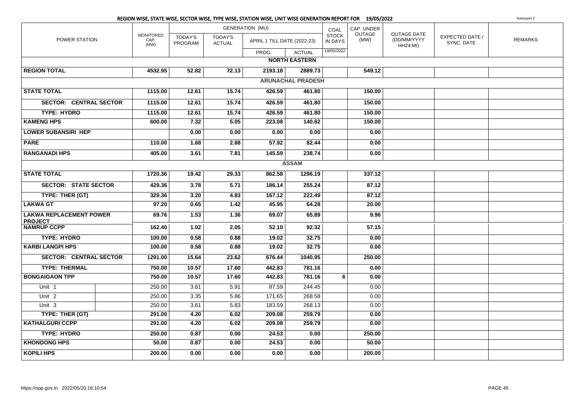|                                                  |                                  |                           |                                 | REGION WISE, STATE WISE, SECTOR WISE, TYPE WISE, STATION WISE, UNIT WISE GENERATION REPORT FOR 19/05/2022 |                          |                                |                |                                               |                               | Subreport-2    |
|--------------------------------------------------|----------------------------------|---------------------------|---------------------------------|-----------------------------------------------------------------------------------------------------------|--------------------------|--------------------------------|----------------|-----------------------------------------------|-------------------------------|----------------|
|                                                  |                                  |                           |                                 | <b>GENERATION (MU)</b>                                                                                    |                          | COAL                           | CAP. UNDER     |                                               |                               |                |
| POWER STATION                                    | <b>MONITORED</b><br>CAP.<br>(MW) | <b>TODAY'S</b><br>PROGRAM | <b>TODAY'S</b><br><b>ACTUAL</b> | APRIL 1 TILL DATE (2022-23)                                                                               |                          | <b>STOCK</b><br><b>IN DAYS</b> | OUTAGE<br>(MW) | OUTAGE DATE<br>(DD/MM/YYYY<br><b>HH24:MI)</b> | EXPECTED DATE /<br>SYNC. DATE | <b>REMARKS</b> |
|                                                  |                                  |                           |                                 | PROG.                                                                                                     | <b>ACTUAL</b>            | 19/05/2022                     |                |                                               |                               |                |
|                                                  |                                  |                           |                                 |                                                                                                           | <b>NORTH EASTERN</b>     |                                |                |                                               |                               |                |
| <b>REGION TOTAL</b>                              | 4532.95                          | 52.82                     | 72.13                           | 2193.18                                                                                                   | 2889.73                  |                                | 549.12         |                                               |                               |                |
|                                                  |                                  |                           |                                 |                                                                                                           | <b>ARUNACHAL PRADESH</b> |                                |                |                                               |                               |                |
| <b>STATE TOTAL</b>                               | 1115.00                          | 12.61                     | 15.74                           | 426.59                                                                                                    | 461.80                   |                                | 150.00         |                                               |                               |                |
| <b>SECTOR: CENTRAL SECTOR</b>                    | 1115.00                          | 12.61                     | 15.74                           | 426.59                                                                                                    | 461.80                   |                                | 150.00         |                                               |                               |                |
| <b>TYPE: HYDRO</b>                               | 1115.00                          | 12.61                     | 15.74                           | 426.59                                                                                                    | 461.80                   |                                | 150.00         |                                               |                               |                |
| <b>KAMENG HPS</b>                                | 600.00                           | 7.32                      | 5.05                            | 223.08                                                                                                    | 140.62                   |                                | 150.00         |                                               |                               |                |
| <b>LOWER SUBANSIRI HEP</b>                       |                                  | 0.00                      | 0.00                            | 0.00                                                                                                      | 0.00                     |                                | 0.00           |                                               |                               |                |
| <b>PARE</b>                                      | 110.00                           | 1.68                      | 2.88                            | 57.92                                                                                                     | 82.44                    |                                | 0.00           |                                               |                               |                |
| <b>RANGANADI HPS</b>                             | 405.00                           | 3.61                      | 7.81                            | 145.59                                                                                                    | 238.74                   |                                | 0.00           |                                               |                               |                |
|                                                  |                                  |                           |                                 |                                                                                                           | <b>ASSAM</b>             |                                |                |                                               |                               |                |
| <b>STATE TOTAL</b>                               | 1720.36                          | 19.42                     | 29.33                           | 862.58                                                                                                    | 1296.19                  |                                | 337.12         |                                               |                               |                |
| <b>SECTOR: STATE SECTOR</b>                      | 429.36                           | 3.78                      | 5.71                            | 186.14                                                                                                    | 255.24                   |                                | 87.12          |                                               |                               |                |
| TYPE: THER (GT)                                  | 329.36                           | 3.20                      | 4.83                            | 167.12                                                                                                    | 222.49                   |                                | 87.12          |                                               |                               |                |
| <b>LAKWA GT</b>                                  | 97.20                            | 0.65                      | $\overline{1.42}$               | 45.95                                                                                                     | 64.28                    |                                | 20.00          |                                               |                               |                |
| <b>LAKWA REPLACEMENT POWER</b><br><b>PROJECT</b> | 69.76                            | 1.53                      | 1.36                            | 69.07                                                                                                     | 65.89                    |                                | 9.96           |                                               |                               |                |
| <b>NAMRUP CCPP</b>                               | 162.40                           | 1.02                      | 2.05                            | 52.10                                                                                                     | 92.32                    |                                | 57.15          |                                               |                               |                |
| <b>TYPE: HYDRO</b>                               | 100.00                           | 0.58                      | 0.88                            | 19.02                                                                                                     | 32.75                    |                                | 0.00           |                                               |                               |                |
| <b>KARBI LANGPI HPS</b>                          | 100.00                           | 0.58                      | 0.88                            | 19.02                                                                                                     | 32.75                    |                                | 0.00           |                                               |                               |                |
| <b>SECTOR: CENTRAL SECTOR</b>                    | 1291.00                          | 15.64                     | 23.62                           | 676.44                                                                                                    | 1040.95                  |                                | 250.00         |                                               |                               |                |
| <b>TYPE: THERMAL</b>                             | 750.00                           | 10.57                     | 17.60                           | 442.83                                                                                                    | 781.16                   |                                | 0.00           |                                               |                               |                |
| <b>BONGAIGAON TPP</b>                            | 750.00                           | 10.57                     | 17.60                           | 442.83                                                                                                    | 781.16                   | 6                              | 0.00           |                                               |                               |                |
| Unit 1                                           | 250.00                           | 3.61                      | 5.91                            | 87.59                                                                                                     | 244.45                   |                                | 0.00           |                                               |                               |                |
| Unit 2                                           | 250.00                           | 3.35                      | 5.86                            | 171.65                                                                                                    | 268.58                   |                                | 0.00           |                                               |                               |                |
| Unit 3                                           | 250.00                           | 3.61                      | 5.83                            | 183.59                                                                                                    | 268.13                   |                                | 0.00           |                                               |                               |                |
| TYPE: THER (GT)                                  | 291.00                           | 4.20                      | 6.02                            | 209.08                                                                                                    | 259.79                   |                                | 0.00           |                                               |                               |                |
| <b>KATHALGURI CCPP</b>                           | 291.00                           | 4.20                      | 6.02                            | 209.08                                                                                                    | 259.79                   |                                | 0.00           |                                               |                               |                |
| <b>TYPE: HYDRO</b>                               | 250.00                           | 0.87                      | 0.00                            | 24.53                                                                                                     | 0.00                     |                                | 250.00         |                                               |                               |                |
| <b>KHONDONG HPS</b>                              | 50.00                            | 0.87                      | 0.00                            | 24.53                                                                                                     | 0.00                     |                                | 50.00          |                                               |                               |                |
| <b>KOPILI HPS</b>                                | 200.00                           | 0.00                      | 0.00                            | 0.00                                                                                                      | 0.00                     |                                | 200.00         |                                               |                               |                |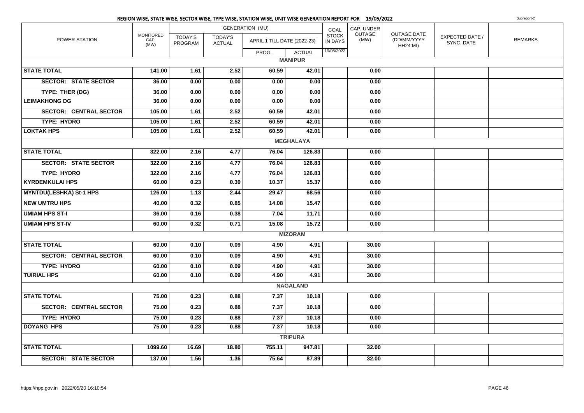|                                |                                  |                           |                                 | REGION WISE, STATE WISE, SECTOR WISE, TYPE WISE, STATION WISE, UNIT WISE GENERATION REPORT FOR 19/05/2022 |                  |                         |                |                                                      |                               | Subreport-2    |
|--------------------------------|----------------------------------|---------------------------|---------------------------------|-----------------------------------------------------------------------------------------------------------|------------------|-------------------------|----------------|------------------------------------------------------|-------------------------------|----------------|
|                                |                                  |                           |                                 | <b>GENERATION (MU)</b>                                                                                    |                  | COAL                    | CAP. UNDER     |                                                      |                               |                |
| POWER STATION                  | <b>MONITORED</b><br>CAP.<br>(MW) | <b>TODAY'S</b><br>PROGRAM | <b>TODAY'S</b><br><b>ACTUAL</b> | APRIL 1 TILL DATE (2022-23)                                                                               |                  | <b>STOCK</b><br>IN DAYS | OUTAGE<br>(MW) | <b>OUTAGE DATE</b><br>(DD/MM/YYYY<br><b>HH24:MI)</b> | EXPECTED DATE /<br>SYNC. DATE | <b>REMARKS</b> |
|                                |                                  |                           |                                 | PROG.                                                                                                     | <b>ACTUAL</b>    | 19/05/2022              |                |                                                      |                               |                |
|                                |                                  |                           |                                 |                                                                                                           | <b>MANIPUR</b>   |                         |                |                                                      |                               |                |
| <b>STATE TOTAL</b>             | 141.00                           | 1.61                      | 2.52                            | 60.59                                                                                                     | 42.01            |                         | 0.00           |                                                      |                               |                |
| <b>SECTOR: STATE SECTOR</b>    | 36.00                            | 0.00                      | 0.00                            | 0.00                                                                                                      | 0.00             |                         | 0.00           |                                                      |                               |                |
| TYPE: THER (DG)                | 36.00                            | 0.00                      | 0.00                            | 0.00                                                                                                      | 0.00             |                         | 0.00           |                                                      |                               |                |
| <b>LEIMAKHONG DG</b>           | 36.00                            | 0.00                      | 0.00                            | 0.00                                                                                                      | 0.00             |                         | 0.00           |                                                      |                               |                |
| <b>SECTOR: CENTRAL SECTOR</b>  | 105.00                           | 1.61                      | 2.52                            | 60.59                                                                                                     | 42.01            |                         | 0.00           |                                                      |                               |                |
| <b>TYPE: HYDRO</b>             | 105.00                           | 1.61                      | 2.52                            | 60.59                                                                                                     | 42.01            |                         | 0.00           |                                                      |                               |                |
| <b>LOKTAK HPS</b>              | 105.00                           | 1.61                      | 2.52                            | 60.59                                                                                                     | 42.01            |                         | 0.00           |                                                      |                               |                |
|                                |                                  |                           |                                 |                                                                                                           | <b>MEGHALAYA</b> |                         |                |                                                      |                               |                |
| <b>STATE TOTAL</b>             | 322.00                           | 2.16                      | 4.77                            | 76.04                                                                                                     | 126.83           |                         | 0.00           |                                                      |                               |                |
| <b>SECTOR: STATE SECTOR</b>    | 322.00                           | 2.16                      | 4.77                            | 76.04                                                                                                     | 126.83           |                         | 0.00           |                                                      |                               |                |
| <b>TYPE: HYDRO</b>             | 322.00                           | 2.16                      | 4.77                            | 76.04                                                                                                     | 126.83           |                         | 0.00           |                                                      |                               |                |
| <b>KYRDEMKULAI HPS</b>         | 60.00                            | 0.23                      | 0.39                            | 10.37                                                                                                     | 15.37            |                         | 0.00           |                                                      |                               |                |
| <b>MYNTDU(LESHKA) St-1 HPS</b> | 126.00                           | 1.13                      | 2.44                            | 29.47                                                                                                     | 68.56            |                         | 0.00           |                                                      |                               |                |
| <b>NEW UMTRU HPS</b>           | 40.00                            | 0.32                      | 0.85                            | 14.08                                                                                                     | 15.47            |                         | 0.00           |                                                      |                               |                |
| <b>UMIAM HPS ST-I</b>          | 36.00                            | 0.16                      | 0.38                            | 7.04                                                                                                      | 11.71            |                         | 0.00           |                                                      |                               |                |
| <b>UMIAM HPS ST-IV</b>         | 60.00                            | 0.32                      | 0.71                            | 15.08                                                                                                     | 15.72            |                         | 0.00           |                                                      |                               |                |
|                                |                                  |                           |                                 |                                                                                                           | <b>MIZORAM</b>   |                         |                |                                                      |                               |                |
| <b>STATE TOTAL</b>             | 60.00                            | 0.10                      | 0.09                            | 4.90                                                                                                      | 4.91             |                         | 30.00          |                                                      |                               |                |
| <b>SECTOR: CENTRAL SECTOR</b>  | 60.00                            | 0.10                      | 0.09                            | 4.90                                                                                                      | 4.91             |                         | 30.00          |                                                      |                               |                |
| <b>TYPE: HYDRO</b>             | 60.00                            | 0.10                      | 0.09                            | 4.90                                                                                                      | 4.91             |                         | 30.00          |                                                      |                               |                |
| <b>TUIRIAL HPS</b>             | 60.00                            | 0.10                      | 0.09                            | 4.90                                                                                                      | 4.91             |                         | 30.00          |                                                      |                               |                |
|                                |                                  |                           |                                 |                                                                                                           | <b>NAGALAND</b>  |                         |                |                                                      |                               |                |
| <b>STATE TOTAL</b>             | 75.00                            | 0.23                      | 0.88                            | 7.37                                                                                                      | 10.18            |                         | 0.00           |                                                      |                               |                |
| <b>SECTOR: CENTRAL SECTOR</b>  | 75.00                            | 0.23                      | 0.88                            | 7.37                                                                                                      | 10.18            |                         | 0.00           |                                                      |                               |                |
| <b>TYPE: HYDRO</b>             | 75.00                            | 0.23                      | 0.88                            | 7.37                                                                                                      | 10.18            |                         | 0.00           |                                                      |                               |                |
| <b>DOYANG HPS</b>              | 75.00                            | 0.23                      | 0.88                            | 7.37                                                                                                      | 10.18            |                         | 0.00           |                                                      |                               |                |
|                                |                                  |                           |                                 |                                                                                                           | <b>TRIPURA</b>   |                         |                |                                                      |                               |                |
| <b>STATE TOTAL</b>             | 1099.60                          | 16.69                     | 18.80                           | 755.11                                                                                                    | 947.81           |                         | 32.00          |                                                      |                               |                |
| <b>SECTOR: STATE SECTOR</b>    | 137.00                           | 1.56                      | 1.36                            | 75.64                                                                                                     | 87.89            |                         | 32.00          |                                                      |                               |                |